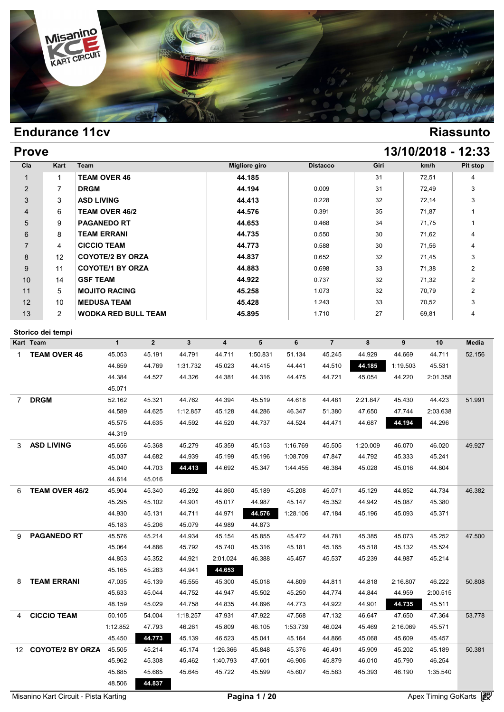

| <b>Prove</b> | 13/10/2018 - 12:33 |
|--------------|--------------------|
|              |                    |

| Cla            | Kart           | Team                       | <b>Migliore giro</b> | <b>Distacco</b> | Giri | km/h  | Pit stop       |
|----------------|----------------|----------------------------|----------------------|-----------------|------|-------|----------------|
|                | 1              | <b>TEAM OVER 46</b>        | 44.185               |                 | 31   | 72,51 | 4              |
| 2              | 7              | <b>DRGM</b>                | 44.194               | 0.009           | 31   | 72,49 | 3              |
| 3              | 3              | <b>ASD LIVING</b>          | 44.413               | 0.228           | 32   | 72,14 | 3              |
| $\overline{4}$ | 6              | <b>TEAM OVER 46/2</b>      | 44.576               | 0.391           | 35   | 71.87 |                |
| 5              | 9              | <b>PAGANEDO RT</b>         | 44.653               | 0.468           | 34   | 71,75 |                |
| 6              | 8              | <b>TEAM ERRANI</b>         | 44.735               | 0.550           | 30   | 71,62 | 4              |
| $\overline{7}$ | 4              | <b>CICCIO TEAM</b>         | 44.773               | 0.588           | 30   | 71,56 | 4              |
| 8              | 12             | <b>COYOTE/2 BY ORZA</b>    | 44.837               | 0.652           | 32   | 71,45 | 3              |
| 9              | 11             | <b>COYOTE/1 BY ORZA</b>    | 44.883               | 0.698           | 33   | 71,38 | $\overline{2}$ |
| 10             | 14             | <b>GSF TEAM</b>            | 44.922               | 0.737           | 32   | 71,32 | $\overline{2}$ |
| 11             | 5              | <b>MOJITO RACING</b>       | 45.258               | 1.073           | 32   | 70,79 | $\overline{2}$ |
| 12             | 10             | <b>MEDUSA TEAM</b>         | 45.428               | 1.243           | 33   | 70,52 | 3              |
| 13             | $\overline{2}$ | <b>WODKA RED BULL TEAM</b> | 45.895               | 1.710           | 27   | 69,81 | 4              |

### **Storico dei tempi**

|                  | Storico dei tempi       |              |                |              |                         |          |          |                |          |          |          |        |
|------------------|-------------------------|--------------|----------------|--------------|-------------------------|----------|----------|----------------|----------|----------|----------|--------|
|                  | Kart Team               | $\mathbf{1}$ | $\overline{2}$ | $\mathbf{3}$ | $\overline{\mathbf{4}}$ | 5        | 6        | $\overline{7}$ | 8        | 9        | 10       | Media  |
| $\mathbf{1}$     | <b>TEAM OVER 46</b>     | 45.053       | 45.191         | 44.791       | 44.711                  | 1:50.831 | 51.134   | 45.245         | 44.929   | 44.669   | 44.711   | 52.156 |
|                  |                         | 44.659       | 44.769         | 1:31.732     | 45.023                  | 44.415   | 44.441   | 44.510         | 44.185   | 1:19.503 | 45.531   |        |
|                  |                         | 44.384       | 44.527         | 44.326       | 44.381                  | 44.316   | 44.475   | 44.721         | 45.054   | 44.220   | 2:01.358 |        |
|                  |                         | 45.071       |                |              |                         |          |          |                |          |          |          |        |
| $\overline{7}$   | <b>DRGM</b>             | 52.162       | 45.321         | 44.762       | 44.394                  | 45.519   | 44.618   | 44.481         | 2:21.847 | 45.430   | 44.423   | 51.991 |
|                  |                         | 44.589       | 44.625         | 1:12.857     | 45.128                  | 44.286   | 46.347   | 51.380         | 47.650   | 47.744   | 2:03.638 |        |
|                  |                         | 45.575       | 44.635         | 44.592       | 44.520                  | 44.737   | 44.524   | 44.471         | 44.687   | 44.194   | 44.296   |        |
|                  |                         | 44.319       |                |              |                         |          |          |                |          |          |          |        |
| 3                | <b>ASD LIVING</b>       | 45.656       | 45.368         | 45.279       | 45.359                  | 45.153   | 1:16.769 | 45.505         | 1:20.009 | 46.070   | 46.020   | 49.927 |
|                  |                         | 45.037       | 44.682         | 44.939       | 45.199                  | 45.196   | 1:08.709 | 47.847         | 44.792   | 45.333   | 45.241   |        |
|                  |                         | 45.040       | 44.703         | 44.413       | 44.692                  | 45.347   | 1:44.455 | 46.384         | 45.028   | 45.016   | 44.804   |        |
|                  |                         | 44.614       | 45.016         |              |                         |          |          |                |          |          |          |        |
| 6                | TEAM OVER 46/2          | 45.904       | 45.340         | 45.292       | 44.860                  | 45.189   | 45.208   | 45.071         | 45.129   | 44.852   | 44.734   | 46.382 |
|                  |                         | 45.295       | 45.102         | 44.901       | 45.017                  | 44.987   | 45.147   | 45.352         | 44.942   | 45.087   | 45.380   |        |
|                  |                         | 44.930       | 45.131         | 44.711       | 44.971                  | 44.576   | 1:28.106 | 47.184         | 45.196   | 45.093   | 45.371   |        |
|                  |                         | 45.183       | 45.206         | 45.079       | 44.989                  | 44.873   |          |                |          |          |          |        |
| 9                | <b>PAGANEDO RT</b>      | 45.576       | 45.214         | 44.934       | 45.154                  | 45.855   | 45.472   | 44.781         | 45.385   | 45.073   | 45.252   | 47.500 |
|                  |                         | 45.064       | 44.886         | 45.792       | 45.740                  | 45.316   | 45.181   | 45.165         | 45.518   | 45.132   | 45.524   |        |
|                  |                         | 44.853       | 45.352         | 44.921       | 2:01.024                | 46.388   | 45.457   | 45.537         | 45.239   | 44.987   | 45.214   |        |
|                  |                         | 45.165       | 45.283         | 44.941       | 44.653                  |          |          |                |          |          |          |        |
| 8                | <b>TEAM ERRANI</b>      | 47.035       | 45.139         | 45.555       | 45.300                  | 45.018   | 44.809   | 44.811         | 44.818   | 2:16.807 | 46.222   | 50.808 |
|                  |                         | 45.633       | 45.044         | 44.752       | 44.947                  | 45.502   | 45.250   | 44.774         | 44.844   | 44.959   | 2:00.515 |        |
|                  |                         | 48.159       | 45.029         | 44.758       | 44.835                  | 44.896   | 44.773   | 44.922         | 44.901   | 44.735   | 45.511   |        |
| 4                | <b>CICCIO TEAM</b>      | 50.105       | 54.004         | 1:18.257     | 47.931                  | 47.922   | 47.568   | 47.132         | 46.647   | 47.650   | 47.364   | 53.778 |
|                  |                         | 1:12.852     | 47.793         | 46.261       | 45.809                  | 46.105   | 1:53.739 | 46.024         | 45.469   | 2:16.069 | 45.571   |        |
|                  |                         | 45.450       | 44.773         | 45.139       | 46.523                  | 45.041   | 45.164   | 44.866         | 45.068   | 45.609   | 45.457   |        |
| 12 <sup>12</sup> | <b>COYOTE/2 BY ORZA</b> | 45.505       | 45.214         | 45.174       | 1:26.366                | 45.848   | 45.376   | 46.491         | 45.909   | 45.202   | 45.189   | 50.381 |
|                  |                         | 45.962       | 45.308         | 45.462       | 1:40.793                | 47.601   | 46.906   | 45.879         | 46.010   | 45.790   | 46.254   |        |
|                  |                         | 45.685       | 45.665         | 45.645       | 45.722                  | 45.599   | 45.607   | 45.583         | 45.393   | 46.190   | 1:35.540 |        |
|                  |                         | 48.506       | 44.837         |              |                         |          |          |                |          |          |          |        |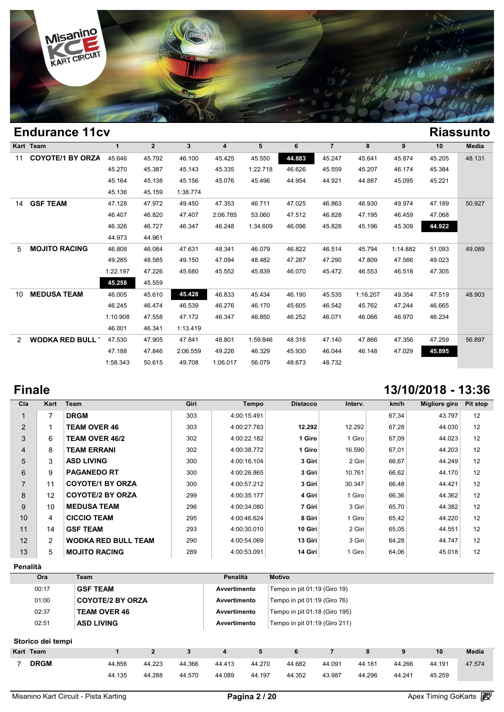

|    | Eliuuralice Ticv        |              |                |                |                |          |        |                |          |          |        | маээчни      |
|----|-------------------------|--------------|----------------|----------------|----------------|----------|--------|----------------|----------|----------|--------|--------------|
|    | Kart Team               | $\mathbf{1}$ | $\overline{2}$ | 3 <sup>1</sup> | $\overline{4}$ | 5        | 6      | $\overline{7}$ | 8        | 9        | 10     | <b>Media</b> |
| 11 | <b>COYOTE/1 BY ORZA</b> | 45.646       | 45.792         | 46.100         | 45.425         | 45.550   | 44.883 | 45.247         | 45.641   | 45.874   | 45.205 | 48.131       |
|    |                         | 45.270       | 45.387         | 45.143         | 45.335         | 1:22.718 | 46.626 | 45.559         | 45.207   | 46.174   | 45.384 |              |
|    |                         | 45.164       | 45.138         | 45.156         | 45.076         | 45.496   | 44.954 | 44.921         | 44.887   | 45.095   | 45.221 |              |
|    |                         | 45.136       | 45.159         | 1:38.774       |                |          |        |                |          |          |        |              |
| 14 | <b>GSF TEAM</b>         | 47.128       | 47.972         | 49.450         | 47.353         | 46.711   | 47.025 | 46.863         | 46.930   | 49.974   | 47.189 | 50.927       |
|    |                         | 46.407       | 46.820         | 47.407         | 2:06.785       | 53.060   | 47.512 | 46.828         | 47.195   | 46.459   | 47.068 |              |
|    |                         | 46.326       | 46.727         | 46.347         | 46.248         | 1:34.609 | 46.096 | 45.828         | 45.196   | 45.309   | 44.922 |              |
|    |                         | 44.973       | 44.961         |                |                |          |        |                |          |          |        |              |
| 5  | <b>MOJITO RACING</b>    | 46.808       | 46.084         | 47.631         | 48.341         | 46.079   | 46.822 | 46.514         | 45.794   | 1:14.882 | 51.093 | 49.089       |
|    |                         | 49.285       | 48.585         | 49.150         | 47.094         | 48.482   | 47.287 | 47.290         | 47.809   | 47.566   | 49.023 |              |
|    |                         | 1:22.197     | 47.226         | 45.680         | 45.552         | 45.839   | 46.070 | 45.472         | 46.553   | 46.518   | 47.305 |              |
|    |                         | 45.258       | 45.559         |                |                |          |        |                |          |          |        |              |
| 10 | <b>MEDUSA TEAM</b>      | 46.005       | 45.610         | 45.428         | 46.833         | 45.434   | 46.190 | 45.535         | 1:16.207 | 49.354   | 47.519 | 48.903       |
|    |                         | 46.245       | 46.474         | 46.539         | 46.276         | 46.170   | 45.605 | 46.542         | 45.762   | 47.244   | 46.665 |              |
|    |                         | 1:10.908     | 47.558         | 47.172         | 46.347         | 46.850   | 46.252 | 46.071         | 46.066   | 46.970   | 46.234 |              |
|    |                         | 46.001       | 46.341         | 1:13.419       |                |          |        |                |          |          |        |              |
| 2  | <b>WODKA RED BULL 1</b> | 47.530       | 47.905         | 47.841         | 48.801         | 1:59.846 | 48.316 | 47.140         | 47.866   | 47.356   | 47.259 | 56.897       |
|    |                         | 47.188       | 47.846         | 2:06.559       | 49.226         | 46.329   | 45.930 | 46.044         | 46.148   | 47.029   | 45.895 |              |
|    |                         | 1:58.343     | 50.615         | 49.708         | 1:06.017       | 56.079   | 48.673 | 48.732         |          |          |        |              |
|    |                         |              |                |                |                |          |        |                |          |          |        |              |

# **Finale 13/10/2018 - 13:36**

| Cla            | Kart           | <b>Team</b>                | Giri | Tempo       | <b>Distacco</b> | Interv. | km/h  | Migliore giro | Pit stop |
|----------------|----------------|----------------------------|------|-------------|-----------------|---------|-------|---------------|----------|
|                | 7              | <b>DRGM</b>                | 303  | 4:00:15.491 |                 |         | 67,34 | 43.797        | 12       |
| 2              |                | <b>TEAM OVER 46</b>        | 303  | 4:00:27.783 | 12.292          | 12.292  | 67,28 | 44.030        | 12       |
| 3              | 6              | <b>TEAM OVER 46/2</b>      | 302  | 4:00:22.182 | 1 Giro          | 1 Giro  | 67,09 | 44.023        | 12       |
| $\overline{4}$ | 8              | <b>TEAM ERRANI</b>         | 302  | 4:00:38.772 | 1 Giro          | 16.590  | 67,01 | 44.203        | 12       |
| 5              | 3              | <b>ASD LIVING</b>          | 300  | 4:00:16.104 | 3 Giri          | 2 Giri  | 66,67 | 44.249        | 12       |
| 6              | 9              | <b>PAGANEDO RT</b>         | 300  | 4:00:26.865 | 3 Giri          | 10.761  | 66,62 | 44.170        | 12       |
| $\overline{7}$ | 11             | <b>COYOTE/1 BY ORZA</b>    | 300  | 4:00:57.212 | 3 Giri          | 30.347  | 66,48 | 44.421        | 12       |
| 8              | 12             | <b>COYOTE/2 BY ORZA</b>    | 299  | 4:00:35.177 | 4 Giri          | 1 Giro  | 66,36 | 44.362        | 12       |
| 9              | 10             | <b>MEDUSA TEAM</b>         | 296  | 4:00:34.080 | 7 Giri          | 3 Giri  | 65,70 | 44.382        | 12       |
| 10             | 4              | <b>CICCIO TEAM</b>         | 295  | 4:00:46.624 | 8 Giri          | 1 Giro  | 65,42 | 44.220        | 12       |
| 11             | 14             | <b>GSF TEAM</b>            | 293  | 4:00:30.010 | 10 Giri         | 2 Giri  | 65,05 | 44.551        | 12       |
| 12             | $\overline{2}$ | <b>WODKA RED BULL TEAM</b> | 290  | 4:00:54.069 | 13 Giri         | 3 Giri  | 64,28 | 44.747        | 12       |
| 13             | 5              | <b>MOJITO RACING</b>       | 289  | 4:00:53.091 | 14 Giri         | 1 Giro  | 64,06 | 45.018        | 12       |

**Penalità**

| Ora   | Team                    | Penalità     | Motivo                            |
|-------|-------------------------|--------------|-----------------------------------|
| 00:17 | <b>GSF TEAM</b>         | Avvertimento | Tempo in pit $01:19$ (Giro 19)    |
| 01:00 | <b>COYOTE/2 BY ORZA</b> | Avvertimento | Tempo in pit $01:19$ (Giro $76$ ) |
| 02:37 | <b>TEAM OVER 46</b>     | Avvertimento | Tempo in pit 01:18 (Giro 195)     |
| 02:51 | <b>ASD LIVING</b>       | Avvertimento | Tempo in pit 01:19 (Giro 211)     |

### **Storico dei tempi**

|                   |        |              |        |        |        | ________ | _______ |        |        |        |              |
|-------------------|--------|--------------|--------|--------|--------|----------|---------|--------|--------|--------|--------------|
| Storico dei tempi |        |              |        |        |        |          |         |        |        |        |              |
| Kart Team         |        | $\mathbf{2}$ | 3      | 4      | 5      | 6        |         | 8      | 9      | 10     | <b>Media</b> |
| <b>DRGM</b>       | 44.856 | 44.223       | 44.366 | 44.413 | 44.270 | 44.682   | 44.091  | 44.181 | 44.266 | 44.191 | 47.574       |
|                   | 44.135 | 44.288       | 44.570 | 44.089 | 44.197 | 44.352   | 43.987  | 44.296 | 44.241 | 45.259 |              |
|                   |        |              |        |        |        |          |         |        |        |        |              |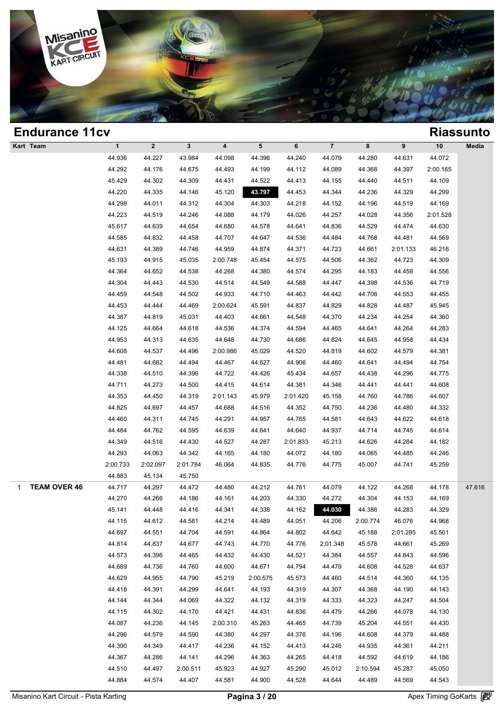

| <b>Endurance 11cv</b>    |              |              |              |          |          |          |                         |          |          |          | <b>Riassunto</b> |
|--------------------------|--------------|--------------|--------------|----------|----------|----------|-------------------------|----------|----------|----------|------------------|
| Kart Team                | $\mathbf{1}$ | $\mathbf{2}$ | $\mathbf{3}$ | 4        | 5        | 6        | $\overline{\mathbf{7}}$ | 8        | 9        | $10$     | Media            |
|                          | 44.936       | 44.227       | 43.984       | 44.098   | 44.396   | 44.240   | 44.079                  | 44.280   | 44.631   | 44.072   |                  |
|                          | 44.292       | 44.176       | 44.675       | 44.493   | 44.199   | 44.112   | 44.089                  | 44.368   | 44.397   | 2:00.165 |                  |
|                          | 45.429       | 44.302       | 44.309       | 44.431   | 44.522   | 44.413   | 44.155                  | 44.440   | 44.511   | 44.109   |                  |
|                          | 44.220       | 44.335       | 44.146       | 45.120   | 43.797   | 44.453   | 44.344                  | 44.236   | 44.329   | 44.299   |                  |
|                          | 44.298       | 44.011       | 44.312       | 44.304   | 44.303   | 44.218   | 44.152                  | 44.196   | 44.519   | 44.169   |                  |
|                          | 44.223       | 44.519       | 44.246       | 44.088   | 44.179   | 44.026   | 44.257                  | 44.028   | 44.356   | 2:01.528 |                  |
|                          | 45.617       | 44.639       | 44.654       | 44.680   | 44.578   | 44.641   | 44.836                  | 44.529   | 44.474   | 44.630   |                  |
|                          | 44.585       | 44.832       | 44.458       | 44.707   | 44.647   | 44.536   | 44.484                  | 44.768   | 44.481   | 44.569   |                  |
|                          | 44.631       | 44.389       | 44.746       | 44.959   | 44.874   | 44.371   | 44.723                  | 44.661   | 2:01.133 | 46.216   |                  |
|                          | 45.193       | 44.915       | 45.035       | 2:00.748 | 45.454   | 44.575   | 44.506                  | 44.362   | 44.723   | 44.309   |                  |
|                          | 44.364       | 44.652       | 44.538       | 44.268   | 44.380   | 44.574   | 44.295                  | 44.183   | 44.458   | 44.556   |                  |
|                          | 44.304       | 44.443       | 44.530       | 44.514   | 44.549   | 44.588   | 44.447                  | 44.398   | 44.536   | 44.719   |                  |
|                          | 44.459       | 44.548       | 44.502       | 44.933   | 44.710   | 44.463   | 44.442                  | 44.706   | 44.553   | 44.455   |                  |
|                          | 44.453       | 44.444       | 44.469       | 2:00.624 | 45.591   | 44.837   | 44.829                  | 44.828   | 44.487   | 45.945   |                  |
|                          | 44.387       | 44.819       | 45.031       | 44.403   | 44.661   | 44.548   | 44.370                  | 44.234   | 44.254   | 44.360   |                  |
|                          | 44.125       | 44.664       | 44.618       | 44.536   | 44.374   | 44.594   | 44.465                  | 44.641   | 44.264   | 44.283   |                  |
|                          | 44.953       | 44.313       | 44.635       | 44.648   | 44.730   | 44.686   | 44.824                  | 44.645   | 44.958   | 44.434   |                  |
|                          | 44.608       | 44.537       | 44.496       | 2:00.986 | 45.029   | 44.520   | 44.819                  | 44.602   | 44.579   | 44.381   |                  |
|                          | 44.481       | 44.682       | 44.494       | 44.467   | 44.627   | 44.906   | 44.460                  | 44.641   | 44.494   | 44.754   |                  |
|                          | 44.338       | 44.510       | 44.396       | 44.722   | 44.426   | 45.434   | 44.657                  | 44.438   | 44.296   | 44.775   |                  |
|                          | 44.711       | 44.273       | 44.500       | 44.415   | 44.614   | 44.381   | 44.346                  | 44.441   | 44.441   | 44.608   |                  |
|                          | 44.353       | 44.450       | 44.319       | 2:01.143 | 45.979   | 2:01.420 | 45.158                  | 44.760   | 44.786   | 44.607   |                  |
|                          | 44.825       | 44.697       | 44.457       | 44.688   | 44.516   | 44.352   | 44.750                  | 44.236   | 44.480   | 44.332   |                  |
|                          | 44.460       | 44.311       | 44.745       | 44.291   | 44.957   | 44.765   | 44.581                  | 44.643   | 44.622   | 44.618   |                  |
|                          | 44.484       | 44.762       | 44.595       | 44.639   | 44.641   | 44.640   | 44.937                  | 44.714   | 44.745   | 44.614   |                  |
|                          | 44.349       | 44.516       | 44.430       | 44.527   | 44.287   | 2:01.833 | 45.213                  | 44.626   | 44.284   | 44.182   |                  |
|                          | 44.293       | 44.063       | 44.342       | 44.165   | 44.180   | 44.072   | 44.180                  | 44.065   | 44.485   | 44.246   |                  |
|                          | 2:00.733     | 2:02.097     | 2:01.784     | 46.064   | 44.835   | 44.776   | 44.775                  | 45.007   | 44.741   | 45.259   |                  |
|                          | 44.883       | 45.134       | 45.750       |          |          |          |                         |          |          |          |                  |
| <b>TEAM OVER 46</b><br>1 | 44.717       | 44.297       | 44.472       | 44.480   | 44.212   | 44.761   | 44.079                  | 44.122   | 44.268   | 44.178   | 47.616           |
|                          | 44.270       | 44.266       | 44.186       | 44.161   | 44.203   | 44.330   | 44.272                  | 44.304   | 44.153   | 44.169   |                  |
|                          | 45.141       | 44.448       | 44.416       | 44.341   | 44.338   | 44.162   | 44.030                  | 44.386   | 44.283   | 44.329   |                  |
|                          | 44.115       | 44.612       | 44.581       | 44.214   | 44.489   | 44.051   | 44.206                  | 2:00.774 | 46.076   | 44.968   |                  |
|                          | 44.697       | 44.551       | 44.704       | 44.591   | 44.864   | 44.802   | 44.642                  | 45.188   | 2:01.285 | 45.501   |                  |
|                          | 44.814       | 44.837       | 44.677       | 44.743   | 44.770   | 44.776   | 2:01.348                | 45.578   | 44.661   | 45.269   |                  |
|                          | 44.573       | 44.396       | 44.465       | 44.432   | 44.430   | 44.521   | 44.384                  | 44.557   | 44.843   | 44.596   |                  |
|                          | 44.689       | 44.736       | 44.760       | 44.600   | 44.671   | 44.794   | 44.479                  | 44.608   | 44.528   | 44.637   |                  |
|                          | 44.629       | 44.955       | 44.790       | 45.219   | 2:00.575 | 45.573   | 44.460                  | 44.514   | 44.360   | 44.135   |                  |
|                          | 44.418       | 44.391       | 44.299       | 44.641   | 44.193   | 44.319   | 44.307                  | 44.368   | 44.190   | 44.143   |                  |
|                          | 44.144       | 44.344       | 44.069       | 44.322   | 44.132   | 44.319   | 44.333                  | 44.323   | 44.247   | 44.504   |                  |
|                          | 44.115       | 44.302       | 44.170       | 44.421   | 44.431   | 44.836   | 44.479                  | 44.266   | 44.078   | 44.130   |                  |
|                          | 44.087       | 44.236       | 44.145       | 2:00.310 | 45.263   | 44.465   | 44.739                  | 45.204   | 44.551   | 44.430   |                  |
|                          | 44.296       | 44.579       | 44.590       | 44.380   | 44.297   | 44.376   | 44.196                  | 44.608   | 44.379   | 44.488   |                  |
|                          | 44.390       | 44.349       | 44.417       | 44.236   | 44.152   | 44.413   | 44.246                  | 44.935   | 44.361   | 44.211   |                  |
|                          | 44.367       | 44.286       | 44.141       | 44.296   | 44.363   | 44.265   | 44.418                  | 44.592   | 44.619   | 44.186   |                  |
|                          | 44.510       | 44.497       | 2:00.511     | 45.923   | 44.927   | 45.290   | 45.012                  | 2:10.594 | 45.287   | 45.050   |                  |
|                          | 44.884       | 44.574       | 44.407       | 44.581   | 44.900   | 44.528   | 44.644                  | 44.489   | 44.569   | 44.543   |                  |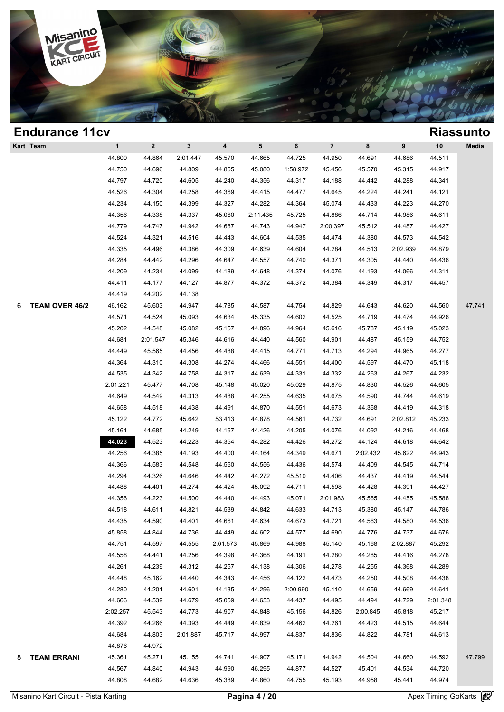

| <b>Endurance 11cv</b>   |              |              |              |                         |          |          |                         |          |          |          | <b>Riassunto</b> |
|-------------------------|--------------|--------------|--------------|-------------------------|----------|----------|-------------------------|----------|----------|----------|------------------|
| Kart Team               | $\mathbf{1}$ | $\mathbf{2}$ | $\mathbf{3}$ | $\overline{\mathbf{4}}$ | 5        | 6        | $\overline{\mathbf{7}}$ | 8        | 9        | $10$     | Media            |
|                         | 44.800       | 44.864       | 2:01.447     | 45.570                  | 44.665   | 44.725   | 44.950                  | 44.691   | 44.686   | 44.511   |                  |
|                         | 44.750       | 44.696       | 44.809       | 44.865                  | 45.080   | 1:58.972 | 45.456                  | 45.570   | 45.315   | 44.917   |                  |
|                         | 44.797       | 44.720       | 44.605       | 44.240                  | 44.356   | 44.317   | 44.188                  | 44.442   | 44.288   | 44.341   |                  |
|                         | 44.526       | 44.304       | 44.258       | 44.369                  | 44.415   | 44.477   | 44.645                  | 44.224   | 44.241   | 44.121   |                  |
|                         | 44.234       | 44.150       | 44.399       | 44.327                  | 44.282   | 44.364   | 45.074                  | 44.433   | 44.223   | 44.270   |                  |
|                         | 44.356       | 44.338       | 44.337       | 45.060                  | 2:11.435 | 45.725   | 44.886                  | 44.714   | 44.986   | 44.611   |                  |
|                         | 44.779       | 44.747       | 44.942       | 44.687                  | 44.743   | 44.947   | 2:00.397                | 45.512   | 44.487   | 44.427   |                  |
|                         | 44.524       | 44.321       | 44.516       | 44.443                  | 44.604   | 44.535   | 44.474                  | 44.380   | 44.573   | 44.542   |                  |
|                         | 44.335       | 44.496       | 44.386       | 44.309                  | 44.639   | 44.604   | 44.284                  | 44.513   | 2:02.939 | 44.879   |                  |
|                         | 44.284       | 44.442       | 44.296       | 44.647                  | 44.557   | 44.740   | 44.371                  | 44.305   | 44.440   | 44.436   |                  |
|                         | 44.209       | 44.234       | 44.099       | 44.189                  | 44.648   | 44.374   | 44.076                  | 44.193   | 44.066   | 44.311   |                  |
|                         | 44.411       | 44.177       | 44.127       | 44.877                  | 44.372   | 44.372   | 44.384                  | 44.349   | 44.317   | 44.457   |                  |
|                         | 44.419       | 44.202       | 44.138       |                         |          |          |                         |          |          |          |                  |
| TEAM OVER 46/2<br>6     | 46.162       | 45.603       | 44.947       | 44.785                  | 44.587   | 44.754   | 44.829                  | 44.643   | 44.620   | 44.560   | 47.741           |
|                         | 44.571       | 44.524       | 45.093       | 44.634                  | 45.335   | 44.602   | 44.525                  | 44.719   | 44.474   | 44.926   |                  |
|                         | 45.202       | 44.548       | 45.082       | 45.157                  | 44.896   | 44.964   | 45.616                  | 45.787   | 45.119   | 45.023   |                  |
|                         | 44.681       | 2:01.547     | 45.346       | 44.616                  | 44.440   | 44.560   | 44.901                  | 44.487   | 45.159   | 44.752   |                  |
|                         | 44.449       | 45.565       | 44.456       | 44.488                  | 44.415   | 44.771   | 44.713                  | 44.294   | 44.965   | 44.277   |                  |
|                         | 44.364       | 44.310       | 44.308       | 44.274                  | 44.466   | 44.551   | 44.400                  | 44.597   | 44.470   | 45.118   |                  |
|                         | 44.535       | 44.342       | 44.758       | 44.317                  | 44.639   | 44.331   | 44.332                  | 44.263   | 44.267   | 44.232   |                  |
|                         | 2:01.221     | 45.477       | 44.708       | 45.148                  | 45.020   | 45.029   | 44.875                  | 44.830   | 44.526   | 44.605   |                  |
|                         | 44.649       | 44.549       | 44.313       | 44.488                  | 44.255   | 44.635   | 44.675                  | 44.590   | 44.744   | 44.619   |                  |
|                         | 44.658       | 44.518       | 44.438       | 44.491                  | 44.870   | 44.551   | 44.673                  | 44.368   | 44.419   | 44.318   |                  |
|                         | 45.122       | 44.772       | 45.642       | 53.413                  | 44.878   | 44.561   | 44.732                  | 44.691   | 2:02.812 | 45.233   |                  |
|                         | 45.161       | 44.685       | 44.249       | 44.167                  | 44.426   | 44.205   | 44.076                  | 44.092   | 44.216   | 44.468   |                  |
|                         | 44.023       | 44.523       | 44.223       | 44.354                  | 44.282   | 44.426   | 44.272                  | 44.124   | 44.618   | 44.642   |                  |
|                         | 44.256       | 44.385       | 44.193       | 44.400                  | 44.164   | 44.349   | 44.671                  | 2:02.432 | 45.622   | 44.943   |                  |
|                         | 44.366       | 44.583       | 44.548       | 44.560                  | 44.556   | 44.436   | 44.574                  | 44.409   | 44.545   | 44.714   |                  |
|                         | 44.294       | 44.326       | 44.646       | 44.442                  | 44.272   | 45.510   | 44.406                  | 44.437   | 44.419   | 44.544   |                  |
|                         | 44.488       | 44.401       | 44.274       | 44.424                  | 45.092   | 44.711   | 44.598                  | 44.428   | 44.391   | 44.427   |                  |
|                         | 44.356       | 44.223       | 44.500       | 44.440                  | 44.493   | 45.071   | 2:01.983                | 45.565   | 44.455   | 45.588   |                  |
|                         | 44.518       | 44.611       | 44.821       | 44.539                  | 44.842   | 44.633   | 44.713                  | 45.380   | 45.147   | 44.786   |                  |
|                         | 44.435       | 44.590       | 44.401       | 44.661                  | 44.634   | 44.673   | 44.721                  | 44.563   | 44.580   | 44.536   |                  |
|                         | 45.858       | 44.844       | 44.736       | 44.449                  | 44.602   | 44.577   | 44.690                  | 44.776   | 44.737   | 44.676   |                  |
|                         | 44.751       | 44.597       | 44.555       | 2:01.573                | 45.869   | 44.988   | 45.140                  | 45.168   | 2:02.887 | 45.292   |                  |
|                         | 44.558       | 44.441       | 44.256       | 44.398                  | 44.368   | 44.191   | 44.280                  | 44.285   | 44.416   | 44.278   |                  |
|                         | 44.261       | 44.239       | 44.312       | 44.257                  | 44.138   | 44.306   | 44.278                  | 44.255   | 44.368   | 44.289   |                  |
|                         | 44.448       | 45.162       | 44.440       | 44.343                  | 44.456   | 44.122   | 44.473                  | 44.250   | 44.508   | 44.438   |                  |
|                         | 44.280       | 44.201       | 44.601       | 44.135                  | 44.296   | 2:00.990 | 45.110                  | 44.659   | 44.669   | 44.641   |                  |
|                         | 44.666       | 44.539       | 44.679       | 45.059                  | 44.653   | 44.437   | 44.495                  | 44.494   | 44.729   | 2:01.348 |                  |
|                         | 2:02.257     | 45.543       | 44.773       | 44.907                  | 44.848   | 45.156   | 44.826                  | 2:00.845 | 45.818   | 45.217   |                  |
|                         | 44.392       | 44.266       | 44.393       | 44.449                  | 44.839   | 44.462   | 44.261                  | 44.423   | 44.515   | 44.644   |                  |
|                         | 44.684       | 44.803       | 2:01.887     | 45.717                  | 44.997   | 44.837   | 44.836                  | 44.822   | 44.781   | 44.613   |                  |
|                         | 44.876       | 44.972       |              |                         |          |          |                         |          |          |          |                  |
| <b>TEAM ERRANI</b><br>8 | 45.361       | 45.271       | 45.155       | 44.741                  | 44.907   | 45.171   | 44.942                  | 44.504   | 44.660   | 44.592   | 47.799           |
|                         | 44.567       | 44.840       | 44.943       | 44.990                  | 46.295   | 44.877   | 44.527                  | 45.401   | 44.534   | 44.720   |                  |
|                         | 44.808       | 44.682       | 44.636       | 45.389                  | 44.860   | 44.755   | 45.193                  | 44.958   | 45.441   | 44.974   |                  |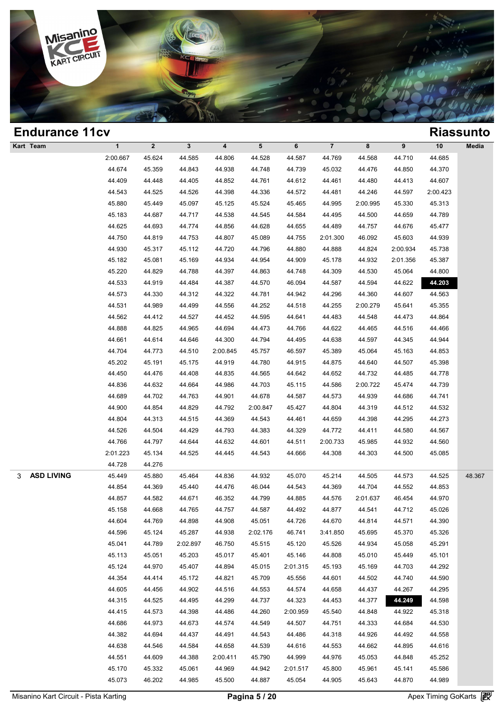

| <b>Endurance 11cv</b>  |              |              |              |          |          |          |                         |          |          |          | <b>Riassunto</b> |
|------------------------|--------------|--------------|--------------|----------|----------|----------|-------------------------|----------|----------|----------|------------------|
| Kart Team              | $\mathbf{1}$ | $\mathbf{2}$ | $\mathbf{3}$ | 4        | 5        | 6        | $\overline{\mathbf{7}}$ | 8        | 9        | $10$     | Media            |
|                        | 2:00.667     | 45.624       | 44.585       | 44.806   | 44.528   | 44.587   | 44.769                  | 44.568   | 44.710   | 44.685   |                  |
|                        | 44.674       | 45.359       | 44.843       | 44.938   | 44.748   | 44.739   | 45.032                  | 44.476   | 44.850   | 44.370   |                  |
|                        | 44.409       | 44.448       | 44.405       | 44.852   | 44.761   | 44.612   | 44.461                  | 44.480   | 44.413   | 44.607   |                  |
|                        | 44.543       | 44.525       | 44.526       | 44.398   | 44.336   | 44.572   | 44.481                  | 44.246   | 44.597   | 2:00.423 |                  |
|                        | 45.880       | 45.449       | 45.097       | 45.125   | 45.524   | 45.465   | 44.995                  | 2:00.995 | 45.330   | 45.313   |                  |
|                        | 45.183       | 44.687       | 44.717       | 44.538   | 44.545   | 44.584   | 44.495                  | 44.500   | 44.659   | 44.789   |                  |
|                        | 44.625       | 44.693       | 44.774       | 44.856   | 44.628   | 44.655   | 44.489                  | 44.757   | 44.676   | 45.477   |                  |
|                        | 44.750       | 44.819       | 44.753       | 44.807   | 45.089   | 44.755   | 2:01.300                | 46.092   | 45.603   | 44.939   |                  |
|                        | 44.930       | 45.317       | 45.112       | 44.720   | 44.796   | 44.880   | 44.888                  | 44.824   | 2:00.934 | 45.738   |                  |
|                        | 45.182       | 45.081       | 45.169       | 44.934   | 44.954   | 44.909   | 45.178                  | 44.932   | 2:01.356 | 45.387   |                  |
|                        | 45.220       | 44.829       | 44.788       | 44.397   | 44.863   | 44.748   | 44.309                  | 44.530   | 45.064   | 44.800   |                  |
|                        | 44.533       | 44.919       | 44.484       | 44.387   | 44.570   | 46.094   | 44.587                  | 44.594   | 44.622   | 44.203   |                  |
|                        | 44.573       | 44.330       | 44.312       | 44.322   | 44.781   | 44.942   | 44.296                  | 44.360   | 44.607   | 44.563   |                  |
|                        | 44.531       | 44.989       | 44.499       | 44.556   | 44.252   | 44.518   | 44.255                  | 2:00.279 | 45.641   | 45.355   |                  |
|                        | 44.562       | 44.412       | 44.527       | 44.452   | 44.595   | 44.641   | 44.483                  | 44.548   | 44.473   | 44.864   |                  |
|                        | 44.888       | 44.825       | 44.965       | 44.694   | 44.473   | 44.766   | 44.622                  | 44.465   | 44.516   | 44.466   |                  |
|                        | 44.661       | 44.614       | 44.646       | 44.300   | 44.794   | 44.495   | 44.638                  | 44.597   | 44.345   | 44.944   |                  |
|                        | 44.704       | 44.773       | 44.510       | 2:00.845 | 45.757   | 46.597   | 45.389                  | 45.064   | 45.163   | 44.853   |                  |
|                        | 45.202       | 45.191       | 45.175       | 44.919   | 44.780   | 44.915   | 44.875                  | 44.640   | 44.507   | 45.398   |                  |
|                        | 44.450       | 44.476       | 44.408       | 44.835   | 44.565   | 44.642   | 44.652                  | 44.732   | 44.485   | 44.778   |                  |
|                        | 44.836       | 44.632       | 44.664       | 44.986   | 44.703   | 45.115   | 44.586                  | 2:00.722 | 45.474   | 44.739   |                  |
|                        | 44.689       | 44.702       | 44.763       | 44.901   | 44.678   | 44.587   | 44.573                  | 44.939   | 44.686   | 44.741   |                  |
|                        | 44.900       | 44.854       | 44.829       | 44.792   | 2:00.847 | 45.427   | 44.804                  | 44.319   | 44.512   | 44.532   |                  |
|                        | 44.804       | 44.313       | 44.515       | 44.369   | 44.543   | 44.461   | 44.659                  | 44.398   | 44.295   | 44.273   |                  |
|                        | 44.526       | 44.504       | 44.429       | 44.793   | 44.383   | 44.329   | 44.772                  | 44.411   | 44.580   | 44.567   |                  |
|                        | 44.766       | 44.797       | 44.644       | 44.632   | 44.601   | 44.511   | 2:00.733                | 45.985   | 44.932   | 44.560   |                  |
|                        | 2:01.223     | 45.134       | 44.525       | 44.445   | 44.543   | 44.666   | 44.308                  | 44.303   | 44.500   | 45.085   |                  |
|                        | 44.728       | 44.276       |              |          |          |          |                         |          |          |          |                  |
| <b>ASD LIVING</b><br>3 | 45.449       | 45.880       | 45.464       | 44.836   | 44.932   | 45.070   | 45.214                  | 44.505   | 44.573   | 44.525   | 48.367           |
|                        | 44.854       | 44.369       | 45.440       | 44.476   | 46.044   | 44.543   | 44.369                  | 44.704   | 44.552   | 44.853   |                  |
|                        | 44.857       | 44.582       | 44.671       | 46.352   | 44.799   | 44.885   | 44.576                  | 2:01.637 | 46.454   | 44.970   |                  |
|                        | 45.158       | 44.668       | 44.765       | 44.757   | 44.587   | 44.492   | 44.877                  | 44.541   | 44.712   | 45.026   |                  |
|                        | 44.604       | 44.769       | 44.898       | 44.908   | 45.051   | 44.726   | 44.670                  | 44.814   | 44.571   | 44.390   |                  |
|                        | 44.596       | 45.124       | 45.287       | 44.938   | 2:02.176 | 46.741   | 3:41.850                | 45.695   | 45.370   | 45.326   |                  |
|                        | 45.041       | 44.789       | 2:02.897     | 46.750   | 45.515   | 45.120   | 45.526                  | 44.934   | 45.058   | 45.291   |                  |
|                        | 45.113       | 45.051       | 45.203       | 45.017   | 45.401   | 45.146   | 44.808                  | 45.010   | 45.449   | 45.101   |                  |
|                        | 45.124       | 44.970       | 45.407       | 44.894   | 45.015   | 2:01.315 | 45.193                  | 45.169   | 44.703   | 44.292   |                  |
|                        | 44.354       | 44.414       | 45.172       | 44.821   | 45.709   | 45.556   | 44.601                  | 44.502   | 44.740   | 44.590   |                  |
|                        | 44.605       | 44.456       | 44.902       | 44.516   | 44.553   | 44.574   | 44.658                  | 44.437   | 44.267   | 44.295   |                  |
|                        | 44.315       | 44.525       | 44.495       | 44.299   | 44.737   | 44.323   | 44.453                  | 44.377   | 44.249   | 44.598   |                  |
|                        | 44.415       | 44.573       | 44.398       | 44.486   | 44.260   | 2:00.959 | 45.540                  | 44.848   | 44.922   | 45.318   |                  |
|                        | 44.686       | 44.973       | 44.673       | 44.574   | 44.549   | 44.507   | 44.751                  | 44.333   | 44.684   | 44.530   |                  |
|                        | 44.382       | 44.694       | 44.437       | 44.491   | 44.543   | 44.486   | 44.318                  | 44.926   | 44.492   | 44.558   |                  |
|                        | 44.638       | 44.546       | 44.584       | 44.658   | 44.539   | 44.616   | 44.553                  | 44.662   | 44.895   | 44.616   |                  |
|                        | 44.551       | 44.609       | 44.388       | 2:00.411 | 45.790   | 44.999   | 44.976                  | 45.053   | 44.848   | 45.252   |                  |
|                        | 45.170       | 45.332       | 45.061       | 44.969   | 44.942   | 2:01.517 | 45.800                  | 45.961   | 45.141   | 45.586   |                  |
|                        | 45.073       | 46.202       | 44.985       | 45.500   | 44.887   | 45.054   | 44.905                  | 45.643   | 44.870   | 44.989   |                  |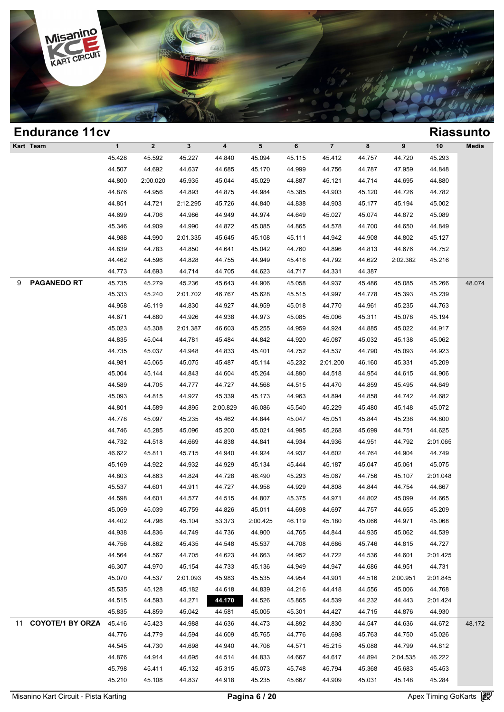

| $\mathbf{1}$<br>$\overline{\mathbf{7}}$<br>Kart Team<br>$\mathbf{2}$<br>$\mathbf{3}$<br>$\overline{\mathbf{4}}$<br>5<br>6<br>8<br>9<br>$10$<br>45.293<br>45.428<br>45.592<br>45.227<br>44.840<br>45.094<br>45.115<br>45.412<br>44.757<br>44.720<br>44.507<br>44.692<br>44.637<br>44.685<br>44.999<br>44.756<br>44.787<br>47.959<br>44.848<br>45.170<br>44.800<br>2:00.020<br>45.935<br>45.044<br>45.029<br>44.887<br>45.121<br>44.714<br>44.695<br>44.880<br>44.876<br>44.956<br>44.893<br>44.875<br>44.984<br>45.385<br>44.903<br>45.120<br>44.726<br>44.782<br>44.851<br>44.721<br>2:12.295<br>45.726<br>44.840<br>44.838<br>44.903<br>45.177<br>45.002<br>45.194<br>44.699<br>44.706<br>44.949<br>44.974<br>45.027<br>45.074<br>45.089<br>44.986<br>44.649<br>44.872 | Media  |
|-------------------------------------------------------------------------------------------------------------------------------------------------------------------------------------------------------------------------------------------------------------------------------------------------------------------------------------------------------------------------------------------------------------------------------------------------------------------------------------------------------------------------------------------------------------------------------------------------------------------------------------------------------------------------------------------------------------------------------------------------------------------------|--------|
|                                                                                                                                                                                                                                                                                                                                                                                                                                                                                                                                                                                                                                                                                                                                                                         |        |
|                                                                                                                                                                                                                                                                                                                                                                                                                                                                                                                                                                                                                                                                                                                                                                         |        |
|                                                                                                                                                                                                                                                                                                                                                                                                                                                                                                                                                                                                                                                                                                                                                                         |        |
|                                                                                                                                                                                                                                                                                                                                                                                                                                                                                                                                                                                                                                                                                                                                                                         |        |
|                                                                                                                                                                                                                                                                                                                                                                                                                                                                                                                                                                                                                                                                                                                                                                         |        |
|                                                                                                                                                                                                                                                                                                                                                                                                                                                                                                                                                                                                                                                                                                                                                                         |        |
|                                                                                                                                                                                                                                                                                                                                                                                                                                                                                                                                                                                                                                                                                                                                                                         |        |
| 45.346<br>44.909<br>44.990<br>44.872<br>45.085<br>44.700<br>44.849<br>44.865<br>44.578<br>44.650                                                                                                                                                                                                                                                                                                                                                                                                                                                                                                                                                                                                                                                                        |        |
| 44.988<br>44.990<br>2:01.335<br>45.645<br>45.108<br>45.111<br>44.942<br>44.908<br>44.802<br>45.127                                                                                                                                                                                                                                                                                                                                                                                                                                                                                                                                                                                                                                                                      |        |
| 44.839<br>44.783<br>44.641<br>44.760<br>44.752<br>44.850<br>45.042<br>44.896<br>44.813<br>44.676                                                                                                                                                                                                                                                                                                                                                                                                                                                                                                                                                                                                                                                                        |        |
| 44.462<br>44.596<br>44.828<br>44.755<br>44.949<br>45.416<br>44.792<br>44.622<br>2:02.382<br>45.216                                                                                                                                                                                                                                                                                                                                                                                                                                                                                                                                                                                                                                                                      |        |
| 44.773<br>44.693<br>44.714<br>44.705<br>44.623<br>44.717<br>44.331<br>44.387                                                                                                                                                                                                                                                                                                                                                                                                                                                                                                                                                                                                                                                                                            |        |
| <b>PAGANEDO RT</b><br>9<br>45.735<br>45.279<br>45.236<br>45.643<br>44.906<br>45.058<br>44.937<br>45.486<br>45.085<br>45.266                                                                                                                                                                                                                                                                                                                                                                                                                                                                                                                                                                                                                                             | 48.074 |
| 45.333<br>45.240<br>45.628<br>44.778<br>45.239<br>2:01.702<br>46.767<br>45.515<br>44.997<br>45.393                                                                                                                                                                                                                                                                                                                                                                                                                                                                                                                                                                                                                                                                      |        |
| 44.958<br>46.119<br>44.830<br>44.927<br>44.959<br>45.018<br>44.770<br>44.961<br>45.235<br>44.763                                                                                                                                                                                                                                                                                                                                                                                                                                                                                                                                                                                                                                                                        |        |
| 44.671<br>44.880<br>44.926<br>44.938<br>45.194<br>44.973<br>45.085<br>45.006<br>45.311<br>45.078                                                                                                                                                                                                                                                                                                                                                                                                                                                                                                                                                                                                                                                                        |        |
| 45.023<br>45.308<br>2:01.387<br>46.603<br>45.255<br>44.959<br>44.924<br>44.885<br>45.022<br>44.917                                                                                                                                                                                                                                                                                                                                                                                                                                                                                                                                                                                                                                                                      |        |
| 44.835<br>45.044<br>44.781<br>45.484<br>44.842<br>44.920<br>45.032<br>45.062<br>45.087<br>45.138                                                                                                                                                                                                                                                                                                                                                                                                                                                                                                                                                                                                                                                                        |        |
| 44.735<br>45.037<br>44.948<br>44.833<br>44.752<br>44.537<br>44.790<br>44.923<br>45.401<br>45.093                                                                                                                                                                                                                                                                                                                                                                                                                                                                                                                                                                                                                                                                        |        |
| 44.981<br>45.232<br>45.209<br>45.065<br>45.075<br>45.487<br>45.114<br>2:01.200<br>46.160<br>45.331                                                                                                                                                                                                                                                                                                                                                                                                                                                                                                                                                                                                                                                                      |        |
| 45.004<br>45.144<br>44.843<br>44.604<br>45.264<br>44.890<br>44.518<br>44.954<br>44.615<br>44.906                                                                                                                                                                                                                                                                                                                                                                                                                                                                                                                                                                                                                                                                        |        |
| 44.589<br>44.705<br>44.777<br>44.727<br>44.568<br>44.515<br>44.859<br>44.649<br>44.470<br>45.495                                                                                                                                                                                                                                                                                                                                                                                                                                                                                                                                                                                                                                                                        |        |
| 45.093<br>44.815<br>44.927<br>45.339<br>44.858<br>44.682<br>45.173<br>44.963<br>44.894<br>44.742                                                                                                                                                                                                                                                                                                                                                                                                                                                                                                                                                                                                                                                                        |        |
| 44.801<br>44.589<br>45.229<br>45.072<br>44.895<br>2:00.829<br>46.086<br>45.540<br>45.480<br>45.148                                                                                                                                                                                                                                                                                                                                                                                                                                                                                                                                                                                                                                                                      |        |
| 44.778<br>45.235<br>44.800<br>45.097<br>45.462<br>44.844<br>45.047<br>45.051<br>45.844<br>45.238                                                                                                                                                                                                                                                                                                                                                                                                                                                                                                                                                                                                                                                                        |        |
| 44.746<br>45.285<br>45.096<br>45.200<br>45.021<br>44.995<br>45.268<br>45.699<br>44.625<br>44.751                                                                                                                                                                                                                                                                                                                                                                                                                                                                                                                                                                                                                                                                        |        |
| 44.732<br>44.518<br>44.669<br>44.838<br>44.841<br>44.934<br>44.936<br>44.951<br>44.792<br>2:01.065                                                                                                                                                                                                                                                                                                                                                                                                                                                                                                                                                                                                                                                                      |        |
| 46.622<br>45.811<br>45.715<br>44.940<br>44.924<br>44.937<br>44.602<br>44.764<br>44.904<br>44.749                                                                                                                                                                                                                                                                                                                                                                                                                                                                                                                                                                                                                                                                        |        |
| 45.169<br>44.922<br>44.932<br>44.929<br>45.134<br>45.444<br>45.187<br>45.047<br>45.061<br>45.075                                                                                                                                                                                                                                                                                                                                                                                                                                                                                                                                                                                                                                                                        |        |
| 44.803<br>44.863<br>44.824<br>44.728<br>46.490<br>45.293<br>45.067<br>44.756<br>45.107<br>2:01.048                                                                                                                                                                                                                                                                                                                                                                                                                                                                                                                                                                                                                                                                      |        |
| 45.537<br>44.601<br>44.808<br>44.844<br>44.911<br>44.727<br>44.958<br>44.929<br>44.754<br>44.667                                                                                                                                                                                                                                                                                                                                                                                                                                                                                                                                                                                                                                                                        |        |
| 44.598<br>44.601<br>44.577<br>44.515<br>44.807<br>45.375<br>44.971<br>44.802<br>45.099<br>44.665                                                                                                                                                                                                                                                                                                                                                                                                                                                                                                                                                                                                                                                                        |        |
| 45.059<br>45.209<br>45.039<br>45.759<br>44.826<br>45.011<br>44.698<br>44.697<br>44.757<br>44.655                                                                                                                                                                                                                                                                                                                                                                                                                                                                                                                                                                                                                                                                        |        |
| 44.402<br>44.796<br>45.104<br>53.373<br>2:00.425<br>46.119<br>45.180<br>45.066<br>44.971<br>45.068                                                                                                                                                                                                                                                                                                                                                                                                                                                                                                                                                                                                                                                                      |        |
| 44.938<br>44.836<br>44.900<br>44.935<br>44.749<br>44.736<br>44.765<br>44.844<br>45.062<br>44.539                                                                                                                                                                                                                                                                                                                                                                                                                                                                                                                                                                                                                                                                        |        |
| 44.756<br>44.862<br>44.548<br>45.537<br>44.708<br>45.746<br>44.727<br>45.435<br>44.686<br>44.815                                                                                                                                                                                                                                                                                                                                                                                                                                                                                                                                                                                                                                                                        |        |
| 44.564<br>44.567<br>44.663<br>44.536<br>44.705<br>44.623<br>44.952<br>44.722<br>44.601<br>2:01.425                                                                                                                                                                                                                                                                                                                                                                                                                                                                                                                                                                                                                                                                      |        |
| 46.307<br>44.970<br>45.154<br>44.949<br>44.686<br>44.731<br>44.733<br>45.136<br>44.947<br>44.951                                                                                                                                                                                                                                                                                                                                                                                                                                                                                                                                                                                                                                                                        |        |
| 45.070<br>44.537<br>45.535<br>44.954<br>44.901<br>44.516<br>2:01.093<br>45.983<br>2:00.951<br>2:01.845                                                                                                                                                                                                                                                                                                                                                                                                                                                                                                                                                                                                                                                                  |        |
| 45.535<br>45.128<br>45.182<br>44.618<br>44.839<br>44.216<br>44.418<br>44.556<br>44.768<br>45.006                                                                                                                                                                                                                                                                                                                                                                                                                                                                                                                                                                                                                                                                        |        |
| 44.515<br>44.593<br>44.271<br>44.170<br>44.526<br>45.865<br>44.539<br>44.232<br>44.443<br>2:01.424                                                                                                                                                                                                                                                                                                                                                                                                                                                                                                                                                                                                                                                                      |        |
| 45.835<br>45.042<br>44.859<br>44.581<br>45.005<br>45.301<br>44.427<br>44.715<br>44.876<br>44.930                                                                                                                                                                                                                                                                                                                                                                                                                                                                                                                                                                                                                                                                        |        |
| <b>COYOTE/1 BY ORZA</b><br>45.416<br>45.423<br>44.988<br>44.473<br>44.547<br>11<br>44.636<br>44.892<br>44.830<br>44.636<br>44.672                                                                                                                                                                                                                                                                                                                                                                                                                                                                                                                                                                                                                                       | 48.172 |
| 44.776<br>44.779<br>44.594<br>44.609<br>45.765<br>45.763<br>45.026<br>44.776<br>44.698<br>44.750                                                                                                                                                                                                                                                                                                                                                                                                                                                                                                                                                                                                                                                                        |        |
| 44.545<br>44.730<br>44.940<br>44.708<br>45.088<br>44.698<br>44.571<br>45.215<br>44.799<br>44.812                                                                                                                                                                                                                                                                                                                                                                                                                                                                                                                                                                                                                                                                        |        |
| 44.876<br>44.914<br>44.695<br>44.514<br>44.833<br>44.667<br>44.617<br>44.894<br>46.222<br>2:04.535                                                                                                                                                                                                                                                                                                                                                                                                                                                                                                                                                                                                                                                                      |        |
| 45.798<br>45.411<br>45.132<br>45.315<br>45.073<br>45.748<br>45.794<br>45.368<br>45.683<br>45.453                                                                                                                                                                                                                                                                                                                                                                                                                                                                                                                                                                                                                                                                        |        |
| 45.210<br>45.108<br>44.918<br>45.235<br>45.031<br>45.284<br>44.837<br>45.667<br>44.909<br>45.148                                                                                                                                                                                                                                                                                                                                                                                                                                                                                                                                                                                                                                                                        |        |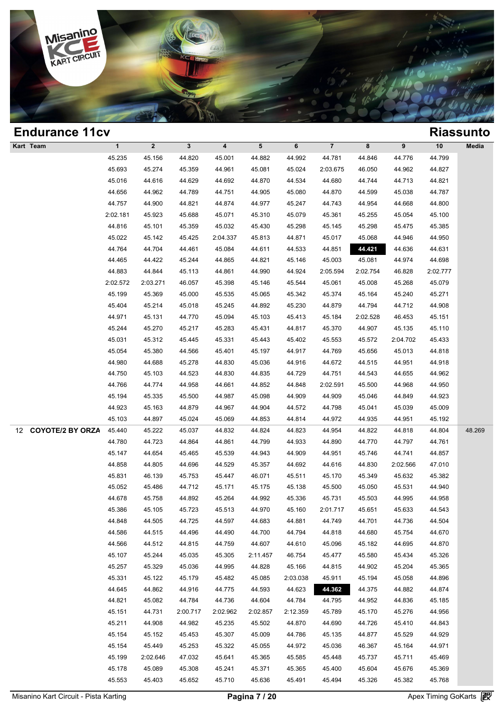

| <b>Endurance 11cv</b>         |              |              |              |                         |          |          |                         |          |          |          | <b>Riassunto</b> |
|-------------------------------|--------------|--------------|--------------|-------------------------|----------|----------|-------------------------|----------|----------|----------|------------------|
| Kart Team                     | $\mathbf{1}$ | $\mathbf{2}$ | $\mathbf{3}$ | $\overline{\mathbf{4}}$ | 5        | 6        | $\overline{\mathbf{7}}$ | 8        | 9        | $10$     | Media            |
|                               | 45.235       | 45.156       | 44.820       | 45.001                  | 44.882   | 44.992   | 44.781                  | 44.846   | 44.776   | 44.799   |                  |
|                               | 45.693       | 45.274       | 45.359       | 44.961                  | 45.081   | 45.024   | 2:03.675                | 46.050   | 44.962   | 44.827   |                  |
|                               | 45.016       | 44.616       | 44.629       | 44.692                  | 44.870   | 44.534   | 44.680                  | 44.744   | 44.713   | 44.821   |                  |
|                               | 44.656       | 44.962       | 44.789       | 44.751                  | 44.905   | 45.080   | 44.870                  | 44.599   | 45.038   | 44.787   |                  |
|                               | 44.757       | 44.900       | 44.821       | 44.874                  | 44.977   | 45.247   | 44.743                  | 44.954   | 44.668   | 44.800   |                  |
|                               | 2:02.181     | 45.923       | 45.688       | 45.071                  | 45.310   | 45.079   | 45.361                  | 45.255   | 45.054   | 45.100   |                  |
|                               | 44.816       | 45.101       | 45.359       | 45.032                  | 45.430   | 45.298   | 45.145                  | 45.298   | 45.475   | 45.385   |                  |
|                               | 45.022       | 45.142       | 45.425       | 2:04.337                | 45.813   | 44.871   | 45.017                  | 45.068   | 44.946   | 44.950   |                  |
|                               | 44.764       | 44.704       | 44.461       | 45.084                  | 44.611   | 44.533   | 44.851                  | 44.421   | 44.636   | 44.631   |                  |
|                               | 44.465       | 44.422       | 45.244       | 44.865                  | 44.821   | 45.146   | 45.003                  | 45.081   | 44.974   | 44.698   |                  |
|                               | 44.883       | 44.844       | 45.113       | 44.861                  | 44.990   | 44.924   | 2:05.594                | 2:02.754 | 46.828   | 2:02.777 |                  |
|                               | 2:02.572     | 2:03.271     | 46.057       | 45.398                  | 45.146   | 45.544   | 45.061                  | 45.008   | 45.268   | 45.079   |                  |
|                               | 45.199       | 45.369       | 45.000       | 45.535                  | 45.065   | 45.342   | 45.374                  | 45.164   | 45.240   | 45.271   |                  |
|                               | 45.404       | 45.214       | 45.018       | 45.245                  | 44.892   | 45.230   | 44.879                  | 44.794   | 44.712   | 44.908   |                  |
|                               | 44.971       | 45.131       | 44.770       | 45.094                  | 45.103   | 45.413   | 45.184                  | 2:02.528 | 46.453   | 45.151   |                  |
|                               | 45.244       | 45.270       | 45.217       | 45.283                  | 45.431   | 44.817   | 45.370                  | 44.907   | 45.135   | 45.110   |                  |
|                               | 45.031       | 45.312       | 45.445       | 45.331                  | 45.443   | 45.402   | 45.553                  | 45.572   | 2:04.702 | 45.433   |                  |
|                               | 45.054       | 45.380       | 44.566       | 45.401                  | 45.197   | 44.917   | 44.769                  | 45.656   | 45.013   | 44.818   |                  |
|                               | 44.980       | 44.688       | 45.278       | 44.830                  | 45.036   | 44.916   | 44.672                  | 44.515   | 44.951   | 44.918   |                  |
|                               | 44.750       | 45.103       | 44.523       | 44.830                  | 44.835   | 44.729   | 44.751                  | 44.543   | 44.655   | 44.962   |                  |
|                               | 44.766       | 44.774       | 44.958       | 44.661                  | 44.852   | 44.848   | 2:02.591                | 45.500   | 44.968   | 44.950   |                  |
|                               | 45.194       | 45.335       | 45.500       | 44.987                  | 45.098   | 44.909   | 44.909                  | 45.046   | 44.849   | 44.923   |                  |
|                               | 44.923       | 45.163       | 44.879       | 44.967                  | 44.904   | 44.572   | 44.798                  | 45.041   | 45.039   | 45.009   |                  |
|                               | 45.103       | 44.897       | 45.024       | 45.069                  | 44.853   | 44.814   | 44.972                  | 44.935   | 44.951   | 45.192   |                  |
| <b>COYOTE/2 BY ORZA</b><br>12 | 45.440       | 45.222       | 45.037       | 44.832                  | 44.824   | 44.823   | 44.954                  | 44.822   | 44.818   | 44.804   | 48.269           |
|                               | 44.780       | 44.723       | 44.864       | 44.861                  | 44.799   | 44.933   | 44.890                  | 44.770   | 44.797   | 44.761   |                  |
|                               | 45.147       | 44.654       | 45.465       | 45.539                  | 44.943   | 44.909   | 44.951                  | 45.746   | 44.741   | 44.857   |                  |
|                               | 44.858       | 44.805       | 44.696       | 44.529                  | 45.357   | 44.692   | 44.616                  | 44.830   | 2:02.566 | 47.010   |                  |
|                               | 45.831       | 46.139       | 45.753       | 45.447                  | 46.071   | 45.511   | 45.170                  | 45.349   | 45.632   | 45.382   |                  |
|                               | 45.052       | 45.486       | 44.712       | 45.171                  | 45.175   | 45.138   | 45.500                  | 45.050   | 45.531   | 44.940   |                  |
|                               | 44.678       | 45.758       | 44.892       | 45.264                  | 44.992   | 45.336   | 45.731                  | 45.503   | 44.995   | 44.958   |                  |
|                               | 45.386       | 45.105       | 45.723       | 45.513                  | 44.970   | 45.160   | 2:01.717                | 45.651   | 45.633   | 44.543   |                  |
|                               | 44.848       | 44.505       | 44.725       | 44.597                  | 44.683   | 44.881   | 44.749                  | 44.701   | 44.736   | 44.504   |                  |
|                               | 44.586       | 44.515       | 44.496       | 44.490                  | 44.700   | 44.794   | 44.818                  | 44.680   | 45.754   | 44.670   |                  |
|                               | 44.566       | 44.512       | 44.815       | 44.759                  | 44.607   | 44.610   | 45.096                  | 45.182   | 44.695   | 44.870   |                  |
|                               | 45.107       | 45.244       | 45.035       | 45.305                  | 2:11.457 | 46.754   | 45.477                  | 45.580   | 45.434   | 45.326   |                  |
|                               | 45.257       | 45.329       | 45.036       | 44.995                  | 44.828   | 45.166   | 44.815                  | 44.902   | 45.204   | 45.365   |                  |
|                               | 45.331       | 45.122       | 45.179       | 45.482                  | 45.085   | 2:03.038 | 45.911                  | 45.194   | 45.058   | 44.896   |                  |
|                               | 44.645       | 44.862       | 44.916       | 44.775                  | 44.593   | 44.623   | 44.362                  | 44.375   | 44.882   | 44.874   |                  |
|                               | 44.821       | 45.082       | 44.784       | 44.736                  | 44.604   | 44.784   | 44.795                  | 44.952   | 44.836   | 45.185   |                  |
|                               | 45.151       | 44.731       | 2:00.717     | 2:02.962                | 2:02.857 | 2:12.359 | 45.789                  | 45.170   | 45.276   | 44.956   |                  |
|                               | 45.211       | 44.908       | 44.982       | 45.235                  | 45.502   | 44.870   | 44.690                  | 44.726   | 45.410   | 44.843   |                  |
|                               | 45.154       | 45.152       | 45.453       | 45.307                  | 45.009   | 44.786   | 45.135                  | 44.877   | 45.529   | 44.929   |                  |
|                               | 45.154       | 45.449       | 45.253       | 45.322                  | 45.055   | 44.972   | 45.036                  | 46.367   | 45.164   | 44.971   |                  |
|                               | 45.199       | 2:02.646     | 47.032       | 45.641                  | 45.365   | 45.585   | 45.448                  | 45.737   | 45.711   | 45.469   |                  |
|                               | 45.178       | 45.089       | 45.308       | 45.241                  | 45.371   | 45.365   | 45.400                  | 45.604   | 45.676   | 45.369   |                  |
|                               | 45.553       | 45.403       | 45.652       | 45.710                  | 45.636   | 45.491   | 45.494                  | 45.326   | 45.382   | 45.768   |                  |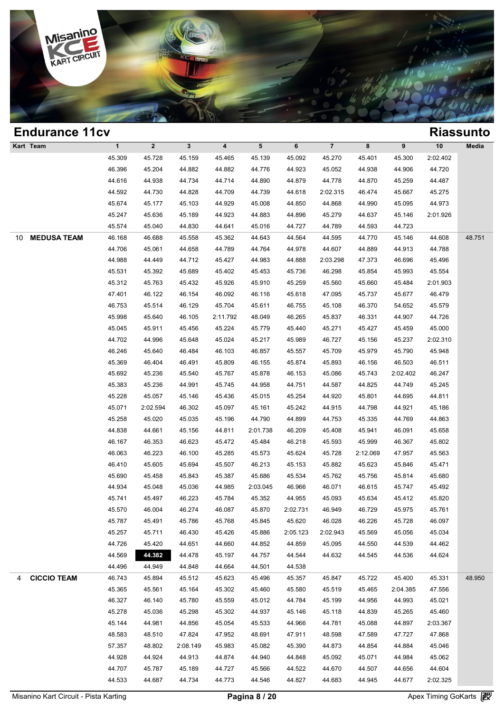

| <b>Endurance 11cv</b>    |              |              |              |          |          |          |                |          |          |          | <b>Riassunto</b> |
|--------------------------|--------------|--------------|--------------|----------|----------|----------|----------------|----------|----------|----------|------------------|
| Kart Team                | $\mathbf{1}$ | $\mathbf{2}$ | $\mathbf{3}$ | 4        | 5        | 6        | $\overline{7}$ | 8        | 9        | 10       | Media            |
|                          | 45.309       | 45.728       | 45.159       | 45.465   | 45.139   | 45.092   | 45.270         | 45.401   | 45.300   | 2:02.402 |                  |
|                          | 46.396       | 45.204       | 44.882       | 44.882   | 44.776   | 44.923   | 45.052         | 44.938   | 44.906   | 44.720   |                  |
|                          | 44.616       | 44.938       | 44.734       | 44.714   | 44.890   | 44.879   | 44.778         | 44.870   | 45.259   | 44.487   |                  |
|                          | 44.592       | 44.730       | 44.828       | 44.709   | 44.739   | 44.618   | 2:02.315       | 46.474   | 45.667   | 45.275   |                  |
|                          | 45.674       | 45.177       | 45.103       | 44.929   | 45.008   | 44.850   | 44.868         | 44.990   | 45.095   | 44.973   |                  |
|                          | 45.247       | 45.636       | 45.189       | 44.923   | 44.883   | 44.896   | 45.279         | 44.637   | 45.146   | 2:01.926 |                  |
|                          | 45.574       | 45.040       | 44.830       | 44.641   | 45.016   | 44.727   | 44.789         | 44.593   | 44.723   |          |                  |
| <b>MEDUSA TEAM</b><br>10 | 46.168       | 46.688       | 45.558       | 45.362   | 44.643   | 44.564   | 44.595         | 44.770   | 45.146   | 44.608   | 48.751           |
|                          | 44.706       | 45.061       | 44.658       | 44.789   | 44.764   | 44.978   | 44.607         | 44.889   | 44.913   | 44.788   |                  |
|                          | 44.988       | 44.449       | 44.712       | 45.427   | 44.983   | 44.888   | 2:03.298       | 47.373   | 46.696   | 45.496   |                  |
|                          | 45.531       | 45.392       | 45.689       | 45.402   | 45.453   | 45.736   | 46.298         | 45.854   | 45.993   | 45.554   |                  |
|                          | 45.312       | 45.763       | 45.432       | 45.926   | 45.910   | 45.259   | 45.560         | 45.660   | 45.484   | 2:01.903 |                  |
|                          | 47.401       | 46.122       | 46.154       | 46.092   | 46.116   | 45.618   | 47.095         | 45.737   | 45.677   | 46.479   |                  |
|                          | 46.753       | 45.514       | 46.129       | 45.704   | 45.611   | 46.755   | 45.108         | 46.370   | 54.652   | 45.579   |                  |
|                          | 45.998       | 45.640       | 46.105       | 2:11.792 | 48.049   | 46.265   | 45.837         | 46.331   | 44.907   | 44.726   |                  |
|                          | 45.045       | 45.911       | 45.456       | 45.224   | 45.779   | 45.440   | 45.271         | 45.427   | 45.459   | 45.000   |                  |
|                          | 44.702       | 44.996       | 45.648       | 45.024   | 45.217   | 45.989   | 46.727         | 45.156   | 45.237   | 2:02.310 |                  |
|                          | 46.246       | 45.640       | 46.484       | 46.103   | 46.857   | 45.557   | 45.709         | 45.979   | 45.790   | 45.948   |                  |
|                          | 45.369       | 46.404       | 46.491       | 45.809   | 46.155   | 45.874   | 45.893         | 46.156   | 46.503   | 46.511   |                  |
|                          | 45.692       | 45.236       | 45.540       | 45.767   | 45.878   | 46.153   | 45.086         | 45.743   | 2:02.402 | 46.247   |                  |
|                          | 45.383       | 45.236       | 44.991       | 45.745   | 44.958   | 44.751   | 44.587         | 44.825   | 44.749   | 45.245   |                  |
|                          | 45.228       | 45.057       | 45.146       | 45.436   | 45.015   | 45.254   | 44.920         | 45.801   | 44.695   | 44.811   |                  |
|                          | 45.071       | 2:02.594     | 46.302       | 45.097   | 45.161   | 45.242   | 44.915         | 44.798   | 44.921   | 45.186   |                  |
|                          | 45.258       | 45.020       | 45.035       | 45.196   | 44.790   | 44.899   | 44.753         | 45.335   | 44.769   | 44.863   |                  |
|                          | 44.838       | 44.661       | 45.156       | 44.811   | 2:01.738 | 46.209   | 45.408         | 45.941   | 46.091   | 45.658   |                  |
|                          | 46.167       | 46.353       | 46.623       | 45.472   | 45.484   | 46.218   | 45.593         | 45.999   | 46.367   | 45.802   |                  |
|                          | 46.063       | 46.223       | 46.100       | 45.285   | 45.573   | 45.624   | 45.728         | 2:12.069 | 47.957   | 45.563   |                  |
|                          | 46.410       | 45.605       | 45.694       | 45.507   | 46.213   | 45.153   | 45.882         | 45.623   | 45.846   | 45.471   |                  |
|                          | 45.690       | 45.458       | 45.843       | 45.387   | 45.686   | 45.534   | 45.762         | 45.756   | 45.814   | 45.680   |                  |
|                          | 44.934       | 45.048       | 45.036       | 44.985   | 2:03.045 | 46.966   | 46.071         | 46.615   | 45.747   | 45.492   |                  |
|                          | 45.741       | 45.497       | 46.223       | 45.784   | 45.352   | 44.955   | 45.093         | 45.634   | 45.412   | 45.820   |                  |
|                          | 45.570       | 46.004       | 46.274       | 46.087   | 45.870   | 2:02.731 | 46.949         | 46.729   | 45.975   | 45.761   |                  |
|                          | 45.787       | 45.491       | 45.786       | 45.768   | 45.845   | 45.620   | 46.028         | 46.226   | 45.728   | 46.097   |                  |
|                          | 45.257       | 45.711       | 46.430       | 45.426   | 45.886   | 2:05.123 | 2:02.943       | 45.569   | 45.056   | 45.034   |                  |
|                          | 44.726       | 45.420       | 44.651       | 44.660   | 44.852   | 44.859   | 45.095         | 44.550   | 44.539   | 44.462   |                  |
|                          | 44.569       | 44.382       | 44.478       | 45.197   | 44.757   | 44.544   | 44.632         | 44.545   | 44.536   | 44.624   |                  |
|                          | 44.496       | 44.949       | 44.848       | 44.664   | 44.501   | 44.538   |                |          |          |          |                  |
| <b>CICCIO TEAM</b><br>4  | 46.743       | 45.894       | 45.512       | 45.623   | 45.496   | 45.357   | 45.847         | 45.722   | 45.400   | 45.331   | 48.950           |
|                          | 45.365       | 45.561       | 45.164       | 45.302   | 45.460   | 45.580   | 45.519         | 45.465   | 2:04.385 | 47.556   |                  |
|                          | 46.327       | 46.140       | 45.780       | 45.559   | 45.012   | 44.784   | 45.199         | 44.956   | 44.993   | 45.021   |                  |
|                          | 45.278       | 45.036       | 45.298       | 45.302   | 44.937   | 45.146   | 45.118         | 44.839   | 45.265   | 45.460   |                  |
|                          | 45.144       | 44.981       | 44.856       | 45.054   | 45.533   | 44.966   | 44.781         | 45.088   | 44.897   | 2:03.367 |                  |
|                          | 48.583       | 48.510       | 47.824       | 47.952   | 48.691   | 47.911   | 48.598         | 47.589   | 47.727   | 47.868   |                  |
|                          | 57.357       | 48.802       | 2:08.149     | 45.983   | 45.082   | 45.390   | 44.873         | 44.854   | 44.884   | 45.046   |                  |
|                          | 44.928       | 44.924       | 44.913       | 44.874   | 44.940   | 44.848   | 45.092         | 45.071   | 44.984   | 45.062   |                  |
|                          | 44.707       | 45.787       | 45.189       | 44.727   | 45.566   | 44.522   | 44.670         | 44.507   | 44.656   | 44.604   |                  |
|                          | 44.533       | 44.687       | 44.734       | 44.773   | 44.546   | 44.827   | 44.683         | 44.945   | 44.677   | 2:02.325 |                  |
|                          |              |              |              |          |          |          |                |          |          |          |                  |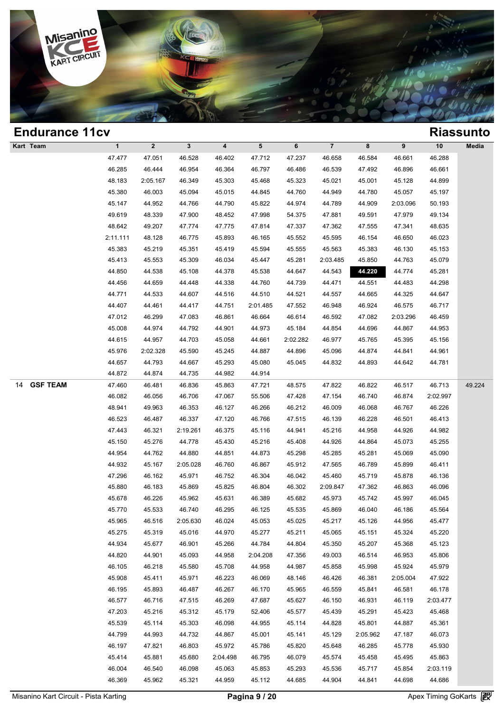

| <b>Endurance 11cv</b> |              |              |              |                         |          |          |                         |          |          |          | <b>Riassunto</b> |
|-----------------------|--------------|--------------|--------------|-------------------------|----------|----------|-------------------------|----------|----------|----------|------------------|
| Kart Team             | $\mathbf{1}$ | $\mathbf{2}$ | $\mathbf{3}$ | $\overline{\mathbf{4}}$ | 5        | 6        | $\overline{\mathbf{7}}$ | 8        | 9        | $10$     | Media            |
|                       | 47.477       | 47.051       | 46.528       | 46.402                  | 47.712   | 47.237   | 46.658                  | 46.584   | 46.661   | 46.288   |                  |
|                       | 46.285       | 46.444       | 46.954       | 46.364                  | 46.797   | 46.486   | 46.539                  | 47.492   | 46.896   | 46.661   |                  |
|                       | 48.183       | 2:05.167     | 46.349       | 45.303                  | 45.468   | 45.323   | 45.021                  | 45.001   | 45.128   | 44.899   |                  |
|                       | 45.380       | 46.003       | 45.094       | 45.015                  | 44.845   | 44.760   | 44.949                  | 44.780   | 45.057   | 45.197   |                  |
|                       | 45.147       | 44.952       | 44.766       | 44.790                  | 45.822   | 44.974   | 44.789                  | 44.909   | 2:03.096 | 50.193   |                  |
|                       | 49.619       | 48.339       | 47.900       | 48.452                  | 47.998   | 54.375   | 47.881                  | 49.591   | 47.979   | 49.134   |                  |
|                       | 48.642       | 49.207       | 47.774       | 47.775                  | 47.814   | 47.337   | 47.362                  | 47.555   | 47.341   | 48.635   |                  |
|                       | 2:11.111     | 48.128       | 46.775       | 45.893                  | 46.165   | 45.552   | 45.595                  | 46.154   | 46.650   | 46.023   |                  |
|                       | 45.383       | 45.219       | 45.351       | 45.419                  | 45.594   | 45.555   | 45.563                  | 45.383   | 46.130   | 45.153   |                  |
|                       | 45.413       | 45.553       | 45.309       | 46.034                  | 45.447   | 45.281   | 2:03.485                | 45.850   | 44.763   | 45.079   |                  |
|                       | 44.850       | 44.538       | 45.108       | 44.378                  | 45.538   | 44.647   | 44.543                  | 44.220   | 44.774   | 45.281   |                  |
|                       | 44.456       | 44.659       | 44.448       | 44.338                  | 44.760   | 44.739   | 44.471                  | 44.551   | 44.483   | 44.298   |                  |
|                       | 44.771       | 44.533       | 44.607       | 44.516                  | 44.510   | 44.521   | 44.557                  | 44.665   | 44.325   | 44.647   |                  |
|                       | 44.407       | 44.461       | 44.417       | 44.751                  | 2:01.485 | 47.552   | 46.948                  | 46.924   | 46.575   | 46.717   |                  |
|                       | 47.012       | 46.299       | 47.083       | 46.861                  | 46.664   | 46.614   | 46.592                  | 47.082   | 2:03.296 | 46.459   |                  |
|                       | 45.008       | 44.974       | 44.792       | 44.901                  | 44.973   | 45.184   | 44.854                  | 44.696   | 44.867   | 44.953   |                  |
|                       | 44.615       | 44.957       | 44.703       | 45.058                  | 44.661   | 2:02.282 | 46.977                  | 45.765   | 45.395   | 45.156   |                  |
|                       | 45.976       | 2:02.328     | 45.590       | 45.245                  | 44.887   | 44.896   | 45.096                  | 44.874   | 44.841   | 44.961   |                  |
|                       | 44.657       | 44.793       | 44.667       | 45.293                  | 45.080   | 45.045   | 44.832                  | 44.893   | 44.642   | 44.781   |                  |
|                       | 44.872       | 44.874       | 44.735       | 44.982                  | 44.914   |          |                         |          |          |          |                  |
| <b>GSF TEAM</b><br>14 | 47.460       | 46.481       | 46.836       | 45.863                  | 47.721   | 48.575   | 47.822                  | 46.822   | 46.517   | 46.713   | 49.224           |
|                       | 46.082       | 46.056       | 46.706       | 47.067                  | 55.506   | 47.428   | 47.154                  | 46.740   | 46.874   | 2:02.997 |                  |
|                       | 48.941       | 49.963       | 46.353       | 46.127                  | 46.266   | 46.212   | 46.009                  | 46.068   | 46.767   | 46.226   |                  |
|                       | 46.523       | 46.487       | 46.337       | 47.120                  | 46.766   | 47.515   | 46.139                  | 46.228   | 46.501   | 46.413   |                  |
|                       | 47.443       | 46.321       | 2:19.261     | 46.375                  | 45.116   | 44.941   | 45.216                  | 44.958   | 44.926   | 44.982   |                  |
|                       | 45.150       | 45.276       | 44.778       | 45.430                  | 45.216   | 45.408   | 44.926                  | 44.864   | 45.073   | 45.255   |                  |
|                       | 44.954       | 44.762       | 44.880       | 44.851                  | 44.873   | 45.298   | 45.285                  | 45.281   | 45.069   | 45.090   |                  |
|                       | 44.932       | 45.167       | 2:05.028     | 46.760                  | 46.867   | 45.912   | 47.565                  | 46.789   | 45.899   | 46.411   |                  |
|                       | 47.296       | 46.162       | 45.971       | 46.752                  | 46.304   | 46.042   | 45.460                  | 45.719   | 45.878   | 46.136   |                  |
|                       | 45.880       | 46.183       | 45.869       | 45.825                  | 46.804   | 46.302   | 2:09.847                | 47.362   | 46.863   | 46.096   |                  |
|                       | 45.678       | 46.226       | 45.962       | 45.631                  | 46.389   | 45.682   | 45.973                  | 45.742   | 45.997   | 46.045   |                  |
|                       | 45.770       | 45.533       | 46.740       | 46.295                  | 46.125   | 45.535   | 45.869                  | 46.040   | 46.186   | 45.564   |                  |
|                       | 45.965       | 46.516       | 2:05.630     | 46.024                  | 45.053   | 45.025   | 45.217                  | 45.126   | 44.956   | 45.477   |                  |
|                       | 45.275       | 45.319       | 45.016       | 44.970                  | 45.277   | 45.211   | 45.065                  | 45.151   | 45.324   | 45.220   |                  |
|                       | 44.934       | 45.677       | 46.901       | 45.266                  | 44.784   | 44.804   | 45.350                  | 45.207   | 45.368   | 45.123   |                  |
|                       | 44.820       | 44.901       | 45.093       | 44.958                  | 2:04.208 | 47.356   | 49.003                  | 46.514   | 46.953   | 45.806   |                  |
|                       | 46.105       | 46.218       | 45.580       | 45.708                  | 44.958   | 44.987   | 45.858                  | 45.998   | 45.924   | 45.979   |                  |
|                       | 45.908       | 45.411       | 45.971       | 46.223                  | 46.069   | 48.146   | 46.426                  | 46.381   | 2:05.004 | 47.922   |                  |
|                       | 46.195       | 45.893       | 46.487       | 46.267                  | 46.170   | 45.965   | 46.559                  | 45.841   | 46.581   | 46.178   |                  |
|                       |              |              |              |                         |          |          |                         |          |          |          |                  |
|                       | 46.577       | 46.716       | 47.515       | 46.269                  | 47.687   | 45.627   | 46.150                  | 46.931   | 46.119   | 2:03.477 |                  |
|                       | 47.203       | 45.216       | 45.312       | 45.179                  | 52.406   | 45.577   | 45.439                  | 45.291   | 45.423   | 45.468   |                  |
|                       | 45.539       | 45.114       | 45.303       | 46.098                  | 44.955   | 45.114   | 44.828                  | 45.801   | 44.887   | 45.361   |                  |
|                       | 44.799       | 44.993       | 44.732       | 44.867                  | 45.001   | 45.141   | 45.129                  | 2:05.962 | 47.187   | 46.073   |                  |
|                       | 46.197       | 47.821       | 46.803       | 45.972                  | 45.786   | 45.820   | 45.648                  | 46.285   | 45.778   | 45.930   |                  |
|                       | 45.414       | 45.881       | 45.680       | 2:04.498                | 46.795   | 46.079   | 45.574                  | 45.458   | 45.495   | 45.863   |                  |
|                       | 46.004       | 46.540       | 46.098       | 45.063                  | 45.853   | 45.293   | 45.536                  | 45.717   | 45.854   | 2:03.119 |                  |
|                       | 46.369       | 45.962       | 45.321       | 44.959                  | 45.112   | 44.685   | 44.904                  | 44.841   | 44.698   | 44.686   |                  |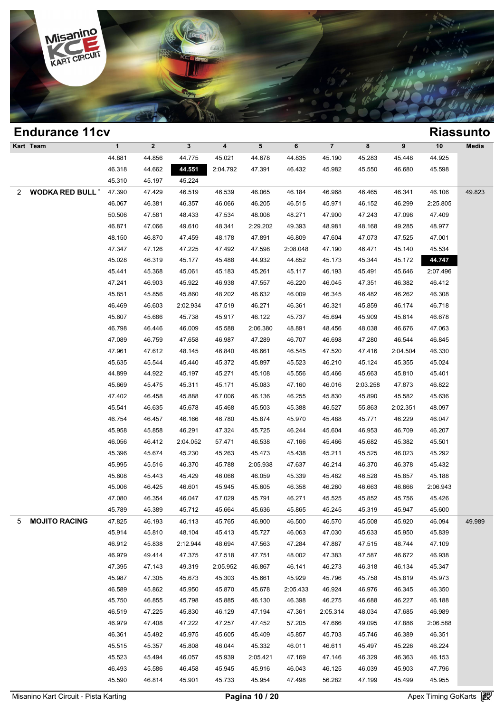

|   | <b>Endurance 11cv</b>   |              |              |              |          |                |          |                |          |          |          | <b>Riassunto</b> |
|---|-------------------------|--------------|--------------|--------------|----------|----------------|----------|----------------|----------|----------|----------|------------------|
|   | Kart Team               | $\mathbf{1}$ | $\mathbf{2}$ | $\mathbf{3}$ | 4        | 5 <sup>5</sup> | 6        | $\overline{7}$ | 8        | 9        | 10       | Media            |
|   |                         | 44.881       | 44.856       | 44.775       | 45.021   | 44.678         | 44.835   | 45.190         | 45.283   | 45.448   | 44.925   |                  |
|   |                         | 46.318       | 44.662       | 44.551       | 2:04.792 | 47.391         | 46.432   | 45.982         | 45.550   | 46.680   | 45.598   |                  |
|   |                         | 45.310       | 45.197       | 45.224       |          |                |          |                |          |          |          |                  |
| 2 | <b>WODKA RED BULL 1</b> | 47.390       | 47.429       | 46.519       | 46.539   | 46.065         | 46.184   | 46.968         | 46.465   | 46.341   | 46.106   | 49.823           |
|   |                         | 46.067       | 46.381       | 46.357       | 46.066   | 46.205         | 46.515   | 45.971         | 46.152   | 46.299   | 2:25.805 |                  |
|   |                         | 50.506       | 47.581       | 48.433       | 47.534   | 48.008         | 48.271   | 47.900         | 47.243   | 47.098   | 47.409   |                  |
|   |                         | 46.871       | 47.066       | 49.610       | 48.341   | 2:29.202       | 49.393   | 48.981         | 48.168   | 49.285   | 48.977   |                  |
|   |                         | 48.150       | 46.870       | 47.459       | 48.178   | 47.891         | 46.809   | 47.604         | 47.073   | 47.525   | 47.001   |                  |
|   |                         | 47.347       | 47.126       | 47.225       | 47.492   | 47.598         | 2:08.048 | 47.190         | 46.471   | 45.140   | 45.534   |                  |
|   |                         | 45.028       | 46.319       | 45.177       | 45.488   | 44.932         | 44.852   | 45.173         | 45.344   | 45.172   | 44.747   |                  |
|   |                         | 45.441       | 45.368       | 45.061       | 45.183   | 45.261         | 45.117   | 46.193         | 45.491   | 45.646   | 2:07.496 |                  |
|   |                         | 47.241       | 46.903       | 45.922       | 46.938   | 47.557         | 46.220   | 46.045         | 47.351   | 46.382   | 46.412   |                  |
|   |                         | 45.851       | 45.856       | 45.860       | 48.202   | 46.632         | 46.009   | 46.345         | 46.482   | 46.262   | 46.308   |                  |
|   |                         | 46.469       | 46.603       | 2:02.934     | 47.519   | 46.271         | 46.361   | 46.321         | 45.859   | 46.174   | 46.718   |                  |
|   |                         | 45.607       | 45.686       | 45.738       | 45.917   | 46.122         | 45.737   | 45.694         | 45.909   | 45.614   | 46.678   |                  |
|   |                         | 46.798       | 46.446       | 46.009       | 45.588   | 2:06.380       | 48.891   | 48.456         | 48.038   | 46.676   | 47.063   |                  |
|   |                         | 47.089       | 46.759       | 47.658       | 46.987   | 47.289         | 46.707   | 46.698         | 47.280   | 46.544   | 46.845   |                  |
|   |                         | 47.961       | 47.612       | 48.145       | 46.840   | 46.661         | 46.545   | 47.520         | 47.416   | 2:04.504 | 46.330   |                  |
|   |                         | 45.635       | 45.544       | 45.440       | 45.372   | 45.897         | 45.523   | 46.210         | 45.124   | 45.355   | 45.024   |                  |
|   |                         | 44.899       | 44.922       | 45.197       | 45.271   | 45.108         | 45.556   | 45.466         | 45.663   | 45.810   | 45.401   |                  |
|   |                         | 45.669       | 45.475       | 45.311       | 45.171   | 45.083         | 47.160   | 46.016         | 2:03.258 | 47.873   | 46.822   |                  |
|   |                         | 47.402       | 46.458       | 45.888       | 47.006   | 46.136         | 46.255   | 45.830         | 45.890   | 45.582   | 45.636   |                  |
|   |                         | 45.541       | 46.635       | 45.678       | 45.468   | 45.503         | 45.388   | 46.527         | 55.863   | 2:02.351 | 48.097   |                  |
|   |                         | 46.754       | 46.457       | 46.166       | 46.780   | 45.874         | 45.970   | 45.488         | 45.771   | 46.229   | 46.047   |                  |
|   |                         | 45.958       | 45.858       | 46.291       | 47.324   | 45.725         | 46.244   | 45.604         | 46.953   | 46.709   | 46.207   |                  |
|   |                         | 46.056       | 46.412       | 2:04.052     | 57.471   | 46.538         | 47.166   | 45.466         | 45.682   | 45.382   | 45.501   |                  |
|   |                         | 45.396       | 45.674       | 45.230       | 45.263   | 45.473         | 45.438   | 45.211         | 45.525   | 46.023   | 45.292   |                  |
|   |                         | 45.995       | 45.516       | 46.370       | 45.788   | 2:05.938       | 47.637   | 46.214         | 46.370   | 46.378   | 45.432   |                  |
|   |                         | 45.608       | 45.443       | 45.429       | 46.066   | 46.059         | 45.339   | 45.482         | 46.528   | 45.857   | 45.188   |                  |
|   |                         | 45.006       | 46.425       | 46.601       | 45.945   | 45.605         | 46.358   | 46.260         | 46.663   | 46.666   | 2:06.943 |                  |
|   |                         | 47.080       | 46.354       | 46.047       | 47.029   | 45.791         | 46.271   | 45.525         | 45.852   | 45.756   | 45.426   |                  |
|   |                         | 45.789       | 45.389       | 45.712       | 45.664   | 45.636         | 45.865   | 45.245         | 45.319   | 45.947   | 45.600   |                  |
| 5 | <b>MOJITO RACING</b>    | 47.825       | 46.193       | 46.113       | 45.765   | 46.900         | 46.500   | 46.570         | 45.508   | 45.920   | 46.094   | 49.989           |
|   |                         | 45.914       | 45.810       | 48.104       | 45.413   | 45.727         | 46.063   | 47.030         | 45.633   | 45.950   | 45.839   |                  |
|   |                         | 46.912       | 45.838       | 2:12.944     | 48.694   | 47.563         | 47.284   | 47.887         | 47.515   | 48.744   | 47.109   |                  |
|   |                         | 46.979       | 49.414       | 47.375       | 47.518   | 47.751         | 48.002   | 47.383         | 47.587   | 46.672   | 46.938   |                  |
|   |                         | 47.395       | 47.143       | 49.319       | 2:05.952 | 46.867         | 46.141   | 46.273         | 46.318   | 46.134   | 45.347   |                  |
|   |                         | 45.987       | 47.305       | 45.673       | 45.303   | 45.661         | 45.929   | 45.796         | 45.758   | 45.819   | 45.973   |                  |
|   |                         | 46.589       | 45.862       | 45.950       | 45.870   | 45.678         | 2:05.433 | 46.924         | 46.976   | 46.345   | 46.350   |                  |
|   |                         | 45.750       | 46.855       | 45.798       | 45.885   | 46.130         | 46.398   | 46.275         | 46.688   | 46.227   | 46.188   |                  |
|   |                         | 46.519       | 47.225       | 45.830       | 46.129   | 47.194         | 47.361   | 2:05.314       | 48.034   | 47.685   | 46.989   |                  |
|   |                         | 46.979       | 47.408       | 47.222       | 47.257   | 47.452         | 57.205   | 47.666         | 49.095   | 47.886   | 2:06.588 |                  |
|   |                         | 46.361       | 45.492       | 45.975       | 45.605   | 45.409         | 45.857   | 45.703         | 45.746   | 46.389   | 46.351   |                  |
|   |                         | 45.515       | 45.357       | 45.808       | 46.044   | 45.332         | 46.011   | 46.611         | 45.497   | 45.226   | 46.224   |                  |
|   |                         | 45.523       | 45.494       | 46.057       | 45.939   | 2:05.421       | 47.169   | 47.146         | 46.329   | 46.363   | 46.153   |                  |
|   |                         | 46.493       | 45.586       | 46.458       | 45.945   | 45.916         | 46.043   | 46.125         | 46.039   | 45.903   | 47.796   |                  |
|   |                         | 45.590       | 46.814       | 45.901       | 45.733   | 45.954         | 47.498   | 56.282         | 47.199   | 45.499   | 45.955   |                  |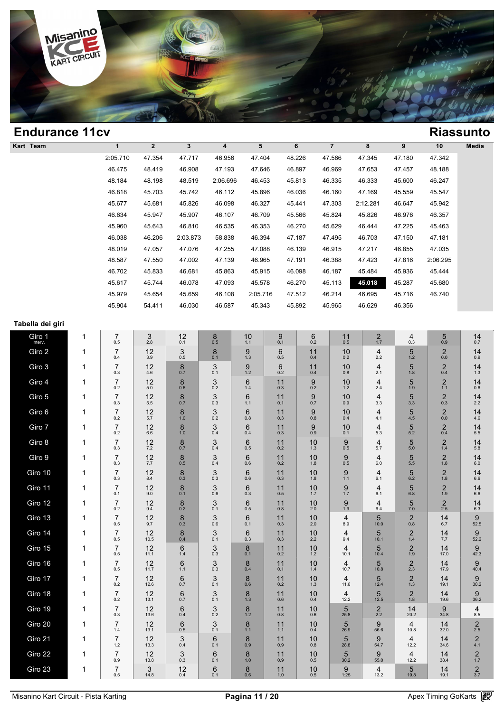

| <b>Endurance 11cv</b> |   |                       |                    |                        |                           |                     |           |                  |                  |                    |                           |                                | <b>Riassunto</b>                   |
|-----------------------|---|-----------------------|--------------------|------------------------|---------------------------|---------------------|-----------|------------------|------------------|--------------------|---------------------------|--------------------------------|------------------------------------|
| Kart Team             |   | $\mathbf{1}$          | $\mathbf 2$        | $\mathbf 3$            | 4                         | 5                   |           | 6                | $\overline{7}$   | 8                  | $\boldsymbol{9}$          | 10                             | Media                              |
|                       |   | 2:05.710              | 47.354             | 47.717                 | 46.956                    | 47.404              |           | 48.226           | 47.566           | 47.345             | 47.180                    | 47.342                         |                                    |
|                       |   | 46.475                | 48.419             | 46.908                 | 47.193                    | 47.646              |           | 46.897           | 46.969           | 47.653             | 47.457                    | 48.188                         |                                    |
|                       |   | 48.184                | 48.198             | 48.519                 | 2:06.696                  | 46.453              |           | 45.813           | 46.335           | 46.333             | 45.600                    | 46.247                         |                                    |
|                       |   | 46.818<br>45.677      | 45.703<br>45.681   | 45.742<br>45.826       | 46.112<br>46.098          | 45.896<br>46.327    |           | 46.036<br>45.441 | 46.160<br>47.303 | 47.169<br>2:12.281 | 45.559<br>46.647          | 45.547<br>45.942               |                                    |
|                       |   | 46.634                | 45.947             | 45.907                 | 46.107                    | 46.709              |           | 45.566           | 45.824           | 45.826             | 46.976                    | 46.357                         |                                    |
|                       |   | 45.960                | 45.643             | 46.810                 | 46.535                    | 46.353              |           | 46.270           | 45.629           | 46.444             | 47.225                    | 45.463                         |                                    |
|                       |   | 46.038                | 46.206             | 2:03.873               | 58.838                    | 46.394              |           | 47.187           | 47.495           | 46.703             | 47.150                    | 47.181                         |                                    |
|                       |   | 48.019                | 47.057             | 47.076                 | 47.255                    | 47.088              |           | 46.139           | 46.915           | 47.217             | 46.855                    | 47.035                         |                                    |
|                       |   | 48.587                | 47.550             | 47.002                 | 47.139                    | 46.965              |           | 47.191           | 46.388           | 47.423             | 47.816                    | 2:06.295                       |                                    |
|                       |   | 46.702                | 45.833             | 46.681                 | 45.863                    | 45.915              |           | 46.098           | 46.187           | 45.484             | 45.936                    | 45.444                         |                                    |
|                       |   | 45.617<br>45.979      | 45.744<br>45.654   | 46.078<br>45.659       | 47.093<br>46.108          | 45.578              |           | 46.270           | 45.113<br>46.214 | 45.018             | 45.287                    | 45.680<br>46.740               |                                    |
|                       |   | 45.904                | 54.411             | 46.030                 | 46.587                    | 2:05.716<br>45.343  |           | 47.512<br>45.892 | 45.965           | 46.695<br>46.629   | 45.716<br>46.356          |                                |                                    |
|                       |   |                       |                    |                        |                           |                     |           |                  |                  |                    |                           |                                |                                    |
| Tabella dei giri      |   |                       |                    |                        |                           |                     |           |                  |                  |                    |                           |                                |                                    |
| Giro 1<br>Interv.     | 1 | 7<br>0.5              | $\mathsf 3$<br>2.8 | 12<br>0.1              | $\mathop{8}\limits_{0.5}$ | 10<br>1.1           | 9<br>0.1  | 6<br>0.2         | 11<br>0.5        | $\frac{2}{1.7}$    | 4<br>0.3                  | 5<br>0.9                       | 14<br>0.7                          |
| Giro 2                | 1 | $\overline{7}$<br>0.4 | 12<br>3.9          | 3<br>0.5               | 8<br>0.1                  | 9<br>1.3            | 6<br>0.5  | 11<br>0.4        | 10<br>0.2        | 4<br>2.2           | 5<br>$1.2$                | $^2_{0.0}$                     | 14<br>0.9                          |
| Giro 3                | 1 | 7<br>0.3              | 12<br>4.6          | 8<br>0.7               | 3<br>0.1                  | 9<br>1.2            | 6<br>0.2  | 11<br>0.4        | 10<br>0.8        | 4<br>2.1           | 5<br>1.8                  | $\overline{2}$<br>0.4          | 14<br>1.3                          |
| Giro 4                | 1 | 7<br>0.2              | 12<br>5.0          | 8<br>0.6               | 3<br>0.2                  | 6<br>1.4            | 11<br>0.3 | 9<br>0.2         | 10<br>$1.2$      | 4<br>2.4           | 5<br>1.9                  | $\overline{2}$<br>$1.1$        | 14<br>0.6                          |
| Giro 5                | 1 | 7<br>0.3              | 12<br>5.5          | 8<br>0.7               | 3<br>0.3                  | 6<br>1.1            | 11<br>0.1 | 9<br>0.7         | 10<br>0.9        | 4<br>3.3           | 5<br>3.3                  | $\overline{2}$<br>0.3          | 14<br>2.2                          |
| Giro 6                | 1 | 7<br>0.2              | 12<br>5.7          | 8<br>$1.0$             | 3<br>0.2                  | 6<br>0.8            | 11<br>0.3 | 9<br>0.8         | 10<br>0.4        | 4<br>4.1           | 5<br>4.5                  | $\overline{2}$<br>0.0          | 14<br>4.6                          |
| Giro 7                | 1 | 7<br>0.2              | 12<br>6.6          | 8<br>$1.0$             | 3<br>0.4                  | 6<br>0.4            | 11<br>0.3 | 9<br>0.9         | 10<br>0.1        | 4<br>5.3           | 5<br>5.2                  | $\overline{2}$<br>0.4          | 14<br>5.5                          |
| Giro 8                | 1 | 7<br>0.3              | 12<br>7.2          | 8<br>0.7               | 3<br>0.4                  | 6<br>0.5            | 11<br>0.2 | 10<br>1.3        | 9<br>0.5         | 4<br>5.7           | 5<br>5.0                  | $\overline{2}$<br>1.4          | 14<br>5.8                          |
| Giro 9                | 1 | 7<br>0.3              | 12<br>7.7          | 8<br>0.5               | 3<br>0.4                  | 6<br>0.6            | 11<br>0.2 | 10<br>1.8        | 9<br>0.5         | 4<br>6.0           | 5<br>5.5                  | $\overline{2}$<br>1.8          | 14<br>6.0                          |
| Giro 10               | 1 | 7<br>0.3              | 12<br>8.4          | 8<br>0.3               | 3<br>0.3                  | 6<br>0.6            | 11<br>0.3 | 10<br>1.8        | 9<br>1.1         | 4<br>6.1           | 5<br>6.2                  | $\overline{2}$<br>1.8          | 14<br>6.6                          |
| Giro 11               | 1 | 7<br>0.1              | 12<br>9.0          | 8<br>0.1               | 3<br>0.6                  | 6<br>0.3            | 11<br>0.5 | 10<br>1.7        | 9<br>1.7         | 4<br>6.1           | 5<br>6.8                  | $\overline{\mathbf{c}}$<br>1.9 | 14<br>6.6                          |
| Giro 12               |   | 7<br>$0.2\,$          | 12<br>9.4          | 8<br>0.2               | $3_{0.1}$                 | 6<br>$0.5\,$        | 11<br>0.8 | 10<br>2.0        | 9<br>1.9         | 4<br>6.4           | 5<br>$7.0\,$              | $\frac{2}{2.5}$                | 14<br>6.3                          |
| Giro 13               | 1 | $\overline{7}$<br>0.5 | 12<br>9.7          | 8<br>0.3               | 3<br>0.6                  | 6<br>0.1            | 11<br>0.3 | 10<br>2.0        | 4<br>8.9         | 5<br>10.0          | $\overline{c}$<br>$0.8\,$ | 14<br>6.7                      | 9<br>52.5                          |
| Giro 14               | 1 | 7<br>0.5              | 12<br>10.5         | 8<br>0.4               | 3<br>0.1                  | 6<br>0.3            | 11<br>0.3 | 10<br>2.2        | 4<br>9.4         | 5<br>10.1          | $\overline{c}$<br>$1.4$   | 14<br>7.7                      | 9<br>52.2                          |
| Giro 15               | 1 | 7<br>0.5              | 12<br>11.1         | 6<br>1.4               | 3<br>0.3                  | 8<br>0.1            | 11<br>0.2 | 10<br>1.2        | 4<br>10.1        | 5<br>10.4          | $^{2}_{1.9}$              | 14<br>17.0                     | $9\n42.3$                          |
| Giro 16               | 1 | 7<br>0.5              | 12<br>11.7         | 6<br>1.1               | 3<br>0.3                  | 8<br>0.4            | 11<br>0.1 | 10<br>1.4        | 4<br>10.7        | 5<br>10.8          | $\frac{2}{2.3}$           | 14<br>17.9                     | 9<br>40.4                          |
| Giro 17               | 1 | 7<br>0.2              | 12<br>12.6         | $6\phantom{1}6$<br>0.7 | 3<br>0.1                  | 8<br>0.6            | 11<br>0.2 | 10<br>1.3        | 4<br>11.6        | 5<br>12.4          | $\mathbf 2$<br>$1.3$      | 14<br>19.1                     | 9<br>38.2                          |
| Giro 18               | 1 | 7<br>$0.2\,$          | 12<br>13.1         | 6<br>0.7               | 3<br>0.1                  | 8<br>1.3            | 11<br>0.6 | 10<br>0.4        | 4<br>12.2        | 5<br>12.5          | $2_{1.8}$                 | 14<br>19.6                     | 9<br>36.2                          |
| Giro 19               | 1 | 7<br>$0.3\,$          | $12$<br>13.6       | 6<br>0.4               | 3<br>0.2                  | 8<br>1.2            | 11<br>0.8 | 10<br>0.6        | 5<br>25.8        | $^{2}_{2.2}$       | 14<br>20.2                | 9<br>34.8                      | 4<br>8.5                           |
| Giro 20               | 1 | 7<br>1.4              | 12<br>13.1         | 6<br>0.5               | 3<br>0.1                  | 8<br>$1.1$          | 11<br>1.1 | 10<br>0.4        | 5<br>26.9        | 9<br>56.6          | 4<br>10.8                 | 14<br>32.0                     | $\overline{\mathbf{c}}$<br>$2.5\,$ |
| Giro 21               | 1 | 7<br>$1.2\,$          | 12<br>13.3         | $\mathsf 3$<br>0.4     | 6<br>0.1                  | 8<br>0.9            | 11<br>0.9 | 10<br>0.8        | 5<br>28.8        | 9<br>54.7          | 4<br>12.2                 | 14<br>34.6                     | $\overline{\mathbf{c}}$<br>4.1     |
| Giro 22               | 1 | $\overline{7}$<br>0.9 | 12<br>13.8         | 3<br>$0.3\,$           | 6<br>0.1                  | 8<br>$1.0$          | 11<br>0.9 | 10<br>$0.5\,$    | 5<br>30.2        | 9<br>55.0          | 4<br>12.2                 | 14<br>38.4                     | $\frac{2}{1.7}$                    |
| Giro 23               | 1 | $\underset{0.5}{7}$   | 3<br>14.8          | $12_{0.4}$             | 6<br>0.1                  | $\underset{0.6}{8}$ | 11<br>1.0 | 10<br>0.5        | 9<br>1:25        | 4<br>13.2          | 5<br>19.8                 | 14<br>19.1                     | $\frac{2}{3.7}$                    |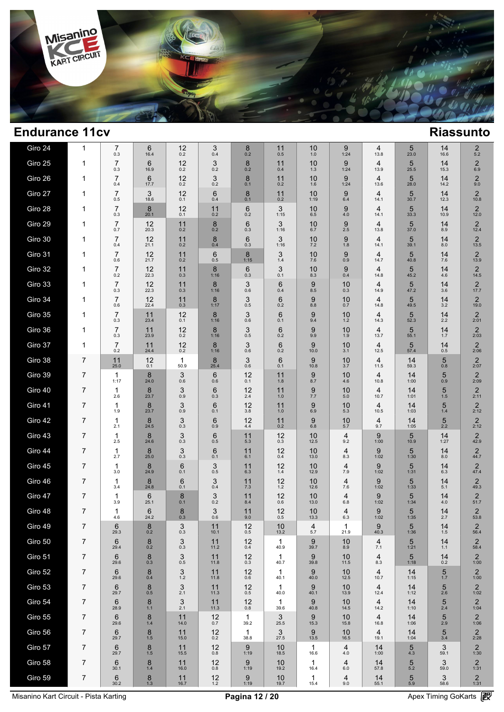

| Giro 24 | 1 | 7<br>0.3              | 6<br>16.4               | 12<br>0.2            | 3<br>0.4   | 8<br>0.2             | 11<br>0.5   | 10<br>1.0            | 9<br>1:24  | 4<br>13.8  | 5<br>23.0  | 14<br>16.6     | $\overline{c}$<br>5.2           |
|---------|---|-----------------------|-------------------------|----------------------|------------|----------------------|-------------|----------------------|------------|------------|------------|----------------|---------------------------------|
| Giro 25 | 1 | $\overline{7}$<br>0.3 | 6<br>16.9               | 12<br>0.2            | 3<br>0.2   | 8<br>0.2             | 11<br>0.4   | 10<br>1.3            | 9<br>1:24  | 4<br>13.9  | 5<br>25.5  | 14<br>15.3     | $\overline{2}$<br>6.9           |
| Giro 26 | 1 | $\overline{7}$<br>0.4 | 6<br>17.7               | 12<br>0.2            | 3<br>0.2   | 8<br>0.1             | 11<br>0.2   | 10<br>1.6            | 9<br>1:24  | 4<br>13.6  | 5<br>28.0  | 14<br>14.2     | $\overline{2}$<br>9.0           |
| Giro 27 | 1 | $\overline{7}$<br>0.5 | 3<br>18.6               | 12<br>0.1            | 6<br>0.4   | 8<br>0.1             | 11<br>0.2   | 10<br>1:19           | 9<br>6.4   | 4<br>14.1  | 5<br>30.7  | 14<br>12.3     | $\overline{2}$<br>10.8          |
| Giro 28 | 1 | $\overline{7}$<br>0.3 | 8<br>20.1               | 12<br>0.1            | 11<br>0.2  | 6<br>0.2             | 3<br>1:15   | 10<br>6.5            | 9<br>4.0   | 4<br>14.1  | 5<br>33.3  | 14<br>10.9     | $\overline{2}$<br>12.0          |
| Giro 29 | 1 | $\overline{7}$<br>0.7 | 12<br>20.3              | 11<br>0.2            | 8<br>0.2   | 6<br>0.3             | 3<br>1:16   | 10<br>6.7            | 9<br>2.5   | 4<br>13.8  | 5<br>37.0  | 14<br>8.9      | $\overline{2}$<br>12.4          |
| Giro 30 | 1 | $\overline{7}$<br>0.4 | 12<br>21.1              | 11<br>0.2            | 8<br>0.4   | 6<br>0.3             | 3<br>1:16   | 10<br>7.2            | 9<br>1.8   | 4<br>14.1  | 5<br>39.1  | 14<br>8.0      | $\overline{2}$<br>13.5          |
| Giro 31 | 1 | $\overline{7}$<br>0.6 | 12<br>21.7              | 11<br>0.2            | 6<br>0.5   | 8<br>1:15            | 3<br>1.4    | 10<br>7.6            | 9<br>0.9   | 4<br>14.7  | 5<br>40.8  | 14<br>7.6      | $\overline{2}$<br>13.9          |
| Giro 32 | 1 | $\overline{7}$<br>0.2 | 12<br>22.3              | 11<br>0.3            | 8<br>1:16  | 6<br>0.3             | 3<br>0.1    | 10<br>8.3            | 9<br>0.4   | 4<br>14.8  | 5<br>45.2  | 14<br>4.6      | $\overline{2}$<br>14.5          |
| Giro 33 | 1 | $\overline{7}$<br>0.3 | 12<br>22.3              | 11<br>0.3            | 8<br>1:16  | 3<br>0.6             | 6<br>0.4    | 9<br>8.5             | 10<br>0.3  | 4<br>14.9  | 5<br>47.2  | 14<br>3.6      | $\overline{2}$<br>17.7          |
| Giro 34 | 1 | $\overline{7}$<br>0.6 | 12<br>22.4              | 11<br>0.3            | 8<br>1:17  | 3<br>0.5             | 6<br>0.2    | 9<br>8.8             | 10<br>0.7  | 4<br>14.8  | 5<br>49.5  | 14<br>3.2      | $\overline{2}$<br>19.0          |
| Giro 35 | 1 | $\overline{7}$<br>0.3 | 11<br>23.4              | 12<br>0.1            | 8<br>1:16  | 3<br>0.6             | 6<br>0.1    | 9<br>9.4             | 10<br>1.2  | 4<br>14.3  | 5<br>52.3  | 14<br>2.2      | $\overline{2}$<br>2:01          |
| Giro 36 | 1 | $\overline{7}$<br>0.3 | 11<br>23.9              | 12<br>0.2            | 8<br>1:16  | 3<br>0.5             | 6<br>0.2    | 9<br>9.9             | 10<br>1.9  | 4<br>13.7  | 5<br>55.1  | 14<br>1.7      | $\overline{2}$<br>2:03          |
| Giro 37 | 1 | $\overline{7}$<br>0.2 | 11<br>24.4              | 12<br>0.2            | 8<br>1:16  | 3<br>0.6             | 6<br>0.2    | 9<br>10.0            | 10<br>3.1  | 4<br>12.5  | 5<br>57.4  | 14<br>0.5      | $\overline{2}$<br>2:06          |
| Giro 38 | 7 | 11<br>25.0            | 12<br>0.1               | $\mathbf{1}$<br>50.9 | 8<br>25.4  | 3<br>0.6             | 6<br>0.1    | 9<br>10.8            | 10<br>3.7  | 4<br>11.5  | 14<br>59.3 | 5<br>0.8       | $\overline{2}$<br>2:07          |
| Giro 39 | 7 | $\mathbf{1}$<br>1:17  | 8<br>24.0               | 3<br>0.6             | 6<br>0.6   | 12<br>0.1            | 11<br>1.8   | 9<br>8.7             | 10<br>4.6  | 4<br>10.8  | 14<br>1:00 | 5<br>0.9       | $\overline{2}$<br>2:09          |
| Giro 40 | 7 | $\mathbf 1$<br>2.6    | 8<br>23.7               | 3<br>0.9             | 6<br>0.3   | 12<br>2.4            | 11<br>1.0   | 9<br>7.7             | 10<br>5.0  | 4<br>10.7  | 14<br>1:01 | 5<br>1.5       | $\overline{2}$<br>2:11          |
| Giro 41 | 7 | $\mathbf 1$<br>1.9    | 8<br>23.7               | 3<br>0.9             | 6<br>0.1   | 12<br>3.8            | 11<br>1.0   | 9<br>6.9             | 10<br>5.3  | 4<br>10.5  | 14<br>1:03 | 5<br>1.4       | $\overline{2}$<br>2:12          |
| Giro 42 | 7 | -1<br>2.1             | 8<br>24.5               | 3<br>0.3             | 6<br>0.9   | 12<br>4.4            | 11<br>0.2   | 9<br>6.8             | 10<br>5.7  | 4<br>9.7   | 14<br>1:05 | 5<br>2.2       | $\overline{2}$<br>2:12          |
| Giro 43 | 7 | $\mathbf 1$<br>2.5    | 8<br>24.6               | 3<br>0.3             | 6<br>0.5   | 11<br>5.3            | 12<br>0.3   | 10<br>12.5           | 4<br>9.2   | 9<br>1:00  | 5<br>10.9  | 14<br>1:27     | $\overline{2}$<br>42.9          |
| Giro 44 | 7 | $\mathbf{1}$<br>2.7   | 8<br>25.0               | 3<br>0.3             | 6<br>0.1   | 11<br>6.1            | 12<br>0.4   | 10<br>13.0           | 4<br>8.3   | 9<br>1:02  | 5<br>1:30  | 14<br>8.0      | $\overline{2}$<br>44.7          |
| Giro 45 | 7 | 1<br>3.0              | 8<br>24.9               | 6<br>0.1             | 3<br>0.5   | 11<br>6.3            | 12<br>1.4   | 10<br>12.9           | 4<br>7.9   | 9<br>1:02  | 5<br>1:31  | 14<br>6.3      | $\overline{2}$<br>47.4          |
| Giro 46 | 7 | 1<br>3.4              | 8<br>24.8               | 6<br>0.1             | 3<br>0.4   | 11<br>7.3            | 12<br>$1.2$ | 10<br>12.6           | 4<br>7.6   | 9<br>1:02  | 5<br>1:33  | 14<br>5.1      | $\overline{2}$<br>49.3          |
| Giro 47 | 7 | 1<br>3.9              | $6\phantom{1}6$<br>25.1 | 8<br>0.1             | 3<br>0.2   | 11<br>8.4            | 12<br>0.6   | 10<br>13.0           | 4<br>6.8   | 9<br>1:02  | 5<br>1:34  | 14<br>4.0      | $\overline{2}$<br>51.7          |
| Giro 48 | 7 | 1<br>4.6              | 6<br>24.2               | 8<br>0.3             | 3<br>0.6   | 11<br>9.0            | 12<br>0.5   | 10<br>13.3           | 4<br>6.3   | 9<br>1:02  | 5<br>1:35  | 14<br>2.7      | $\overline{2}$<br>53.8          |
| Giro 49 | 7 | 6<br>29.3             | 8<br>$0.2\,$            | 3<br>$0.3\,$         | 11<br>10.1 | 12<br>$0.5\,$        | 10<br>13.2  | 4<br>5.7             | 1<br>21.9  | 9<br>40.3  | 5<br>1:36  | $14 \atop 1.5$ | $\overline{2}$<br>56.4          |
| Giro 50 | 7 | 6<br>29.4             | 8<br>0.2                | 3<br>0.3             | 11<br>11.2 | 12<br>0.4            | 1<br>40.9   | 9<br>39.7            | 10<br>8.9  | 4<br>7.1   | 5<br>1:21  | 14<br>1.1      | $\overline{2}$<br>58.4          |
| Giro 51 | 7 | 6<br>29.6             | 8<br>0.3                | 3<br>0.5             | 11<br>11.8 | 12<br>0.3            | 1<br>40.7   | 9<br>39.8            | 10<br>11.5 | 4<br>8.3   | 5<br>1:18  | 14<br>0.2      | $\overline{2}$<br>1:00          |
| Giro 52 | 7 | 6<br>29.6             | 8<br>0.4                | 3<br>$1.2$           | 11<br>11.8 | 12<br>0.6            | 1<br>40.1   | 9<br>40.0            | 10<br>12.5 | 4<br>10.7  | 14<br>1:15 | 5<br>1.7       | $\overline{2}$<br>1:00          |
| Giro 53 | 7 | 6<br>29.7             | 8<br>0.5                | 3<br>2.1             | 11<br>11.3 | 12<br>0.5            | 1<br>40.0   | 9<br>40.1            | 10<br>13.9 | 4<br>12.4  | 14<br>1:12 | 5<br>2.6       | $\overline{2}$<br>1:02          |
| Giro 54 | 7 | 6<br>28.9             | 8<br>$1.1$              | 3<br>2.1             | 11<br>11.3 | 12<br>0.8            | 1<br>39.6   | 9<br>40.8            | 10<br>14.5 | 4<br>14.2  | 14<br>1:10 | 5<br>2.4       | 2<br>1:04                       |
| Giro 55 | 7 | 6<br>29.6             | 8<br>$1.4$              | 11<br>14.0           | 12<br>0.7  | $\mathbf{1}$<br>39.2 | 3<br>25.5   | 9<br>15.3            | 10<br>15.8 | 4<br>16.8  | 14<br>1:06 | 5<br>2.9       | $\overline{2}$<br>1:06          |
| Giro 56 | 7 | 6<br>29.7             | 8<br>1.5                | 11<br>15.0           | 12<br>0.2  | $\mathbf{1}$<br>38.8 | 3<br>27.5   | 9<br>13.5            | 10<br>16.5 | 4<br>19.1  | 14<br>1:04 | 5<br>3.4       | $\overline{\mathbf{c}}$<br>2:28 |
| Giro 57 | 7 | 6<br>29.7             | 8<br>1.5                | 11<br>15.5           | 12<br>0.8  | 9<br>1:19            | 10<br>18.5  | $\mathbf{1}$<br>16.6 | 4<br>4.0   | 14<br>1:00 | 5<br>4.3   | 3<br>59.1      | $\overline{\mathbf{c}}$<br>1:30 |
| Giro 58 | 7 | 6<br>30.1             | 8<br>1.4                | 11<br>16.0           | 12<br>0.8  | 9<br>1:19            | 10<br>19.2  | 1<br>16.4            | 4<br>6.0   | 14<br>57.8 | 5<br>5.2   | 3<br>59.0      | $\overline{c}$<br>1:31          |
| Giro 59 | 7 | 6<br>30.2             | 8<br>1.3                | 11<br>16.7           | 12<br>1.2  | 9<br>1:19            | 10<br>19.7  | 1<br>15.4            | 4<br>9.0   | 14<br>55.1 | 5<br>5.9   | 3<br>58.6      | $\overline{2}$<br>1:31          |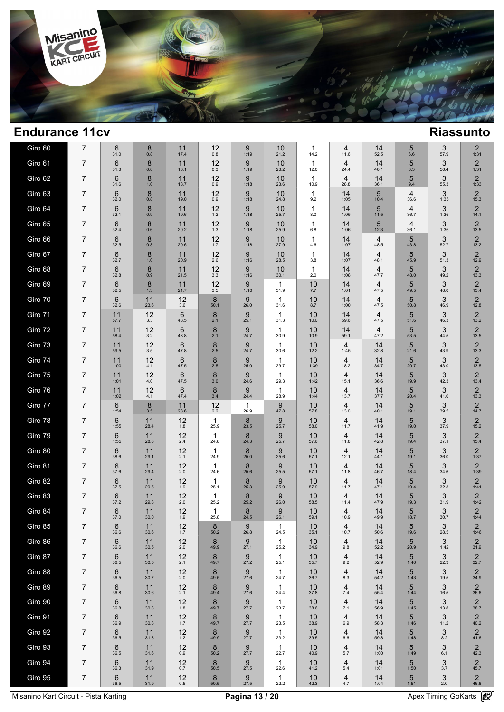

| Giro 60 | 7              | 6<br>31.0              | 8<br>0.8   | 11<br>17.4     | 12<br>0.8 | 9<br>1:19           | 10<br>21.2           | 1<br>14.2            | 4<br>11.6              | 14<br>52.5             | 5<br>6.6  | 3<br>57.9    | 2<br>1:31              |
|---------|----------------|------------------------|------------|----------------|-----------|---------------------|----------------------|----------------------|------------------------|------------------------|-----------|--------------|------------------------|
| Giro 61 | 7              | 6<br>31.3              | 8<br>0.8   | 11<br>18.1     | 12<br>0.3 | 9<br>1:19           | 10<br>23.2           | 1<br>12.0            | 4<br>24.4              | 14<br>40.1             | 5<br>8.3  | 3<br>56.4    | $\overline{2}$<br>1:31 |
| Giro 62 | 7              | 6<br>31.6              | 8<br>1.0   | 11<br>18.7     | 12<br>0.9 | 9<br>1:18           | 10<br>23.6           | $\mathbf{1}$<br>10.9 | 4<br>28.8              | 14<br>36.1             | 5<br>9.4  | 3<br>55.3    | $\overline{2}$<br>1:33 |
| Giro 63 | 7              | 6<br>32.0              | 8<br>0.8   | 11<br>19.0     | 12<br>0.9 | 9<br>1:18           | 10<br>24.8           | 1<br>9.2             | 14<br>1:05             | 5<br>10.4              | 4<br>36.6 | 3<br>1:35    | $\overline{2}$<br>15.3 |
| Giro 64 | 7              | 6<br>32.1              | 8<br>0.9   | 11<br>19.6     | 12<br>1.2 | 9<br>1:18           | 10<br>25.7           | 1<br>8.0             | 14<br>1:05             | 5<br>11.5              | 4<br>36.7 | 3<br>1:36    | $\overline{2}$<br>14.1 |
| Giro 65 | 7              | 6<br>32.4              | 8<br>0.6   | 11<br>20.2     | 12<br>1.3 | 9<br>1:18           | 10<br>25.9           | 1<br>6.8             | 14<br>1:06             | 5<br>12.3              | 4<br>36.1 | 3<br>1:36    | $\overline{2}$<br>13.5 |
| Giro 66 | 7              | 6<br>32.5              | 8<br>0.8   | 11<br>20.6     | 12<br>1.7 | 9<br>1:18           | 10<br>27.9           | 1<br>4.6             | 14<br>1:07             | $\overline{4}$<br>48.5 | 5<br>43.8 | 3<br>52.7    | $\overline{2}$<br>13.2 |
| Giro 67 | 7              | 6<br>32.7              | 8<br>1.0   | 11<br>20.9     | 12<br>2.6 | 9<br>1:16           | 10<br>28.5           | 1<br>3.8             | 14<br>1:07             | 4<br>48.1              | 5<br>45.9 | 3<br>51.3    | $\overline{2}$<br>12.9 |
| Giro 68 | 7              | 6<br>32.8              | 8<br>0.9   | 11<br>21.5     | 12<br>3.3 | 9<br>1:16           | 10<br>30.1           | -1<br>2.0            | 14<br>1:08             | $\overline{4}$<br>47.7 | 5<br>48.0 | 3<br>49.2    | $\overline{2}$<br>13.3 |
| Giro 69 | 7              | 6<br>32.5              | 8<br>1.3   | 11<br>21.7     | 12<br>3.5 | 9<br>1:16           | $\mathbf 1$<br>31.9  | 10<br>7.7            | 14<br>1:01             | 4<br>47.5              | 5<br>49.5 | 3<br>48.0    | $\overline{2}$<br>13.4 |
| Giro 70 | 7              | 6<br>32.6              | 11<br>23.6 | 12<br>3.6      | 8<br>50.1 | 9<br>26.0           | 1<br>31.6            | 10<br>8.7            | 14<br>1:00             | 4<br>47.5              | 5<br>50.8 | 3<br>46.9    | $\overline{2}$<br>12.8 |
| Giro 71 | 7              | 11<br>57.7             | 12<br>3.3  | 6<br>48.5      | 8<br>2.1  | 9<br>25.1           | 1<br>31.3            | 10<br>10.0           | 14<br>59.6             | 4<br>47.5              | 5<br>51.6 | 3<br>46.3    | $\overline{2}$<br>13.2 |
| Giro 72 | 7              | 11<br>58.4             | 12<br>3.2  | 6<br>48.8      | 8<br>2.1  | 9<br>24.7           | $\mathbf{1}$<br>30.9 | 10<br>10.9           | 14<br>59.1             | $\overline{4}$<br>47.2 | 5<br>53.5 | 3<br>44.5    | $\overline{2}$<br>13.5 |
| Giro 73 | 7              | 11<br>59.5             | 12<br>3.5  | 6<br>47.8      | 8<br>2.5  | 9<br>24.7           | 1<br>30.6            | 10<br>12.2           | 4<br>1:45              | 14<br>32.8             | 5<br>21.6 | 3<br>43.9    | $\overline{2}$<br>13.3 |
| Giro 74 | 7              | 11<br>1:00             | 12<br>4.1  | 6<br>47.5      | 8<br>2.5  | 9<br>25.0           | 1<br>29.7            | 10<br>1:39           | 4<br>18.2              | 14<br>34.7             | 5<br>20.7 | 3<br>43.0    | $\overline{2}$<br>13.5 |
| Giro 75 | 7              | 11<br>1:01             | 12<br>4.0  | 6<br>47.5      | 8<br>3.0  | 9<br>24.6           | 1<br>29.3            | 10<br>1:42           | $\overline{4}$<br>15.1 | 14<br>36.6             | 5<br>19.9 | 3<br>42.3    | $\overline{2}$<br>13.4 |
| Giro 76 | 7              | 11<br>1:02             | 12<br>4.1  | 6<br>47.4      | 8<br>3.4  | 9<br>24.4           | $\mathbf{1}$<br>28.9 | 10<br>1:44           | 4<br>13.7              | 14<br>37.7             | 5<br>20.4 | 3<br>41.0    | $\overline{2}$<br>13.3 |
| Giro 77 | 7              | 6<br>1:54              | 8<br>3.5   | 11<br>23.6     | 12<br>2.2 | $\mathbf 1$<br>26.9 | 9<br>47.8            | 10<br>57.8           | 4<br>13.0              | 14<br>40.1             | 5<br>19.1 | 3<br>39.5    | $\overline{2}$<br>14.7 |
| Giro 78 | 7              | 6<br>1:55              | 11<br>28.4 | 12<br>1.8      | 1<br>25.9 | 8<br>23.5           | 9<br>25.7            | 10<br>58.0           | 4<br>11.7              | 14<br>41.9             | 5<br>19.0 | 3<br>37.9    | $\overline{2}$<br>15.2 |
| Giro 79 | 7              | 6<br>1:55              | 11<br>28.8 | 12<br>2.4      | 1<br>24.8 | 8<br>24.3           | 9<br>25.7            | 10<br>57.6           | 4<br>11.8              | 14<br>42.8             | 5<br>19.4 | 3<br>37.1    | $\overline{2}$<br>15.4 |
| Giro 80 | 7              | 6<br>38.6              | 11<br>29.1 | 12<br>2.1      | 1<br>24.9 | 8<br>25.0           | 9<br>25.6            | 10<br>57.1           | 4<br>12.1              | 14<br>44.1             | 5<br>19.1 | 3<br>36.0    | 2<br>1:37              |
| Giro 81 | 7              | 6<br>37.6              | 11<br>29.4 | 12<br>2.0      | 1<br>24.6 | 8<br>25.6           | 9<br>25.5            | 10<br>57.1           | 4<br>11.8              | 14<br>46.7             | 5<br>18.4 | 3<br>34.6    | 2<br>1:39              |
| Giro 82 | 7              | 6<br>37.5              | 11<br>29.5 | 12<br>1.9      | 1<br>25.1 | 8<br>25.3           | 9<br>25.9            | 10<br>57.9           | 4<br>11.7              | 14<br>47.1             | 5<br>19.4 | 3<br>32.3    | $\overline{2}$<br>1:41 |
| Giro 83 | 7              | 6<br>37.2              | 11<br>29.8 | 12<br>2.0      | 1<br>25.2 | 8<br>25.2           | 9<br>26.0            | 10<br>58.5           | $\overline{4}$<br>11.4 | 14<br>47.9             | 5<br>19.3 | 3<br>31.9    | 2<br>1:42              |
| Giro 84 | 7              | $6\phantom{1}$<br>37.0 | 11<br>30.0 | 12<br>1.9      | 1<br>25.8 | 8<br>24.5           | 9<br>26.1            | 10<br>59.1           | 4<br>10.9              | 14<br>49.9             | 5<br>18.7 | 3<br>30.7    | $\overline{2}$<br>1:44 |
| Giro 85 | 7              | 6<br>36.6              | 11<br>30.6 | $12 \atop 1.7$ | 8<br>50.2 | 9<br>26.8           | $\mathbf{1}$<br>24.5 | 10<br>35.1           | 4<br>10.7              | $14 \over 50.6$        | 5<br>19.6 | 3<br>28.5    | $\frac{2}{1:46}$       |
| Giro 86 | 7              | 6<br>36.6              | 11<br>30.5 | $12 \atop 2.0$ | 8<br>49.9 | 9<br>27.1           | $\mathbf{1}$<br>25.2 | 10<br>34.9           | 4<br>9.8               | $14$<br>$52.2$         | 5<br>20.9 | 3<br>1:42    | $\overline{2}$<br>31.9 |
| Giro 87 | 7              | 6<br>36.5              | 11<br>30.5 | 12<br>2.1      | 8<br>49.7 | 9<br>27.2           | $\mathbf{1}$<br>25.1 | 10<br>35.7           | 4<br>9.2               | 14<br>52.9             | 5<br>1:40 | 3<br>22.3    | $\overline{2}$<br>32.7 |
| Giro 88 | 7              | 6<br>36.5              | 11<br>30.7 | 12<br>2.0      | 8<br>49.5 | 9<br>27.6           | $\mathbf 1$<br>24.7  | 10<br>36.7           | 4<br>8.3               | 14<br>54.2             | 5<br>1:43 | 3<br>19.5    | $\overline{2}$<br>34.9 |
| Giro 89 | $\overline{7}$ | 6<br>36.8              | 11<br>30.6 | 12<br>2.1      | 8<br>49.4 | 9<br>27.6           | $\mathbf{1}$<br>24.4 | 10<br>37.8           | 4<br>7.4               | 14<br>55.4             | 5<br>1:44 | 3<br>16.5    | $\overline{2}$<br>36.6 |
| Giro 90 | 7              | 6<br>36.8              | 11<br>30.8 | 12<br>1.8      | 8<br>49.7 | 9<br>27.7           | $\mathbf{1}$<br>23.7 | 10<br>38.6           | 4<br>7.1               | 14<br>56.9             | 5<br>1:45 | 3<br>13.8    | $\overline{2}$<br>38.7 |
| Giro 91 | $\overline{7}$ | 6<br>36.9              | 11<br>30.8 | 12<br>1.7      | 8<br>49.7 | 9<br>27.7           | $\mathbf{1}$<br>23.5 | 10<br>38.9           | 4<br>6.9               | 14<br>58.3             | 5<br>1:46 | 3<br>11.2    | $\overline{2}$<br>40.2 |
| Giro 92 | 7              | 6<br>36.5              | 11<br>31.3 | 12<br>$1.2$    | 8<br>49.9 | 9<br>27.7           | $\mathbf{1}$<br>23.2 | 10<br>39.5           | 4<br>6.6               | 14<br>59.8             | 5<br>1:48 | 3<br>$8.2\,$ | $\overline{2}$<br>41.6 |
| Giro 93 | $\overline{7}$ | 6<br>36.5              | 11<br>31.6 | 12<br>0.9      | 8<br>50.2 | 9<br>27.7           | $\mathbf{1}$<br>22.7 | 10<br>40.9           | 4<br>5.7               | 14<br>1:00             | 5<br>1:49 | 3<br>6.1     | $\overline{2}$<br>42.3 |
| Giro 94 | 7              | 6<br>36.3              | 11<br>31.9 | 12<br>0.7      | 8<br>50.5 | 9<br>27.5           | $\mathbf{1}$<br>22.6 | 10<br>41.2           | 4<br>5.4               | 14<br>1:01             | 5<br>1:50 | 3<br>3.7     | $\overline{2}$<br>45.7 |
| Giro 95 | $\overline{7}$ | 6<br>36.5              | 11<br>31.9 | 12<br>0.5      | 8<br>50.5 | 9<br>27.5           | $\mathbf{1}$<br>22.2 | 10<br>42.3           | 4<br>4.7               | 14<br>1:04             | 5<br>1:51 | 3<br>$2.0\,$ | $\overline{2}$<br>46.6 |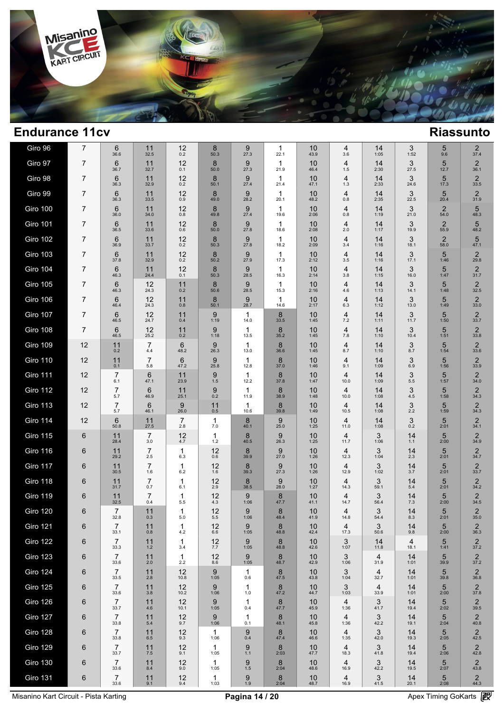

| Giro 96                     | 7  | 6<br>36.6                                | 11<br>32.5            | 12<br>0.2             | 8<br>50.3          | 9<br>27.3            | 1<br>22.1            | 10<br>43.9       | 4<br>3.6               | 14<br>1:05             | 3<br>1:52              | 5<br>9.6               | 2<br>37.4                                |  |
|-----------------------------|----|------------------------------------------|-----------------------|-----------------------|--------------------|----------------------|----------------------|------------------|------------------------|------------------------|------------------------|------------------------|------------------------------------------|--|
| Giro 97                     | 7  | 6<br>36.7                                | 11<br>32.7            | 12<br>0.1             | 8<br>50.0          | 9<br>27.3            | 1<br>21.9            | 10<br>46.4       | 4<br>1.5               | 14<br>2:30             | 3<br>27.5              | 5<br>12.7              | $\overline{2}$<br>36.1                   |  |
| Giro 98                     | 7  | 6<br>36.3                                | 11<br>32.9            | 12<br>0.2             | 8<br>50.1          | 9<br>27.4            | 1<br>21.4            | 10<br>47.1       | 4<br>1.3               | 14<br>2:33             | 3<br>24.6              | 5<br>17.3              | $\overline{2}$<br>33.5                   |  |
| Giro 99                     | 7  | 6<br>36.3                                | 11<br>33.5            | 12<br>0.9             | 8<br>49.0          | 9<br>28.2            | 1<br>20.1            | 10<br>48.2       | 4<br>0.8               | 14<br>2:35             | 3<br>22.5              | 5<br>20.4              | $\overline{2}$<br>31.9                   |  |
| <b>Giro 100</b>             | 7  | 6<br>36.0                                | 11<br>34.0            | 12<br>0.8             | 8<br>49.8          | 9<br>27.4            | 1<br>19.6            | 10<br>2:06       | 4<br>0.8               | 14<br>1:19             | 3<br>21.0              | $\overline{2}$<br>54.0 | 5<br>48.3                                |  |
| <b>Giro 101</b>             | 7  | 6<br>36.5                                | 11<br>33.6            | 12<br>0.6             | 8<br>50.0          | 9<br>27.8            | 1<br>18.6            | 10<br>2:08       | 4<br>2.0               | 14<br>1:17             | 3<br>19.9              | $\overline{2}$<br>55.9 | 5<br>48.2                                |  |
| <b>Giro 102</b>             | 7  | 6<br>36.9                                | 11<br>33.7            | 12<br>0.2             | 8<br>50.3          | 9<br>27.8            | 1<br>18.2            | 10<br>2:09       | 4<br>3.4               | 14<br>1:16             | 3<br>18.1              | $\overline{2}$<br>58.0 | 5<br>47.1                                |  |
| <b>Giro 103</b>             | 7  | 6<br>37.8                                | 11<br>32.9            | 12<br>0.2             | 8<br>50.2          | 9<br>27.9            | $\mathbf{1}$<br>17.3 | 10<br>2:12       | $\overline{4}$<br>3.5  | 14<br>1:16             | 3<br>17.1              | 5<br>1:46              | $\overline{2}$<br>29.8                   |  |
| <b>Giro 104</b>             | 7  | 6<br>46.3                                | 11<br>24.4            | 12<br>0.1             | 8<br>50.3          | 9<br>28.5            | 1<br>16.3            | 10<br>2:14       | 4<br>3.8               | 14<br>1:15             | 3<br>16.0              | 5<br>1:47              | $\overline{2}$<br>31.7                   |  |
| <b>Giro 105</b>             | 7  | 6<br>46.3                                | 12<br>24.3            | 11<br>0.2             | 8<br>50.6          | 9<br>28.5            | 1<br>15.3            | 10<br>2:16       | $\overline{4}$<br>4.6  | 14<br>1:13             | 3<br>14.1              | 5<br>1:48              | $\overline{2}$<br>32.5                   |  |
| <b>Giro 106</b>             | 7  | 6<br>46.4                                | 12<br>24.3            | 11<br>0.8             | 8<br>50.1          | 9<br>28.7            | 1<br>14.6            | 10<br>2:17       | $\overline{4}$<br>6.3  | 14<br>1:12             | 3<br>13.0              | 5<br>1:49              | $\overline{2}$<br>33.0                   |  |
| <b>Giro 107</b>             | 7  | 6<br>46.5                                | 12<br>24.7            | 11<br>0.4             | 9<br>1:19          | $\mathbf{1}$<br>14.0 | 8<br>33.5            | 10<br>1:45       | 4<br>7.2               | 14<br>1:11             | 3<br>11.7              | 5<br>1:50              | $\overline{2}$<br>33.7                   |  |
| <b>Giro 108</b>             | 7  | 6<br>46.5                                | 12<br>25.2            | 11<br>0.2             | 9<br>1:18          | $\mathbf{1}$<br>13.5 | 8<br>35.2            | 10<br>1:45       | $\overline{4}$<br>7.8  | 14<br>1:10             | 3<br>10.4              | 5<br>1:51              | $\overline{2}$<br>33.8                   |  |
| <b>Giro 109</b>             | 12 | 11<br>0.2                                | $\overline{7}$<br>4.4 | 6<br>48.2             | 9<br>26.3          | $\mathbf 1$<br>13.0  | 8<br>36.6            | 10<br>1:45       | 4<br>8.7               | 14<br>1:10             | 3<br>8.7               | 5<br>1:54              | $\overline{2}$<br>33.6                   |  |
| <b>Giro 110</b>             | 12 | 11<br>0.1                                | $\overline{7}$<br>5.8 | 6<br>47.2             | 9<br>25.8          | $\mathbf 1$<br>12.8  | 8<br>37.0            | 10<br>1:46       | 4<br>9.1               | 14<br>1:09             | 3<br>6.9               | 5<br>1:56              | $\overline{2}$<br>33.9                   |  |
| <b>Giro 111</b>             | 12 | $\overline{7}$<br>6.1                    | 6<br>47.1             | 11<br>23.9            | 9<br>1.5           | 1<br>12.2            | 8<br>37.8            | 10<br>1:47       | $\overline{4}$<br>10.0 | 14<br>1:09             | 3<br>5.5               | 5<br>1:57              | $\overline{2}$<br>34.0                   |  |
| <b>Giro 112</b>             | 12 | $\overline{7}$<br>5.7                    | 6<br>46.9             | 11<br>25.1            | 9<br>0.2           | $\mathbf{1}$<br>11.9 | 8<br>38.9            | 10<br>1:48       | 4<br>10.0              | 14<br>1:08             | 3<br>4.5               | 5<br>1:58              | $\overline{2}$<br>34.3                   |  |
| <b>Giro 113</b>             | 12 | $\overline{7}$<br>5.7                    | 6<br>46.1             | 9<br>26.0             | 11<br>0.5          | $\mathbf{1}$<br>10.6 | 8<br>39.8            | 10<br>1:49       | 4<br>10.5              | 14<br>1:08             | 3<br>2.2               | 5<br>1:59              | $\overline{2}$<br>34.3                   |  |
| <b>Giro 114</b>             | 12 | 6<br>50.8                                | 11<br>27.5            | $\overline{7}$<br>2.8 | $\mathbf 1$<br>7.0 | 8<br>40.1            | 9<br>25.0            | 10<br>1:25       | 4<br>11.0              | 14<br>1:08             | 3<br>0.2               | 5<br>2:01              | $\overline{2}$<br>34.1                   |  |
| Giro 115                    | 6  | 11<br>28.4                               | $\overline{7}$<br>3.0 | 12<br>4.7             | 1<br>1.2           | 8<br>40.5            | 9<br>26.3            | 10<br>1:25       | 4<br>11.7              | 3<br>1:06              | 14<br>1.1              | 5<br>2:00              | $\overline{2}$<br>34.9                   |  |
| <b>Giro 116</b>             | 6  | 11<br>29.2                               | 7<br>2.5              | 1<br>6.3              | 12<br>0.6          | 8<br>39.9            | 9<br>27.0            | 10<br>1:26       | 4<br>12.3              | 3<br>1:04              | 14<br>2.3              | 5<br>2:01              | $\overline{2}$<br>34.7                   |  |
| Giro 117                    | 6  | 11<br>30.5                               | $\overline{7}$<br>1.6 | 1<br>6.2              | 12<br>1.6          | 8<br>39.3            | 9<br>27.3            | 10<br>1:26       | 4<br>12.9              | 3<br>1:02              | 14<br>3.7              | 5<br>2:01              | $\overline{2}$<br>33.7                   |  |
| <b>Giro 118</b>             | 6  | 11<br>31.7                               | $\overline{7}$<br>0.7 | 1<br>6.1              | 12<br>2.9          | 8<br>38.5            | 9<br>28.0            | 10<br>1:27       | 4<br>14.3              | 3<br>59.1              | 14<br>5.4              | 5<br>2:01              | $\overline{2}$<br>34.2                   |  |
| <b>Giro 119</b>             | 6  | 11<br>32.5                               | $\overline{7}$<br>0.4 | 1<br>5.5              | 12<br>4.3          | 9<br>1:06            | 8<br>47.7            | 10<br>41.1       | 4<br>14.7              | 3<br>56.4              | 14<br>7.3              | 5<br>2:00              | $\overline{2}$<br>34.5                   |  |
| <b>Giro 120</b>             | 6  | $\overline{7}$<br>32.8                   | 11<br>0.3             | 1<br>5.0              | 12<br>5.5          | 9<br>1:06            | 8<br>48.4            | 10<br>41.9       | 4<br>14.8              | 3<br>54.4              | 14<br>8.3              | 5<br>2:01              | $\overline{2}$<br>35.0                   |  |
| Giro 121                    | 6  | 7<br>33.1                                | 11<br>$0.8\,$         | 1<br>4.2              | 12<br>$6.6\,$      | 9<br>1:05            | 8<br>48.8            | 10<br>42.4       | 4<br>17.3              | 3<br>50.6              | 14<br>9.8              | 5<br>2:00              | $\overline{2}$<br>36.3                   |  |
| <b>Giro 122</b>             | 6  | $\overline{7}$<br>33.3                   | 11<br>$1.2$           | $\mathbf{1}$<br>3.4   | 12<br>7.7          | 9<br>1:05            | 8<br>48.8            | 10<br>42.6       | 3<br>1:07              | 14<br>11.8             | $\overline{4}$<br>18.1 | 5<br>1:41              | $\overline{2}$<br>37.2                   |  |
| <b>Giro 123</b>             | 6  | $\overline{7}$<br>33.6                   | 11<br>2.0             | 1<br>$2.2\,$          | 12<br>8.6          | 9<br>1:05            | 8<br>48.7            | 10<br>42.9       | 3<br>1:06              | 4<br>31.9              | 14<br>1:01             | 5<br>39.9              | $\overline{2}$<br>37.2                   |  |
| <b>Giro 124</b>             | 6  | $\overline{7}$<br>33.5                   | 11<br>2.8             | 12<br>10.8            | 9<br>1:05          | $\mathbf{1}$<br>0.6  | 8<br>47.5            | 10<br>43.8       | 3<br>1:04              | 4<br>32.7              | 14<br>1:01             | 5<br>39.8              | $\overline{2}$<br>36.8                   |  |
| Giro 125                    | 6  | $\overline{7}$<br>33.6                   | 11<br>3.8             | 12<br>10.2            | 9<br>1:06          | 1<br>1.0             | 8<br>47.2            | 10<br>44.7       | 3<br>1:03              | $\overline{4}$<br>33.9 | 14<br>1:01             | 5<br>2:00              | $\overline{2}$<br>37.8                   |  |
| Giro 126<br><b>Giro 127</b> | 6  | $\overline{7}$<br>33.7<br>$\overline{7}$ | 11<br>4.6<br>11       | 12<br>10.1<br>12      | 9<br>1:05<br>9     | 1<br>0.4             | 8<br>47.7<br>8       | 10<br>45.9<br>10 | 4<br>1:36<br>4         | 3<br>41.7<br>3         | 14<br>19.4<br>14       | 5<br>2:02<br>5         | $\overline{2}$<br>39.5<br>$\overline{2}$ |  |
|                             | 6  | 33.8                                     | 5.4                   | 9.7                   | 1:06               | 1<br>0.1<br>9        | 48.1                 | 45.8             | 1:36                   | 42.2<br>3              | 19.1                   | 2:04<br>$5\phantom{1}$ | 40.8<br>$\overline{2}$                   |  |
| <b>Giro 128</b>             | 6  | 7<br>33.8<br>$\overline{7}$              | 11<br>6.5             | 12<br>9.3             | 1<br>1:06          | 0.4                  | 8<br>47.4            | 10<br>46.6       | 4<br>1:35              | 42.0                   | 14<br>19.3             | 2:05                   | 42.5                                     |  |
| <b>Giro 129</b>             | 6  | 33.7<br>$\overline{7}$                   | 11<br>7.5             | 12<br>9.1             | 1<br>1:05          | 9<br>1.1             | 8<br>2:03            | 10<br>47.7       | 4<br>18.3              | 3<br>41.8              | 14<br>19.4             | $5\phantom{1}$<br>2:06 | $\overline{2}$<br>42.8                   |  |
| <b>Giro 130</b>             | 6  | 33.6                                     | 11<br>8.4             | 12<br>9.0             | 1<br>1:05          | 9<br>$1.5$           | 8<br>2:04            | 10<br>48.6       | 4<br>16.9              | 3<br>42.2              | 14<br>19.5             | 5<br>2:07              | $\overline{2}$<br>43.8                   |  |
| <b>Giro 131</b>             | 6  | $\overline{7}$<br>33.6                   | 11<br>9.1             | 12<br>9.4             | 1<br>1:03          | 9<br>$1.9$           | 8<br>2:04            | 10<br>48.7       | 4<br>16.9              | 3<br>41.5              | 14<br>20.1             | 5<br>2:08              | $\overline{2}$<br>44.3                   |  |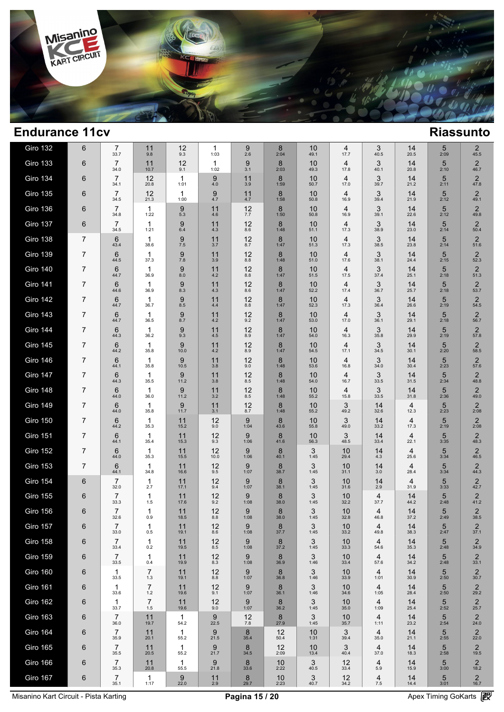

| <b>Giro 132</b> | 6 | 7<br>33.7              | 11<br>9.8            | 12<br>9.3            | 1<br>1:03  | 9<br>2.6                 | 8<br>2:04      | 10<br>49.1 | 4<br>17.7  | 3<br>40.5  | 14<br>20.5 | 5<br>2:09              | $\overline{2}$<br>45.5 |
|-----------------|---|------------------------|----------------------|----------------------|------------|--------------------------|----------------|------------|------------|------------|------------|------------------------|------------------------|
| <b>Giro 133</b> | 6 | $\overline{7}$<br>34.0 | 11<br>10.7           | 12<br>9.1            | 1<br>1:02  | 9<br>3.1                 | 8<br>2:03      | 10<br>49.3 | 4<br>17.8  | 3<br>40.1  | 14<br>20.8 | 5<br>2:10              | $\overline{2}$<br>46.7 |
| <b>Giro 134</b> | 6 | 7<br>34.1              | 12<br>20.8           | 1<br>1:01            | 9<br>4.0   | 11<br>3.9                | 8<br>1:59      | 10<br>50.7 | 4<br>17.0  | 3<br>39.7  | 14<br>21.2 | 5<br>2:11              | $\overline{2}$<br>47.8 |
| <b>Giro 135</b> | 6 | 7<br>34.5              | 12<br>21.3           | $\mathbf{1}$<br>1:00 | 9<br>4.7   | 11<br>4.7                | 8<br>1:58      | 10<br>50.8 | 4<br>16.9  | 3<br>39.4  | 14<br>21.9 | 5<br>2:12              | $\overline{2}$<br>49.1 |
| <b>Giro 136</b> | 6 | 7<br>34.8              | 1<br>1:22            | 9<br>5.3             | 11<br>4.6  | 12<br>7.7                | 8<br>1:50      | 10<br>50.8 | 4<br>16.9  | 3<br>39.1  | 14<br>22.6 | 5<br>2:12              | $\overline{2}$<br>49.8 |
| Giro 137        | 6 | 7<br>34.5              | 1<br>1:21            | 9<br>6.4             | 11<br>4.3  | 12<br>8.6                | 8<br>1:48      | 10<br>51.1 | 4<br>17.3  | 3<br>38.9  | 14<br>23.0 | 5<br>2:14              | $\overline{2}$<br>50.4 |
| <b>Giro 138</b> | 7 | 6<br>43.4              | $\mathbf{1}$<br>38.6 | 9<br>7.5             | 11<br>3.7  | 12<br>8.7                | 8<br>1:47      | 10<br>51.3 | 4<br>17.3  | 3<br>38.5  | 14<br>23.8 | 5<br>2:14              | $\overline{2}$<br>51.6 |
| <b>Giro 139</b> | 7 | 6<br>44.5              | $\mathbf 1$<br>37.3  | 9<br>7.8             | 11<br>3.9  | 12<br>8.8                | 8<br>1:48      | 10<br>51.0 | 4<br>17.6  | 3<br>38.1  | 14<br>24.4 | 5<br>2:15              | $\overline{2}$<br>52.3 |
| <b>Giro 140</b> | 7 | 6<br>44.7              | $\mathbf 1$<br>36.9  | 9<br>8.0             | 11<br>4.2  | 12<br>8.8                | 8<br>1:47      | 10<br>51.5 | 4<br>17.5  | 3<br>37.4  | 14<br>25.1 | 5<br>2:18              | $\overline{2}$<br>51.3 |
| <b>Giro 141</b> | 7 | 6<br>44.6              | 1<br>36.9            | 9<br>8.3             | 11<br>4.3  | 12<br>8.6                | 8<br>1:47      | 10<br>52.2 | 4<br>17.4  | 3<br>36.7  | 14<br>25.7 | 5<br>2:18              | $\overline{2}$<br>53.7 |
| <b>Giro 142</b> | 7 | 6<br>44.7              | $\mathbf 1$<br>36.7  | 9<br>8.5             | 11<br>4.4  | 12<br>8.8                | 8<br>1:47      | 10<br>52.3 | 4<br>17.3  | 3<br>36.4  | 14<br>26.6 | 5<br>2:19              | $\overline{2}$<br>54.5 |
| <b>Giro 143</b> | 7 | 6<br>44.7              | $\mathbf 1$<br>36.5  | 9<br>8.7             | 11<br>4.2  | 12<br>9.2                | 8<br>1:47      | 10<br>53.0 | 4<br>17.0  | 3<br>36.1  | 14<br>29.1 | 5<br>2:18              | $\overline{2}$<br>56.7 |
| <b>Giro 144</b> | 7 | 6<br>44.3              | $\mathbf 1$<br>36.2  | 9<br>9.3             | 11<br>4.5  | 12<br>8.9                | 8<br>1:47      | 10<br>54.0 | 4<br>16.3  | 3<br>35.8  | 14<br>29.9 | 5<br>2:19              | $\overline{2}$<br>57.8 |
| <b>Giro 145</b> | 7 | 6<br>44.2              | $\mathbf{1}$<br>35.8 | 9<br>10.0            | 11<br>4.2  | 12<br>8.9                | 8<br>1:47      | 10<br>54.5 | 4<br>17.1  | 3<br>34.5  | 14<br>30.1 | 5<br>2:20              | $\overline{2}$<br>58.5 |
| <b>Giro 146</b> | 7 | 6<br>44.1              | $\mathbf{1}$<br>35.8 | 9<br>10.5            | 11<br>3.8  | 12<br>9.0                | 8<br>1:48      | 10<br>53.6 | 4<br>16.8  | 3<br>34.0  | 14<br>30.4 | 5<br>2:23              | $\overline{2}$<br>57.6 |
| Giro 147        | 7 | 6<br>44.3              | $\mathbf 1$<br>35.5  | 9<br>11.2            | 11<br>3.8  | 12<br>8.5                | 8<br>1:48      | 10<br>54.0 | 4<br>16.7  | 3<br>33.5  | 14<br>31.5 | 5<br>2:34              | $\overline{2}$<br>48.8 |
| Giro 148        | 7 | 6<br>44.0              | $\mathbf{1}$<br>36.0 | 9<br>11.2            | 11<br>3.2  | 12<br>8.5                | 8<br>1:48      | 10<br>55.2 | 4<br>15.8  | 3<br>33.5  | 14<br>31.8 | 5<br>2:36              | $\overline{2}$<br>49.0 |
| <b>Giro 149</b> | 7 | 6<br>44.0              | $\mathbf 1$<br>35.8  | 9<br>11.7            | 11<br>3.1  | 12<br>8.7                | 8<br>1:48      | 10<br>55.2 | 3<br>49.2  | 14<br>32.6 | 4<br>12.3  | 5<br>2:23              | $\overline{2}$<br>2:08 |
| <b>Giro 150</b> | 7 | 6<br>44.2              | $\mathbf{1}$<br>35.3 | 11<br>15.2           | 12<br>9.0  | 9<br>1:04                | 8<br>43.6      | 10<br>55.8 | 3<br>49.0  | 14<br>33.2 | 4<br>17.3  | 5<br>2:19              | $\overline{2}$<br>2:08 |
| <b>Giro 151</b> | 7 | 6<br>44.1              | $\mathbf 1$<br>35.4  | 11<br>15.3           | 12<br>9.3  | 9<br>1:06                | 8<br>41.6      | 10<br>56.3 | 3<br>48.5  | 14<br>33.4 | 4<br>22.1  | 5<br>3:35              | $\overline{2}$<br>48.3 |
| <b>Giro 152</b> | 7 | 6<br>44.0              | $\mathbf 1$<br>35.3  | 11<br>15.5           | 12<br>10.0 | 9<br>1:06                | 8<br>40.1      | 3<br>1:45  | 10<br>29.4 | 14<br>4.3  | 4<br>25.6  | 5<br>3:34              | $\overline{2}$<br>46.5 |
| <b>Giro 153</b> | 7 | 6<br>44.1              | 1<br>34.8            | 11<br>16.6           | 12<br>9.5  | 9<br>1:07                | 8<br>38.7      | 3<br>1:45  | 10<br>31.1 | 14<br>3.0  | 4<br>28.4  | 5<br>3:34              | $\overline{2}$<br>44.3 |
| <b>Giro 154</b> | 6 | $\overline{7}$<br>32.0 | 1<br>2.7             | 11<br>17.1           | 12<br>9.4  | 9<br>1:07                | 8<br>38.1      | 3<br>1:45  | 10<br>31.6 | 14<br>2.9  | 4<br>31.9  | 5<br>3:33              | $\overline{2}$<br>42.7 |
| <b>Giro 155</b> | 6 | $\overline{7}$<br>33.3 | 1<br>1.5             | 11<br>17.6           | 12<br>9.2  | 9<br>1:08                | 8<br>38.0      | 3<br>1:45  | 10<br>32.2 | 4<br>37.7  | 14<br>44.2 | 5<br>2:48              | $\overline{2}$<br>41.2 |
| <b>Giro 156</b> | 6 | $\overline{7}$<br>32.6 | 1<br>0.9             | 11<br>18.5           | 12<br>8.8  | 9<br>1:08                | 8<br>38.0      | 3<br>1:45  | 10<br>32.8 | 4<br>46.8  | 14<br>37.2 | 5<br>2:49              | $\overline{2}$<br>38.5 |
| <b>Giro 157</b> | 6 | 7<br>33.0              | 1<br>0.5             | 11<br>19.1           | 12<br>8.6  | 9<br>1:08                | $8 \over 37.7$ | 3<br>1:45  | 10<br>33.2 | 4<br>49.8  | 14<br>38.3 | 5<br>2:47              | 2<br>37.1              |
| <b>Giro 158</b> | 6 | $\overline{7}$<br>33.4 | 1<br>0.2             | 11<br>19.5           | 12<br>8.5  | 9<br>1:08                | 8<br>37.2      | 3<br>1:45  | 10<br>33.3 | 4<br>54.6  | 14<br>35.3 | 5<br>2:48              | $\overline{2}$<br>34.9 |
| <b>Giro 159</b> | 6 | $\overline{7}$<br>33.5 | 1<br>0.4             | 11<br>19.9           | 12<br>8.3  | 9<br>1:08                | 8<br>36.9      | 3<br>1:46  | 10<br>33.4 | 4<br>57.6  | 14<br>34.2 | 5<br>2:48              | $\overline{2}$<br>33.1 |
| <b>Giro 160</b> | 6 | 1<br>33.5              | 7<br>1.3             | 11<br>19.1           | 12<br>8.8  | 9<br>1:07                | 8<br>36.8      | 3<br>1:46  | 10<br>33.9 | 4<br>1:01  | 14<br>30.9 | 5<br>2:50              | $\overline{2}$<br>30.7 |
| <b>Giro 161</b> | 6 | 1<br>33.6              | 7<br>$1.2$           | 11<br>19.6           | 12<br>9.1  | 9<br>1:07                | 8<br>36.1      | 3<br>1:46  | 10<br>34.6 | 4<br>1:05  | 14<br>28.4 | 5<br>2:50              | $\overline{2}$<br>29.2 |
| <b>Giro 162</b> | 6 | 1<br>33.7              | 7<br>1.5             | 11<br>19.6           | 12<br>9.0  | 9<br>1:07                | 8<br>36.2      | 3<br>1:45  | 10<br>35.0 | 4<br>1:09  | 14<br>25.4 | 5<br>2:52              | $\overline{2}$<br>25.7 |
| <b>Giro 163</b> | 6 | $\overline{7}$<br>36.0 | 11<br>19.7           | $\mathbf{1}$<br>54.2 | 9<br>22.5  | 12<br>7.8                | 8<br>27.9      | 3<br>1:45  | 10<br>35.7 | 4<br>1:11  | 14<br>23.2 | 5<br>2:54              | $\overline{2}$<br>24.0 |
| <b>Giro 164</b> | 6 | $\overline{7}$<br>35.9 | 11<br>20.1           | $\mathbf{1}$<br>55.2 | 9<br>21.5  | 8<br>35.4                | 12<br>50.4     | 10<br>1:31 | 3<br>39.4  | 4<br>35.0  | 14<br>21.1 | $\overline{5}$<br>2:55 | $\overline{2}$<br>22.0 |
| <b>Giro 165</b> | 6 | 7<br>35.5              | 11<br>20.5           | $\mathbf{1}$<br>55.2 | 9<br>21.7  | 8<br>34.5                | 12<br>2:09     | 10<br>13.4 | 3<br>40.4  | 4<br>37.0  | 14<br>18.3 | $\overline{5}$<br>2:58 | $\overline{2}$<br>19.5 |
| Giro 166        | 6 | 7<br>35.3              | 11<br>20.8           | $\mathbf{1}$<br>55.5 | 9<br>21.8  | $\boldsymbol{8}$<br>33.6 | 10<br>2:22     | 3<br>40.5  | 12<br>33.4 | 4<br>5.9   | 14<br>15.9 | 5<br>3:00              | $\overline{2}$<br>18.2 |
| <b>Giro 167</b> | 6 | $\overline{7}$<br>35.1 | $\mathbf{1}$<br>1:17 | 9<br>22.0            | 11<br>2.9  | 8<br>29.7                | 10<br>2:23     | 3<br>40.7  | 12<br>34.2 | 4<br>7.5   | 14<br>14.4 | $\sqrt{5}$<br>3:01     | $\overline{c}$<br>16.7 |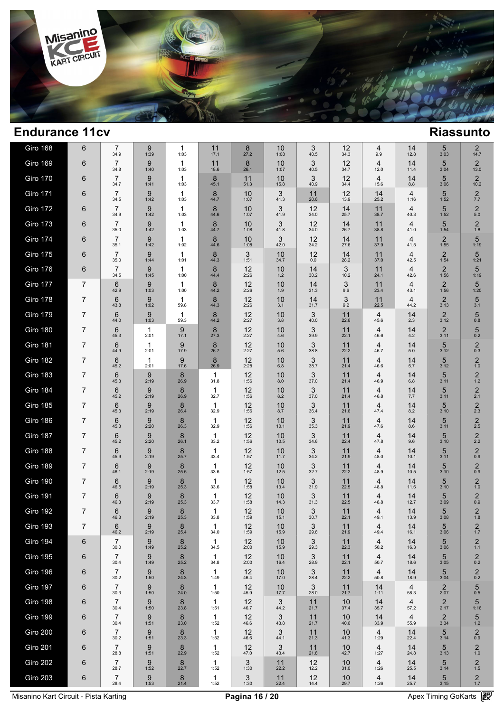

| Giro 168        | 6              | 7<br>34.9              | 9<br>1:39            | 1<br>1:03                | 11<br>17.1           | 8<br>27.2           | 10<br>1:08  | 3<br>40.5    | 12<br>34.3 | 4<br>9.9               | 14<br>12.8 | 5<br>3:03              | 2<br>14.7                      |  |
|-----------------|----------------|------------------------|----------------------|--------------------------|----------------------|---------------------|-------------|--------------|------------|------------------------|------------|------------------------|--------------------------------|--|
| <b>Giro 169</b> | 6              | $\overline{7}$<br>34.8 | 9<br>1:40            | 1<br>1:03                | 11<br>18.6           | 8<br>26.1           | 10<br>1:07  | 3<br>40.5    | 12<br>34.7 | $\overline{4}$<br>12.0 | 14<br>11.4 | 5<br>3:04              | $\overline{2}$<br>13.0         |  |
| <b>Giro 170</b> | 6              | $\overline{7}$<br>34.7 | 9<br>1:41            | 1<br>1:03                | 8<br>45.1            | 11<br>51.3          | 10<br>15.8  | 3<br>40.9    | 12<br>34.4 | 4<br>15.6              | 14<br>8.8  | 5<br>3:06              | $\overline{2}$<br>10.2         |  |
| <b>Giro 171</b> | 6              | $\overline{7}$<br>34.5 | 9<br>1:42            | $\mathbf{1}$<br>1:03     | 8<br>44.7            | 10<br>1:07          | 3<br>41.3   | 11<br>20.6   | 12<br>13.9 | 14<br>25.2             | 4<br>1:16  | 5<br>1:52              | $\overline{c}$<br>7.7          |  |
| Giro 172        | 6              | $\overline{7}$<br>34.9 | 9<br>1:42            | 1<br>1:03                | 8<br>44.6            | 10<br>1:07          | 3<br>41.9   | 12<br>34.0   | 14<br>25.7 | 11<br>38.7             | 4<br>40.3  | 5<br>1:52              | $\overline{c}$<br>$5.0$        |  |
| <b>Giro 173</b> | 6              | $\overline{7}$<br>35.0 | 9<br>1:42            | 1<br>1:03                | 8<br>44.7            | 10<br>1:08          | 3<br>41.8   | 12<br>34.0   | 14<br>26.7 | 11<br>38.8             | 4<br>41.0  | 5<br>1:54              | $\overline{c}$<br>1.8          |  |
| <b>Giro 174</b> | 6              | $\overline{7}$<br>35.1 | 9<br>1:42            | $\mathbf{1}$<br>1:02     | 8<br>44.6            | 10<br>1:08          | 3<br>42.0   | 12<br>34.2   | 14<br>27.6 | 11<br>37.9             | 4<br>41.5  | $\overline{2}$<br>1:55 | 5<br>1:19                      |  |
| <b>Giro 175</b> | 6              | $\overline{7}$<br>35.0 | 9<br>1:44            | $\mathbf{1}$<br>1:01     | 8<br>44.3            | 3<br>1:51           | 10<br>34.7  | 12<br>0.0    | 14<br>28.2 | 11<br>37.0             | 4<br>42.5  | 2<br>1:54              | 5<br>1:21                      |  |
| <b>Giro 176</b> | 6              | $\overline{7}$<br>34.5 | 9<br>1:45            | $\mathbf{1}$<br>1:00     | 8<br>44.4            | 12<br>2:26          | 10<br>$1.2$ | 14<br>30.2   | 3<br>10.2  | 11<br>24.1             | 4<br>42.6  | 2<br>1:56              | 5<br>1:19                      |  |
| Giro 177        | 7              | 6<br>42.9              | 9<br>1:03            | -1<br>1:00               | 8<br>44.2            | 12<br>2:26          | 10<br>1.9   | 14<br>31.3   | 3<br>9.6   | 11<br>23.4             | 4<br>43.1  | $\overline{2}$<br>1:56 | 5<br>1:20                      |  |
| Giro 178        | 7              | 6<br>43.8              | 9<br>1:02            | $\mathbf{1}$<br>59.8     | 8<br>44.3            | 12<br>2:26          | 10<br>3.1   | 14<br>31.7   | 3<br>9.2   | 11<br>22.5             | 4<br>44.2  | $\overline{2}$<br>3:13 | 5<br>3.1                       |  |
| <b>Giro 179</b> | 7              | 6<br>44.0              | 9<br>1:03            | $\mathbf{1}$<br>59.3     | 8<br>44.2            | 12<br>2:27          | 10<br>3.8   | 3<br>40.0    | 11<br>22.6 | 4<br>45.6              | 14<br>2.3  | $\overline{2}$<br>3:12 | 5<br>0.8                       |  |
| Giro 180        | 7              | 6<br>45.3              | $\mathbf{1}$<br>2:01 | 9<br>17.1                | 8<br>27.3            | 12<br>2:27          | 10<br>4.6   | 3<br>39.9    | 11<br>22.1 | 4<br>46.6              | 14<br>4.2  | $\overline{2}$<br>3:11 | 5<br>0.2                       |  |
| Giro 181        | 7              | 6<br>44.9              | $\mathbf 1$<br>2:01  | 9<br>17.9                | 8<br>26.7            | 12<br>2:27          | 10<br>5.6   | 3<br>38.8    | 11<br>22.2 | 4<br>46.7              | 14<br>5.0  | 5<br>3:12              | $\overline{2}$<br>0.3          |  |
| Giro 182        | 7              | 6<br>45.2              | $\mathbf{1}$<br>2:01 | 9<br>17.6                | 8<br>26.9            | 12<br>2:28          | 10<br>6.8   | 3<br>38.7    | 11<br>21.4 | 4<br>46.6              | 14<br>5.7  | 5<br>3:12              | $\overline{c}$<br>$1.0$        |  |
| <b>Giro 183</b> | 7              | 6<br>45.3              | 9<br>2:19            | 8<br>26.9                | $\mathbf 1$<br>31.8  | 12<br>1:56          | 10<br>8.0   | 3<br>37.0    | 11<br>21.4 | 4<br>46.9              | 14<br>6.8  | 5<br>3:11              | $\overline{c}$<br>$1.2$        |  |
| Giro 184        | 7              | 6<br>45.2              | 9<br>2:19            | 8<br>26.9                | $\mathbf{1}$<br>32.7 | 12<br>1:56          | 10<br>8.2   | 3<br>37.0    | 11<br>21.4 | 4<br>46.8              | 14<br>7.7  | 5<br>3:11              | $\overline{2}$<br>2.1          |  |
| <b>Giro 185</b> | 7              | 6<br>45.3              | 9<br>2:19            | 8<br>26.4                | $\mathbf 1$<br>32.9  | 12<br>1:56          | 10<br>8.7   | 3<br>36.4    | 11<br>21.6 | 4<br>47.4              | 14<br>8.2  | 5<br>3:10              | $\overline{2}$<br>2.3          |  |
| <b>Giro 186</b> | 7              | 6<br>45.3              | 9<br>2:20            | 8<br>26.3                | $\mathbf 1$<br>32.9  | 12<br>1:56          | 10<br>10.1  | 3<br>35.3    | 11<br>21.9 | 4<br>47.6              | 14<br>8.6  | 5<br>3:11              | $\overline{2}$<br>2.5          |  |
| Giro 187        | 7              | 6<br>45.2              | 9<br>2:20            | 8<br>26.1                | $\mathbf 1$<br>33.2  | 12<br>1:56          | 10<br>10.5  | 3<br>34.6    | 11<br>22.4 | 4<br>47.8              | 14<br>9.6  | 5<br>3:10              | $\overline{2}$<br>2.2          |  |
| Giro 188        | 7              | 6<br>45.9              | 9<br>2:19            | 8<br>25.7                | $\mathbf{1}$<br>33.4 | 12<br>1:57          | 10<br>11.7  | 3<br>34.2    | 11<br>21.9 | 4<br>48.0              | 14<br>10.1 | 5<br>3:11              | $\overline{2}$<br>0.9          |  |
| <b>Giro 189</b> | 7              | 6<br>46.1              | 9<br>2:19            | 8<br>25.5                | -1<br>33.6           | 12<br>1:57          | 10<br>12.5  | 3<br>32.7    | 11<br>22.2 | 4<br>48.9              | 14<br>10.5 | 5<br>3:10              | 2<br>0.9                       |  |
| Giro 190        | 7              | 6<br>46.5              | 9<br>2:19            | 8<br>25.3                | $\mathbf 1$<br>33.6  | 12<br>1:58          | 10<br>13.4  | 3<br>31.9    | 11<br>22.5 | 4<br>48.8              | 14<br>11.6 | 5<br>3:10              | 2<br>1.0                       |  |
| <b>Giro 191</b> | 7              | 6<br>46.3              | 9<br>2:19            | 8<br>25.3                | -1<br>33.7           | 12<br>1:58          | 10<br>14.3  | 3<br>31.3    | 11<br>22.5 | 4<br>48.8              | 14<br>12.7 | 5<br>3:09              | $\overline{2}$<br>0.9          |  |
| Giro 192        | 7              | 6<br>46.3              | 9<br>2:19            | 8<br>25.3                | 1<br>33.8            | 12<br>1:59          | 10<br>15.1  | 3<br>30.7    | 11<br>22.1 | 4<br>49.1              | 14<br>13.9 | 5<br>3:08              | $\overline{2}$<br>1.8          |  |
| Giro 193        | $\overline{7}$ | 6<br>46.2              | 9<br>2:19            | 8<br>25.4                | 1<br>34.0            | 12<br>1:59          | 10<br>15.9  | 3<br>29.8    | 11<br>21.9 | 4<br>49.4              | 14<br>16.1 | 5<br>3:06              | $\frac{2}{1.7}$                |  |
| <b>Giro 194</b> | 6              | $\overline{7}$<br>30.0 | 9<br>1:49            | 8<br>25.2                | 1<br>34.5            | 12<br>2:00          | 10<br>15.9  | 3<br>29.3    | 11<br>22.3 | 4<br>50.2              | 14<br>16.3 | 5<br>3:06              | $\frac{2}{1.1}$                |  |
| <b>Giro 195</b> | 6              | 7<br>30.4              | 9<br>1:49            | 8<br>25.2                | 1<br>34.8            | 12<br>2:00          | 10<br>16.4  | 3<br>28.9    | 11<br>22.1 | 4<br>50.7              | 14<br>18.6 | 5<br>3:05              | $\overline{2}$<br>0.2          |  |
| Giro 196        | 6              | 7<br>30.2              | 9<br>1:50            | 8<br>24.3                | 1<br>1:49            | 12<br>46.4          | 10<br>17.0  | 3<br>28.4    | 11<br>22.2 | 4<br>50.8              | 14<br>18.9 | $\sqrt{5}$<br>3:04     | $\overline{2}$<br>0.2          |  |
| Giro 197        | 6              | 7<br>30.3              | 9<br>1:50            | 8<br>24.0                | $\mathbf{1}$<br>1:50 | 12<br>45.9          | 10<br>17.7  | 3<br>28.0    | 11<br>21.7 | 14<br>1:11             | 4<br>58.3  | $\overline{2}$<br>2:07 | 5<br>0.5                       |  |
| <b>Giro 198</b> | 6              | 7<br>30.4              | 9<br>1:50            | 8<br>23.8                | $\mathbf{1}$<br>1:51 | 12<br>46.7          | 3<br>44.2   | 11<br>21.7   | 10<br>37.4 | 14<br>35.7             | 4<br>57.2  | $2 \choose 2:17$       | 5<br>1:16                      |  |
| Giro 199        | 6              | 7<br>30.4              | 9<br>1:51            | 8<br>23.0                | $\mathbf 1$<br>1:52  | 12<br>46.6          | 3<br>43.8   | 11<br>21.7   | 10<br>40.6 | 14<br>33.9             | 4<br>55.9  | $\overline{2}$<br>3:34 | 5<br>$1.2$                     |  |
| <b>Giro 200</b> | 6              | 7<br>30.2              | 9<br>1:51            | 8<br>23.3                | 1<br>1:52            | 12<br>46.6          | 3<br>44.1   | 11<br>21.3   | 10<br>41.3 | 4<br>1:29              | 14<br>22.4 | 5<br>3:14              | $\overline{\mathbf{c}}$<br>0.9 |  |
| <b>Giro 201</b> | 6              | 7<br>28.8              | 9<br>1:51            | 8<br>22.9                | $\mathbf{1}$<br>1:52 | 12<br>47.0          | 3<br>43.4   | 11<br>21.8   | 10<br>42.7 | 4<br>1:27              | 14<br>24.8 | 5<br>3:13              | $\overline{c}$<br>$1.0$        |  |
| Giro 202        | 6              | 7<br>28.7              | 9<br>1:52            | 8<br>22.7                | 1<br>1:52            | 3<br>1:30           | 11<br>22.2  | 12<br>12.2   | 10<br>31.0 | 4<br>1:26              | 14<br>25.5 | 5<br>3:14              | $\overline{c}$<br>$1.5$        |  |
| <b>Giro 203</b> | 6              | $\overline{7}$<br>28.4 | 9<br>1:53            | $\boldsymbol{8}$<br>21.4 | $\mathbf{1}$<br>1:52 | $\mathsf 3$<br>1:30 | 11<br>22.4  | $12$<br>14.4 | 10<br>29.7 | 4<br>1:26              | 14<br>25.7 | $\sqrt{5}$<br>3:15     | $\overline{\mathbf{c}}$<br>1.7 |  |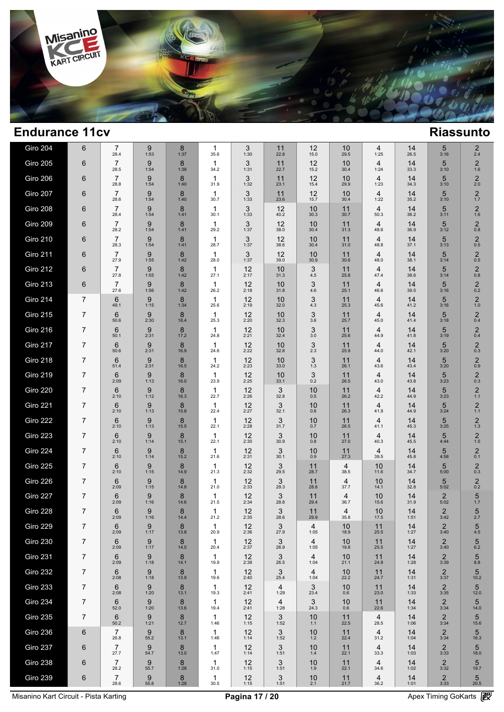

| Giro 204        | 6              | 7<br>28.4              | 9<br>1:53 | 8<br>1:37 | 1<br>35.6            | 3<br>1:30  | 11<br>22.8 | 12<br>15.0  | 10<br>29.5 | 4<br>1:25              | 14<br>26.5 | 5<br>3:16              | $\overline{2}$<br>2.4   |  |
|-----------------|----------------|------------------------|-----------|-----------|----------------------|------------|------------|-------------|------------|------------------------|------------|------------------------|-------------------------|--|
| <b>Giro 205</b> | 6              | $\overline{7}$<br>28.5 | 9<br>1:54 | 8<br>1:38 | $\mathbf{1}$<br>34.2 | 3<br>1:31  | 11<br>22.7 | 12<br>15.2  | 10<br>30.4 | 4<br>1:24              | 14<br>33.3 | 5<br>3:10              | $\overline{2}$<br>1.6   |  |
| <b>Giro 206</b> | 6              | $\overline{7}$<br>28.8 | 9<br>1:54 | 8<br>1:40 | $\mathbf{1}$<br>31.9 | 3<br>1:32  | 11<br>23.1 | 12<br>15.4  | 10<br>29.9 | 4<br>1:23              | 14<br>34.3 | 5<br>3:10              | $\overline{2}$<br>2.0   |  |
| <b>Giro 207</b> | 6              | $\overline{7}$<br>28.6 | 9<br>1:54 | 8<br>1:40 | $\mathbf{1}$<br>30.7 | 3<br>1:33  | 11<br>23.6 | 12<br>15.7  | 10<br>30.4 | 4<br>1:22              | 14<br>35.2 | 5<br>3:10              | 2<br>$1.7$              |  |
| <b>Giro 208</b> | 6              | $\overline{7}$<br>28.4 | 9<br>1:54 | 8<br>1:41 | $\mathbf{1}$<br>30.1 | 3<br>1:33  | 12<br>40.2 | 10<br>30.3  | 11<br>30.7 | 4<br>50.3              | 14<br>36.2 | 5<br>3:11              | $\overline{2}$<br>1.6   |  |
| <b>Giro 209</b> | 6              | $\overline{7}$<br>28.2 | 9<br>1:54 | 8<br>1:41 | 1<br>29.2            | 3<br>1:37  | 12<br>38.0 | 10<br>30.4  | 11<br>31.3 | 4<br>48.6              | 14<br>36.9 | 5<br>3:12              | 2<br>0.8                |  |
| <b>Giro 210</b> | 6              | $\overline{7}$<br>28.3 | 9<br>1:54 | 8<br>1:41 | $\mathbf{1}$<br>28.7 | 3<br>1:37  | 12<br>38.6 | 10<br>30.4  | 11<br>31.0 | 4<br>48.8              | 14<br>37.1 | 5<br>3:13              | $\overline{2}$<br>0.5   |  |
| <b>Giro 211</b> | 6              | $\overline{7}$<br>27.9 | 9<br>1:55 | 8<br>1:42 | $\mathbf{1}$<br>28.0 | 3<br>1:37  | 12<br>39.0 | 10<br>30.9  | 11<br>30.6 | 4<br>48.0              | 14<br>38.1 | 5<br>3:14              | $\overline{2}$<br>0.5   |  |
| <b>Giro 212</b> | 6              | $\overline{7}$<br>27.8 | 9<br>1:55 | 8<br>1:42 | $\mathbf{1}$<br>27.1 | 12<br>2:17 | 10<br>31.3 | 3<br>4.5    | 11<br>25.8 | 4<br>47.4              | 14<br>38.6 | 5<br>3:14              | $\overline{2}$<br>0.8   |  |
| <b>Giro 213</b> | 6              | $\overline{7}$<br>27.6 | 9<br>1:56 | 8<br>1:42 | $\mathbf{1}$<br>26.2 | 12<br>2:18 | 10<br>31.8 | 3<br>4.6    | 11<br>25.1 | 4<br>46.6              | 14<br>39.5 | 5<br>3:16              | $\overline{2}$<br>0.2   |  |
| <b>Giro 214</b> | 7              | 6<br>49.1              | 9<br>1:15 | 8<br>1:34 | 1<br>25.6            | 12<br>2:19 | 10<br>32.0 | 3<br>4.3    | 11<br>25.3 | 4<br>45.6              | 14<br>41.2 | 5<br>3:16              | $\overline{2}$<br>1.0   |  |
| <b>Giro 215</b> | 7              | 6<br>50.6              | 9<br>2:30 | 8<br>18.4 | 1<br>25.3            | 12<br>2:20 | 10<br>32.3 | 3<br>3.6    | 11<br>25.7 | 4<br>45.0              | 14<br>41.4 | 5<br>3:18              | $\overline{2}$<br>0.4   |  |
| <b>Giro 216</b> | $\overline{7}$ | 6<br>50.1              | 9<br>2:31 | 8<br>17.2 | 1<br>24.8            | 12<br>2:21 | 10<br>32.4 | 3<br>3.0    | 11<br>25.6 | 4<br>44.9              | 14<br>41.8 | 5<br>3:19              | $\overline{2}$<br>0.4   |  |
| <b>Giro 217</b> | 7              | 6<br>50.6              | 9<br>2:31 | 8<br>16.9 | 1<br>24.6            | 12<br>2:22 | 10<br>32.8 | 3<br>2.3    | 11<br>25.9 | 4<br>44.0              | 14<br>42.1 | 5<br>3:20              | $\overline{c}$<br>0.3   |  |
| <b>Giro 218</b> | 7              | 6<br>51.4              | 9<br>2:31 | 8<br>16.5 | $\mathbf{1}$<br>24.2 | 12<br>2:23 | 10<br>33.0 | 3<br>1.3    | 11<br>26.1 | 4<br>43.6              | 14<br>43.4 | 5<br>3:20              | $\overline{c}$<br>0.9   |  |
| <b>Giro 219</b> | 7              | 6<br>2:09              | 9<br>1:13 | 8<br>16.0 | 1<br>23.9            | 12<br>2:25 | 10<br>33.1 | 3<br>0.2    | 11<br>26.5 | 4<br>43.0              | 14<br>43.8 | 5<br>3:23              | $\overline{c}$<br>0.3   |  |
| <b>Giro 220</b> | 7              | 6<br>2:10              | 9<br>1:12 | 8<br>16.3 | 1<br>22.7            | 12<br>2:26 | 3<br>32.8  | 10<br>0.5   | 11<br>26.2 | 4<br>42.2              | 14<br>44.9 | 5<br>3:23              | $\overline{c}$<br>1.1   |  |
| <b>Giro 221</b> | 7              | 6<br>2:10              | 9<br>1:13 | 8<br>15.8 | $\mathbf{1}$<br>22.4 | 12<br>2:27 | 3<br>32.1  | 10<br>0.6   | 11<br>26.3 | 4<br>41.9              | 14<br>44.9 | 5<br>3:24              | $\overline{2}$<br>1.1   |  |
| <b>Giro 222</b> | 7              | 6<br>2:10              | 9<br>1:13 | 8<br>15.5 | $\mathbf{1}$<br>22.1 | 12<br>2:28 | 3<br>31.7  | 10<br>0.7   | 11<br>26.5 | 4<br>41.1              | 14<br>45.3 | 5<br>3:25              | $\overline{2}$<br>1.3   |  |
| <b>Giro 223</b> | 7              | 6<br>2:10              | 9<br>1:14 | 8<br>15.1 | $\mathbf{1}$<br>22.1 | 12<br>2:30 | 3<br>30.9  | 10<br>0.8   | 11<br>27.0 | 4<br>40.3              | 14<br>45.5 | 5<br>4:44              | $\overline{2}$<br>$1.5$ |  |
| <b>Giro 224</b> | $\overline{7}$ | 6<br>2:10              | 9<br>1:14 | 8<br>15.2 | $\mathbf{1}$<br>21.6 | 12<br>2:31 | 3<br>30.1  | 10<br>0.9   | 11<br>27.3 | 4<br>39.5              | 14<br>45.8 | 5<br>4:58              | $\overline{2}$<br>0.1   |  |
| <b>Giro 225</b> | 7              | 6<br>2:10              | 9<br>1:15 | 8<br>14.9 | $\mathbf{1}$<br>21.3 | 12<br>2:32 | 3<br>29.5  | 11<br>28.7  | 4<br>38.5  | 10<br>11.6             | 14<br>34.7 | 5<br>5:00              | $\overline{2}$<br>0.3   |  |
| Giro 226        | 7              | 6<br>2:09              | 9<br>1:15 | 8<br>14.8 | $\mathbf{1}$<br>21.0 | 12<br>2:33 | 3<br>29.3  | 11<br>28.8  | 4<br>37.7  | 10<br>14.1             | 14<br>32.8 | 5<br>5:02              | $\overline{2}$<br>0.2   |  |
| Giro 227        | 7              | 6<br>2:09              | 9<br>1:16 | 8<br>14.6 | $\mathbf{1}$<br>21.5 | 12<br>2:34 | 3<br>28.8  | 11<br>29.4  | 4<br>36.7  | 10<br>15.6             | 14<br>31.9 | $\overline{2}$<br>5:02 | 5<br>1.7                |  |
| Giro 228        | 7              | 6<br>2:09              | 9<br>1:16 | 8<br>14.4 | $\mathbf{1}$<br>21.2 | 12<br>2:35 | 3<br>28.6  | 11<br>29.9  | 4<br>35.8  | 10<br>17.5             | 14<br>1:51 | $\overline{2}$<br>3:42 | 5<br>2.7                |  |
| Giro 229        | 7              | 6<br>2:09              | 9<br>1:17 | 8<br>13.8 | 20.9                 | 12<br>2:36 | 3<br>27.9  | 4<br>1:05   | 10<br>18.9 | 11<br>25.5             | 14<br>1:27 | $\overline{2}$<br>3:40 | 5<br>4.5                |  |
| <b>Giro 230</b> | 7              | 6<br>2:09              | 9<br>1:17 | 8<br>14.0 | $\mathbf{1}$<br>20.4 | 12<br>2:37 | 3<br>26.9  | 4<br>1:05   | 10<br>19.8 | 11<br>25.5             | 14<br>1:27 | $\overline{2}$<br>3:40 | 5<br>6.2                |  |
| <b>Giro 231</b> | 7              | 6<br>2:09              | 9<br>1:18 | 8<br>14.1 | $\mathbf{1}$<br>19.9 | 12<br>2:38 | 3<br>26.5  | 4<br>1:04   | 10<br>21.1 | 11<br>24.8             | 14<br>1:28 | 2<br>3:39              | 5<br>8.8                |  |
| <b>Giro 232</b> | 7              | 6<br>2:08              | 9<br>1:18 | 8<br>13.9 | $\mathbf{1}$<br>19.6 | 12<br>2:40 | 3<br>25.4  | 4<br>1:04   | 10<br>22.2 | 11<br>24.7             | 14<br>1:31 | 2<br>3:37              | 5<br>10.2               |  |
| <b>Giro 233</b> | 7              | 6<br>2:08              | 9<br>1:20 | 8<br>13.1 | $\mathbf 1$<br>19.3  | 12<br>2:41 | 4<br>1:29  | 3<br>23.4   | 10<br>0.6  | 11<br>23.0             | 14<br>1:33 | 2<br>3:35              | 5<br>12.0               |  |
| <b>Giro 234</b> | 7              | 6<br>52.0              | 9<br>1:20 | 8<br>13.6 | $\mathbf 1$<br>19.4  | 12<br>2:41 | 4<br>1:28  | 3<br>24.3   | 10<br>0.6  | 11<br>22.6             | 14<br>1:34 | 2<br>3:34              | 5<br>14.0               |  |
| <b>Giro 235</b> | $\overline{7}$ | 6<br>50.2              | 9<br>1:21 | 8<br>12.7 | $\mathbf{1}$<br>1:46 | 12<br>1:15 | 3<br>1:52  | 10<br>1.1   | 11<br>22.5 | $\overline{4}$<br>28.5 | 14<br>1:06 | 2<br>3:34              | 5<br>15.6               |  |
| <b>Giro 236</b> | 6              | $\overline{7}$<br>26.8 | 9<br>55.2 | 8<br>13.1 | $\mathbf{1}$<br>1:46 | 12<br>1:14 | 3<br>1:52  | 10<br>$1.2$ | 11<br>22.4 | $\overline{4}$<br>31.2 | 14<br>1:04 | 2<br>3:34              | 5<br>16.3               |  |
| Giro 237        | 6              | $\overline{7}$<br>27.7 | 9<br>54.7 | 8<br>13.0 | $\mathbf{1}$<br>1:47 | 12<br>1:14 | 3<br>1:51  | 10<br>1.4   | 11<br>22.1 | 4<br>33.3              | 14<br>1:03 | 2<br>3:33              | 5<br>18.0               |  |
| <b>Giro 238</b> | 6              | $\overline{7}$<br>28.2 | 9<br>55.7 | 8<br>1:28 | $\mathbf{1}$<br>31.0 | 12<br>1:15 | 3<br>1:51  | 10<br>1.9   | 11<br>22.1 | $\overline{4}$<br>34.6 | 14<br>1:02 | $\overline{2}$<br>3:32 | 5<br>19.7               |  |
| <b>Giro 239</b> | 6              | $\overline{7}$<br>28.6 | 9<br>55.8 | 8<br>1:28 | 1<br>30.5            | 12<br>1:15 | 3<br>1:51  | 10<br>2.1   | 11<br>21.7 | 4<br>36.2              | 14<br>1:01 | $\overline{2}$<br>3:33 | 5<br>20.5               |  |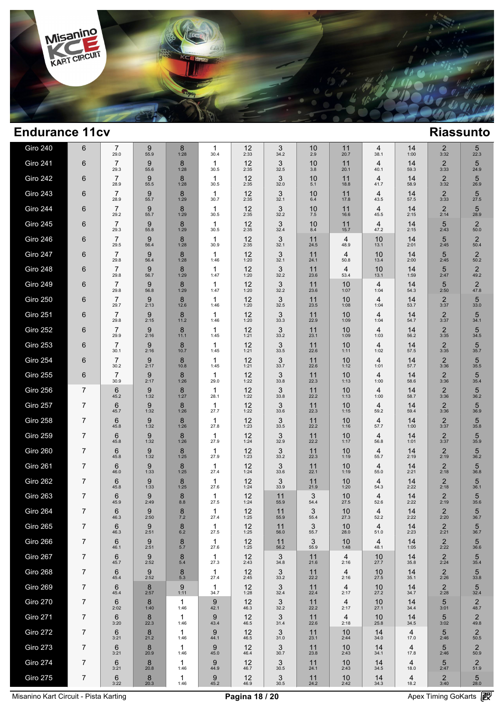

| <b>Giro 240</b> | 6              | $\overline{7}$<br>29.0 | 9<br>55.9                | 8<br>1:28            | 1<br>30.4            | 12<br>2:33   | 3<br>34.2  | 10<br>2.9   | 11<br>20.7             | 4<br>38.1              | 14<br>1:00 | $2_{3:32}$             | 5<br>22.3              |  |
|-----------------|----------------|------------------------|--------------------------|----------------------|----------------------|--------------|------------|-------------|------------------------|------------------------|------------|------------------------|------------------------|--|
| <b>Giro 241</b> | 6              | $\overline{7}$<br>29.3 | 9<br>55.6                | 8<br>1:28            | 1<br>30.5            | 12<br>2:35   | 3<br>32.5  | 10<br>3.8   | 11<br>20.1             | $\overline{4}$<br>40.1 | 14<br>59.3 | $\overline{c}$<br>3:33 | 5<br>24.9              |  |
| Giro 242        | 6              | $\overline{7}$<br>28.9 | 9<br>55.5                | 8<br>1:28            | 1<br>30.5            | 12<br>2:35   | 3<br>32.0  | 10<br>5.1   | 11<br>18.8             | $\overline{4}$<br>41.7 | 14<br>58.9 | $\overline{c}$<br>3:32 | 5<br>26.9              |  |
| <b>Giro 243</b> | 6              | $\overline{7}$<br>28.9 | 9<br>55.7                | 8<br>1:29            | 1<br>30.7            | 12<br>2:35   | 3<br>32.1  | 10<br>6.4   | 11<br>17.8             | $\overline{4}$<br>43.5 | 14<br>57.5 | $\overline{c}$<br>3:33 | 5<br>27.5              |  |
| Giro 244        | 6              | $\overline{7}$<br>29.2 | 9<br>55.7                | 8<br>1:29            | 1<br>30.5            | 12<br>2:35   | 3<br>32.2  | 10<br>$7.5$ | 11<br>16.6             | $\overline{4}$<br>45.5 | 14<br>2:15 | $\overline{c}$<br>2:14 | 5<br>28.9              |  |
| <b>Giro 245</b> | 6              | 7<br>29.3              | 9<br>55.8                | 8<br>1:29            | 1<br>30.5            | 12<br>2:35   | 3<br>32.4  | 10<br>8.4   | 11<br>15.7             | 4<br>47.2              | 14<br>2:15 | 5<br>2:43              | $\overline{2}$<br>50.0 |  |
| Giro 246        | 6              | $\overline{7}$<br>29.5 | 9<br>56.4                | 8<br>1:28            | 1<br>30.9            | 12<br>2:35   | 3<br>32.1  | 11<br>24.5  | $\overline{4}$<br>48.9 | 10<br>13.1             | 14<br>2:01 | 5<br>2:45              | $\overline{2}$<br>50.4 |  |
| Giro 247        | 6              | $\overline{7}$<br>29.8 | 9<br>56.4                | 8<br>1:28            | 1<br>1:46            | 12<br>1:20   | 3<br>32.1  | 11<br>24.1  | 4<br>50.8              | 10<br>13.4             | 14<br>2:00 | 5<br>2:45              | $\overline{2}$<br>50.2 |  |
| Giro 248        | 6              | $\overline{7}$<br>29.8 | 9<br>56.7                | 8<br>1:29            | 1<br>1:47            | 12<br>1:20   | 3<br>32.2  | 11<br>23.6  | 4<br>53.4              | 10<br>13.1             | 14<br>1:59 | 5<br>2:47              | $\overline{2}$<br>49.2 |  |
| <b>Giro 249</b> | 6              | $\overline{7}$<br>29.8 | 9<br>56.8                | 8<br>1:29            | 1<br>1:47            | 12<br>1:20   | 3<br>32.2  | 11<br>23.6  | 10<br>1:07             | $\overline{4}$<br>1:04 | 14<br>54.3 | 5<br>2:50              | $\overline{2}$<br>47.8 |  |
| <b>Giro 250</b> | 6              | $\overline{7}$<br>29.7 | 9<br>2:13                | 8<br>12.6            | 1<br>1:46            | 12<br>1:20   | 3<br>32.5  | 11<br>23.5  | 10<br>1:08             | 4<br>1:04              | 14<br>53.7 | $\overline{2}$<br>3:37 | 5<br>33.0              |  |
| <b>Giro 251</b> | 6              | $\overline{7}$<br>29.8 | 9<br>2:15                | 8<br>11.2            | 1<br>1:46            | 12<br>1:20   | 3<br>33.3  | 11<br>22.9  | 10<br>1:09             | 4<br>1:04              | 14<br>54.7 | $\overline{2}$<br>3:37 | 5<br>34.1              |  |
| Giro 252        | 6              | $\overline{7}$<br>29.9 | 9<br>2:16                | 8<br>11.1            | 1<br>1:45            | 12<br>1:21   | 3<br>33.2  | 11<br>23.1  | 10<br>1:09             | 4<br>1:03              | 14<br>56.2 | $\overline{2}$<br>3:35 | 5<br>34.5              |  |
| Giro 253        | 6              | $\overline{7}$<br>30.1 | 9<br>2:16                | 8<br>10.7            | 1<br>1:45            | 12<br>1:21   | 3<br>33.5  | 11<br>22.6  | 10<br>1:11             | $\overline{4}$<br>1:02 | 14<br>57.5 | $\overline{2}$<br>3:35 | 5<br>35.7              |  |
| <b>Giro 254</b> | 6              | $\overline{7}$<br>30.2 | 9<br>2:17                | 8<br>10.8            | 1<br>1:45            | 12<br>1:21   | 3<br>33.7  | 11<br>22.6  | 10<br>1:12             | $\overline{4}$<br>1:01 | 14<br>57.7 | $\overline{2}$<br>3:36 | 5<br>35.5              |  |
| <b>Giro 255</b> | 6              | $\overline{7}$<br>30.9 | 9<br>2:17                | 8<br>1:26            | 1<br>29.0            | 12<br>1:22   | 3<br>33.8  | 11<br>22.3  | 10<br>1:13             | 4<br>1:00              | 14<br>58.6 | $\overline{2}$<br>3:36 | 5<br>35.4              |  |
| Giro 256        | $\overline{7}$ | 6<br>45.2              | 9<br>1:32                | 8<br>1:27            | $\mathbf{1}$<br>28.1 | 12<br>1:22   | 3<br>33.8  | 11<br>22.2  | 10<br>1:13             | $\overline{4}$<br>1:00 | 14<br>58.7 | $\overline{2}$<br>3:36 | 5<br>36.2              |  |
| Giro 257        | 7              | 6<br>45.7              | 9<br>1:32                | 8<br>1:26            | 1<br>27.7            | 12<br>1:22   | 3<br>33.6  | 11<br>22.3  | 10<br>1:15             | $\overline{4}$<br>59.2 | 14<br>59.4 | 2<br>3:36              | 5<br>36.9              |  |
| Giro 258        | $\overline{7}$ | 6<br>45.8              | 9<br>1:32                | 8<br>1:26            | 1<br>27.8            | 12<br>1:23   | 3<br>33.5  | 11<br>22.2  | 10<br>1:16             | $\overline{4}$<br>57.7 | 14<br>1:00 | 2<br>3:37              | 5<br>35.8              |  |
| <b>Giro 259</b> | $\overline{7}$ | 6<br>45.8              | 9<br>1:32                | 8<br>1:26            | 1<br>27.9            | 12<br>1:24   | 3<br>32.9  | 11<br>22.2  | 10<br>1:17             | $\overline{4}$<br>56.8 | 14<br>1:01 | 2<br>3:37              | 5<br>35.9              |  |
| Giro 260        | $\overline{7}$ | 6<br>45.8              | 9<br>1:32                | 8<br>1:25            | 1<br>27.9            | 12<br>1:23   | 3<br>33.2  | 11<br>22.3  | 10<br>1:19             | 4<br>55.7              | 14<br>2:19 | $\overline{2}$<br>2:19 | 5<br>36.2              |  |
| Giro 261        | $\overline{7}$ | 6<br>46.0              | 9<br>1:33                | 8<br>1:25            | $\mathbf{1}$<br>27.4 | 12<br>1:24   | 3<br>33.6  | 11<br>22.1  | 10<br>1:19             | $\overline{4}$<br>55.0 | 14<br>2:21 | $\overline{2}$<br>2:18 | 5<br>36.8              |  |
| <b>Giro 262</b> | $\overline{7}$ | 6<br>45.8              | 9<br>1:33                | 8<br>1:25            | 1<br>27.6            | 12<br>1:24   | 3<br>33.9  | 11<br>21.9  | 10<br>1:20             | $\overline{4}$<br>54.3 | 14<br>2:22 | $\overline{2}$<br>2:18 | 5<br>36.1              |  |
| Giro 263        | 7              | 6<br>45.9              | 9<br>2:49                | 8<br>8.8             | 1<br>27.5            | 12<br>1:24   | 11<br>55.9 | 3<br>54.4   | 10<br>27.5             | 4<br>52.6              | 14<br>2:22 | $\overline{2}$<br>2:19 | 5<br>35.6              |  |
| Giro 264        | 7              | 6<br>46.3              | 9<br>2:50                | 8<br>7.2             | 1<br>27.4            | 12<br>1:25   | 11<br>55.9 | 3<br>55.4   | 10<br>27.3             | 4<br>52.2              | 14<br>2:22 | $\overline{2}$<br>2:20 | 5<br>36.7              |  |
| Giro 265        | 7              | 6<br>46.3              | 9<br>2:51                | 8<br>6.2             | 1<br>27.5            | $12$<br>1:25 | 11<br>56.0 | 3<br>55.7   | 10<br>28.0             | 4<br>51.0              | 14<br>2:23 | $2 \choose 2:21$       | 5<br>36.7              |  |
| Giro 266        | $\overline{7}$ | 6<br>46.1              | 9<br>2:51                | 8<br>5.7             | 1<br>27.6            | $12$<br>1:25 | 11<br>56.2 | 3<br>55.9   | 10<br>1:48             | 4<br>48.1              | 14<br>1:05 | $2 \choose 2:22$       | 5<br>36.6              |  |
| Giro 267        | 7              | 6<br>45.7              | 9<br>2:52                | 8<br>5.4             | 1<br>27.3            | 12<br>2:43   | 3<br>34.8  | 11<br>21.6  | 4<br>2:16              | 10<br>27.7             | 14<br>35.8 | $\overline{2}$<br>2:24 | 5<br>35.4              |  |
| Giro 268        | 7              | 6<br>45.4              | 9<br>2:52                | 8<br>5.3             | 1<br>27.4            | 12<br>2:45   | 3<br>33.2  | 11<br>22.2  | 4<br>2:16              | 10<br>27.5             | 14<br>35.1 | $2 \choose 2:26$       | 5<br>33.8              |  |
| Giro 269        | 7              | 6<br>45.4              | 8<br>2:57                | 9<br>1:11            | 1<br>34.7            | 12<br>1:28   | 3<br>32.4  | 11<br>22.4  | 4<br>2:17              | 10<br>27.2             | 14<br>34.7 | $\overline{c}$<br>2:28 | 5<br>32.4              |  |
| <b>Giro 270</b> | 7              | 6<br>2:02              | 8<br>1:40                | 1<br>1:46            | 9<br>42.1            | 12<br>46.3   | 3<br>32.2  | 11<br>22.2  | 4<br>2:17              | 10<br>27.1             | 14<br>34.4 | 5<br>3:01              | $\overline{2}$<br>48.7 |  |
| Giro 271        | 7              | 6<br>3:20              | 8<br>22.3                | $\mathbf{1}$<br>1:46 | 9<br>43.4            | 12<br>46.5   | 3<br>31.4  | 11<br>22.6  | 4<br>2:18              | 10<br>25.8             | 14<br>34.5 | 5<br>3:02              | $\overline{2}$<br>49.8 |  |
| <b>Giro 272</b> | 7              | 6<br>3:21              | $\boldsymbol{8}$<br>21.2 | 1<br>1:46            | 9<br>44.1            | 12<br>46.5   | 3<br>31.0  | 11<br>23.1  | 10<br>2:44             | 14<br>34.0             | 4<br>17.0  | 5<br>2:46              | $\overline{2}$<br>50.5 |  |
| Giro 273        | 7              | 6<br>3:21              | 8<br>20.9                | 1<br>1:46            | 9<br>45.0            | 12<br>46.4   | 3<br>30.7  | 11<br>23.8  | 10<br>2:43             | 14<br>34.1             | 4<br>17.8  | 5<br>2:46              | $\overline{2}$<br>50.9 |  |
| Giro 274        | 7              | 6<br>3:21              | 8<br>20.8                | 1<br>1:46            | 9<br>44.9            | 12<br>46.7   | 3<br>30.5  | 11<br>24.1  | 10<br>2:43             | 14<br>34.5             | 4<br>18.0  | 5<br>2:47              | $\overline{2}$<br>51.9 |  |
| Giro 275        | 7              | 6<br>3:22              | 8<br>20.3                | $\mathbf{1}$<br>1:46 | 9<br>45.2            | 12<br>46.9   | 3<br>30.5  | 11<br>24.2  | 10<br>2:42             | 14<br>34.3             | 4<br>18.2  | $\overline{c}$<br>3:40 | 5<br>28.0              |  |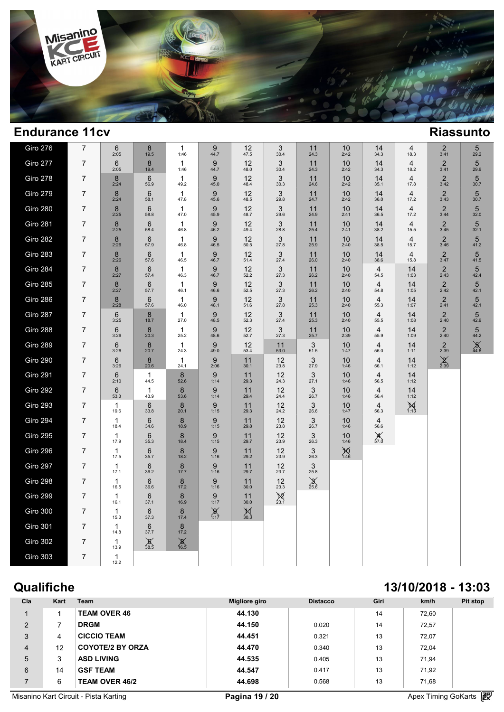

| Giro 276        | $\overline{7}$ | 6<br>2:05               | $\bf 8$<br>19.5         | 1<br>1:46                | $\boldsymbol{9}$<br>44.7 | 12<br>47.5                    | 3<br>30.4                         | 11<br>24.3             | 10<br>2:42   | 14<br>34.3             | 4<br>18.3              | $\frac{2}{3:41}$       | 5<br>29.2              |  |
|-----------------|----------------|-------------------------|-------------------------|--------------------------|--------------------------|-------------------------------|-----------------------------------|------------------------|--------------|------------------------|------------------------|------------------------|------------------------|--|
| Giro 277        | 7              | $\,6$<br>2:05           | 8<br>19.4               | $\mathbf{1}$<br>1:46     | 9<br>44.7                | 12<br>48.0                    | 3<br>30.4                         | 11<br>24.3             | 10<br>2:42   | 14<br>34.3             | 4<br>18.2              | $\frac{2}{3:41}$       | 5<br>29.9              |  |
| <b>Giro 278</b> | $\overline{7}$ | 8<br>2:24               | 6<br>56.9               | 1<br>49.2                | 9<br>45.0                | 12<br>48.4                    | 3<br>30.3                         | 11<br>24.6             | 10<br>2:42   | 14<br>35.1             | 4<br>17.8              | $\overline{2}$<br>3:42 | 5<br>30.7              |  |
| Giro 279        | $\overline{7}$ | 8<br>2:24               | $6\phantom{1}6$<br>58.1 | 1<br>47.8                | $\boldsymbol{9}$<br>45.6 | 12<br>48.5                    | $\ensuremath{\mathsf{3}}$<br>29.8 | 11<br>24.7             | 10<br>2:42   | 14<br>36.0             | 4<br>17.2              | $\mathbf 2$<br>3:43    | $\overline{5}$<br>30.7 |  |
| <b>Giro 280</b> | $\overline{7}$ | 8<br>2:25               | 6<br>58.8               | $\mathbf{1}$<br>47.0     | 9<br>45.9                | 12<br>48.7                    | 3<br>29.6                         | 11<br>24.9             | 10<br>2:41   | 14<br>36.5             | $\overline{4}$<br>17.2 | $\overline{2}$<br>3:44 | 5<br>32.0              |  |
| <b>Giro 281</b> | $\overline{7}$ | 8<br>2:25               | 6<br>58.4               | 1<br>46.8                | 9<br>46.2                | 12<br>49.4                    | 3<br>28.8                         | 11<br>25.4             | 10<br>2:41   | 14<br>38.2             | 4<br>15.5              | $\frac{2}{3:45}$       | 5<br>32.1              |  |
| Giro 282        | $\overline{7}$ | $\bf 8$<br>2:26         | 6<br>57.9               | $\mathbf{1}$<br>46.8     | 9<br>46.5                | 12<br>50.5                    | $\mathbf{3}$<br>27.8              | 11<br>25.9             | 10<br>2:40   | 14<br>38.5             | $\overline{4}$<br>15.7 | $\overline{c}$<br>3:46 | 5<br>41.2              |  |
| <b>Giro 283</b> | $\overline{7}$ | 8<br>2:26               | 6<br>57.6               | $\mathbf{1}$<br>46.5     | 9<br>46.7                | 12<br>51.4                    | 3<br>27.4                         | 11<br>26.0             | 10<br>2:40   | 14<br>38.6             | $\overline{4}$<br>15.8 | $\frac{2}{3:47}$       | 5<br>41.5              |  |
| Giro 284        | $\overline{7}$ | 8<br>2:27               | 6<br>57.4               | 1<br>46.3                | 9<br>46.7                | 12<br>52.2                    | 3<br>27.3                         | 11<br>26.2             | 10<br>2:40   | 4<br>54.5              | 14<br>1:03             | $\overline{2}$<br>2:43 | 5<br>42.4              |  |
| Giro 285        | $\overline{7}$ | $\bf 8$<br>2:27         | 6<br>57.7               | $\mathbf{1}$<br>46.1     | 9<br>46.6                | $12$<br>$52.5$                | $3$ <sub>27.3</sub>               | $11$<br>$26.2$         | 10<br>2:40   | $\overline{4}$<br>54.8 | 14<br>1:05             | $2\atop 2:42$          | 5<br>42.1              |  |
| Giro 286        | $\overline{7}$ | 8<br>2:28               | 6<br>57.6               | 1<br>46.0                | 9<br>48.1                | 12<br>51.6                    | 3<br>27.8                         | 11<br>25.3             | 10<br>2:40   | 4<br>55.3              | 14<br>1:07             | $\sqrt{2}$<br>2:41     | 5<br>42.1              |  |
| Giro 287        | $\overline{7}$ | 6<br>3:25               | 8<br>18.7               | 1<br>27.0                | 9<br>48.5                | 12<br>52.3                    | 3<br>27.4                         | 11<br>25.3             | 10<br>2:40   | $\overline{4}$<br>55.5 | 14<br>1:08             | $2\atop 2:40$          | 5<br>42.9              |  |
| <b>Giro 288</b> | $\overline{7}$ | 6<br>3:26               | 8<br>20.3               | $\mathbf{1}$<br>25.2     | 9<br>48.6                | $12$<br>52.7                  | 3<br>27.3                         | $11$<br>$25.7$         | 10<br>2:39   | $\overline{4}$<br>55.9 | 14<br>1:09             | $\overline{2}$<br>2:40 | 5<br>44.2              |  |
| Giro 289        | $\overline{7}$ | 6<br>3:26               | 8<br>20.7               | 1<br>24.3                | 9<br>49.0                | 12<br>53.4                    | 11<br>53.0                        | 3<br>51.5              | 10<br>1:47   | 4<br>56.0              | 14<br>1:11             | $2 \choose 2:39$       | $\frac{8}{44.6}$       |  |
| Giro 290        | $\overline{7}$ | 6<br>3:26               | 8<br>20.6               | $\mathbf{1}$<br>24.1     | 9<br>2:06                | 11<br>30.1                    | 12<br>23.8                        | 3<br>27.9              | 10<br>1:46   | 4<br>56.1              | 14<br>1:12             | $\sum_{2:39}$          |                        |  |
| Giro 291        | $\overline{7}$ | 6<br>2:10               | $\mathbf{1}$<br>44.5    | 8<br>52.6                | 9<br>1:14                | 11<br>29.3                    | 12<br>24.3                        | 3<br>27.1              | 10<br>1:46   | $\overline{4}$<br>56.5 | 14<br>1:12             |                        |                        |  |
| Giro 292        | $\overline{7}$ | $6\phantom{1}6$<br>53.3 | 1<br>43.9               | 8<br>53.6                | 9<br>1:14                | 11<br>29.4                    | 12<br>24.4                        | $\frac{3}{26.7}$       | 10<br>1:46   | $\overline{4}$<br>56.4 | 14<br>1:12             |                        |                        |  |
| <b>Giro 293</b> | $\overline{7}$ | $\mathbf{1}$<br>19.6    | $6\phantom{1}6$<br>33.8 | 8<br>20.1                | 9<br>1:15                | 11<br>29.3                    | 12<br>24.2                        | 3<br>26.6              | 10<br>1:47   | $\overline{4}$<br>56.3 | $\cancel{14}_{1:13}$   |                        |                        |  |
| Giro 294        | $\overline{7}$ | $\mathbf{1}$<br>18.4    | $6\phantom{1}6$<br>34.6 | 8<br>18.9                | 9<br>1:15                | 11<br>29.8                    | 12<br>23.8                        | 3<br>26.7              | 10<br>1:46   | $\overline{4}$<br>56.6 |                        |                        |                        |  |
| Giro 295        | $\overline{7}$ | $\mathbf{1}$<br>17.9    | $6\phantom{1}6$<br>35.3 | $\boldsymbol{8}$<br>18.4 | 9<br>1:15                | $11$<br>29.7                  | $12_{23.9}$                       | $3$ <sub>26.3</sub>    | $10$<br>1:46 | $\mathcal{X}_{57.0}$   |                        |                        |                        |  |
| Giro 296        | $\overline{7}$ | $\mathbf{1}$<br>17.5    | $6\phantom{1}6$<br>35.7 | 8<br>18.2                | 9<br>1:16                | 11<br>29.2                    | 12<br>23.9                        | 3<br>26.3              | $M_{1:46}$   |                        |                        |                        |                        |  |
| Giro 297        | $\overline{7}$ | $\mathbf{1}$<br>17.1    | $6\phantom{1}6$<br>36.2 | $\bf 8$<br>17.7          | 9<br>1:16                | 11<br>29.7                    | 12<br>23.7                        | $\mathbf{3}$<br>25.8   |              |                        |                        |                        |                        |  |
| Giro 298        | $\overline{7}$ | $\mathbf{1}$<br>16.5    | 6<br>36.6               | $8$ <sub>17.2</sub>      | 9<br>1:16                | 11<br>30.0                    | $12_{23.3}$                       | $\chi$ <sub>25.6</sub> |              |                        |                        |                        |                        |  |
| Giro 299        | $\overline{7}$ | 1<br>16.1               | $\,6$<br>37.1           | 8<br>16.9                | 9<br>1:17                | 11<br>30.0                    | $\chi$ <sub>23.1</sub>            |                        |              |                        |                        |                        |                        |  |
| <b>Giro 300</b> | $\overline{7}$ | $\mathbf{1}$<br>15.3    | $6\phantom{1}6$<br>37.3 | 8<br>17.4                | $\sum_{1:17}$            | $\underset{30.3}{\cancel{M}}$ |                                   |                        |              |                        |                        |                        |                        |  |
| <b>Giro 301</b> | $\overline{7}$ | $\mathbf{1}$<br>14.8    | 6<br>37.7               | $8$ <sub>17.2</sub>      |                          |                               |                                   |                        |              |                        |                        |                        |                        |  |
| <b>Giro 302</b> | $\overline{7}$ | 1<br>13.9               | $\frac{8}{38.5}$        | $\chi$ <sup>16.5</sup>   |                          |                               |                                   |                        |              |                        |                        |                        |                        |  |
| Giro 303        | $\overline{7}$ | 1<br>12.2               |                         |                          |                          |                               |                                   |                        |              |                        |                        |                        |                        |  |

# **Qualifiche 13/10/2018 - 13:03**

| Cla            | Kart | Team                    | <b>Migliore giro</b> | <b>Distacco</b> | Giri | km/h  | Pit stop |
|----------------|------|-------------------------|----------------------|-----------------|------|-------|----------|
|                |      | <b>TEAM OVER 46</b>     | 44.130               |                 | 14   | 72.60 |          |
| 2              |      | <b>DRGM</b>             | 44.150               | 0.020           | 14   | 72.57 |          |
| 3              | 4    | <b>CICCIO TEAM</b>      | 44.451               | 0.321           | 13   | 72.07 |          |
| $\overline{4}$ | 12   | <b>COYOTE/2 BY ORZA</b> | 44.470               | 0.340           | 13   | 72.04 |          |
| 5              | 3    | <b>ASD LIVING</b>       | 44.535               | 0.405           | 13   | 71.94 |          |
| 6              | 14   | <b>GSF TEAM</b>         | 44.547               | 0.417           | 13   | 71.92 |          |
|                | 6    | <b>TEAM OVER 46/2</b>   | 44.698               | 0.568           | 13   | 71,68 |          |